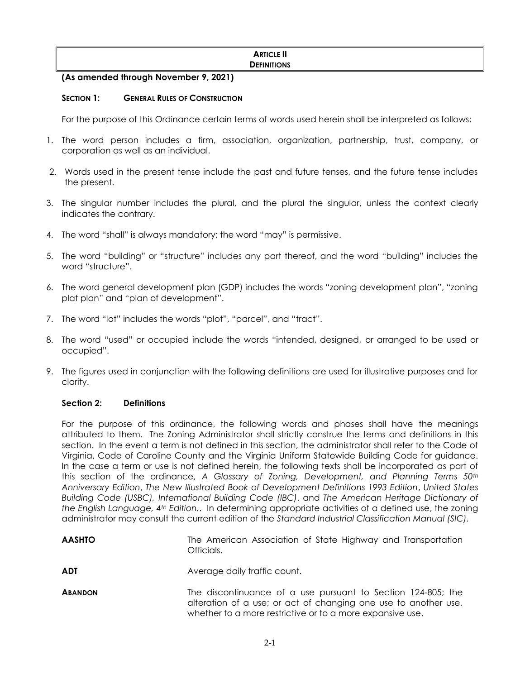### **ARTICLE II DEFINITIONS**

# **(As amended through November 9, 2021)**

## **SECTION 1: GENERAL RULES OF CONSTRUCTION**

For the purpose of this Ordinance certain terms of words used herein shall be interpreted as follows:

- 1. The word person includes a firm, association, organization, partnership, trust, company, or corporation as well as an individual.
- 2. Words used in the present tense include the past and future tenses, and the future tense includes the present.
- 3. The singular number includes the plural, and the plural the singular, unless the context clearly indicates the contrary.
- 4. The word "shall" is always mandatory; the word "may" is permissive.
- 5. The word "building" or "structure" includes any part thereof, and the word "building" includes the word "structure".
- 6. The word general development plan (GDP) includes the words "zoning development plan", "zoning plat plan" and "plan of development".
- 7. The word "lot" includes the words "plot", "parcel", and "tract".
- 8. The word "used" or occupied include the words "intended, designed, or arranged to be used or occupied".
- 9. The figures used in conjunction with the following definitions are used for illustrative purposes and for clarity.

## **Section 2: Definitions**

For the purpose of this ordinance, the following words and phases shall have the meanings attributed to them. The Zoning Administrator shall strictly construe the terms and definitions in this section. In the event a term is not defined in this section, the administrator shall refer to the Code of Virginia, Code of Caroline County and the Virginia Uniform Statewide Building Code for guidance. In the case a term or use is not defined herein, the following texts shall be incorporated as part of this section of the ordinance, *A Glossary of Zoning, Development, and Planning Terms 50th Anniversary Edition*, *The New Illustrated Book of Development Definitions 1993 Edition*, *United States Building Code (USBC), International Building Code (IBC)*, and *The American Heritage Dictionary of the English Language, 4th Edition.*. In determining appropriate activities of a defined use, the zoning administrator may consult the current edition of the *Standard Industrial Classification Manual (SIC).*

| <b>AASHTO</b>  | The American Association of State Highway and Transportation<br>Officials.                                                                                                                   |
|----------------|----------------------------------------------------------------------------------------------------------------------------------------------------------------------------------------------|
| <b>ADT</b>     | Average daily traffic count.                                                                                                                                                                 |
| <b>ABANDON</b> | The discontinuance of a use pursuant to Section 124-805; the<br>alteration of a use; or act of changing one use to another use,<br>whether to a more restrictive or to a more expansive use. |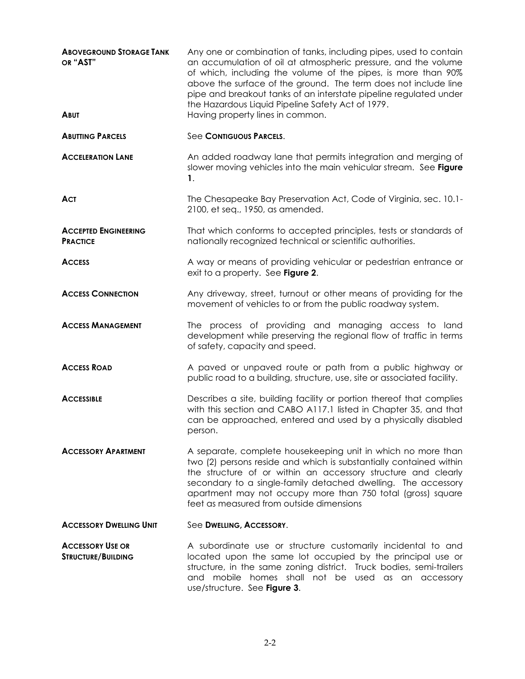| <b>ABOVEGROUND STORAGE TANK</b><br>OR "AST"          | Any one or combination of tanks, including pipes, used to contain<br>an accumulation of oil at atmospheric pressure, and the volume<br>of which, including the volume of the pipes, is more than 90%<br>above the surface of the ground. The term does not include line<br>pipe and breakout tanks of an interstate pipeline regulated under<br>the Hazardous Liquid Pipeline Safety Act of 1979. |  |  |  |  |  |
|------------------------------------------------------|---------------------------------------------------------------------------------------------------------------------------------------------------------------------------------------------------------------------------------------------------------------------------------------------------------------------------------------------------------------------------------------------------|--|--|--|--|--|
| <b>ABUT</b>                                          | Having property lines in common.                                                                                                                                                                                                                                                                                                                                                                  |  |  |  |  |  |
| <b>ABUTTING PARCELS</b>                              | See CONTIGUOUS PARCELS.                                                                                                                                                                                                                                                                                                                                                                           |  |  |  |  |  |
| <b>ACCELERATION LANE</b>                             | An added roadway lane that permits integration and merging of<br>slower moving vehicles into the main vehicular stream. See Figure<br>1.                                                                                                                                                                                                                                                          |  |  |  |  |  |
| <b>ACT</b>                                           | The Chesapeake Bay Preservation Act, Code of Virginia, sec. 10.1-<br>2100, et seq., 1950, as amended.                                                                                                                                                                                                                                                                                             |  |  |  |  |  |
| <b>ACCEPTED ENGINEERING</b><br><b>PRACTICE</b>       | That which conforms to accepted principles, tests or standards of<br>nationally recognized technical or scientific authorities.                                                                                                                                                                                                                                                                   |  |  |  |  |  |
| <b>ACCESS</b>                                        | A way or means of providing vehicular or pedestrian entrance or<br>exit to a property. See Figure 2.                                                                                                                                                                                                                                                                                              |  |  |  |  |  |
| <b>ACCESS CONNECTION</b>                             | Any driveway, street, turnout or other means of providing for the<br>movement of vehicles to or from the public roadway system.                                                                                                                                                                                                                                                                   |  |  |  |  |  |
| <b>ACCESS MANAGEMENT</b>                             | The process of providing and managing access to land<br>development while preserving the regional flow of traffic in terms<br>of safety, capacity and speed.                                                                                                                                                                                                                                      |  |  |  |  |  |
| <b>ACCESS ROAD</b>                                   | A paved or unpaved route or path from a public highway or<br>public road to a building, structure, use, site or associated facility.                                                                                                                                                                                                                                                              |  |  |  |  |  |
| <b>ACCESSIBLE</b>                                    | Describes a site, building facility or portion thereof that complies<br>with this section and CABO A117.1 listed in Chapter 35, and that<br>can be approached, entered and used by a physically disabled<br>person.                                                                                                                                                                               |  |  |  |  |  |
| <b>ACCESSORY APARTMENT</b>                           | A separate, complete housekeeping unit in which no more than<br>two (2) persons reside and which is substantially contained within<br>the structure of or within an accessory structure and clearly<br>secondary to a single-family detached dwelling. The accessory<br>apartment may not occupy more than 750 total (gross) square<br>feet as measured from outside dimensions                   |  |  |  |  |  |
| <b>ACCESSORY DWELLING UNIT</b>                       | See DWELLING, ACCESSORY.                                                                                                                                                                                                                                                                                                                                                                          |  |  |  |  |  |
| <b>ACCESSORY USE OR</b><br><b>STRUCTURE/BUILDING</b> | A subordinate use or structure customarily incidental to and<br>located upon the same lot occupied by the principal use or<br>structure, in the same zoning district. Truck bodies, semi-trailers<br>and mobile homes shall not be used as an accessory<br>use/structure. See Figure 3.                                                                                                           |  |  |  |  |  |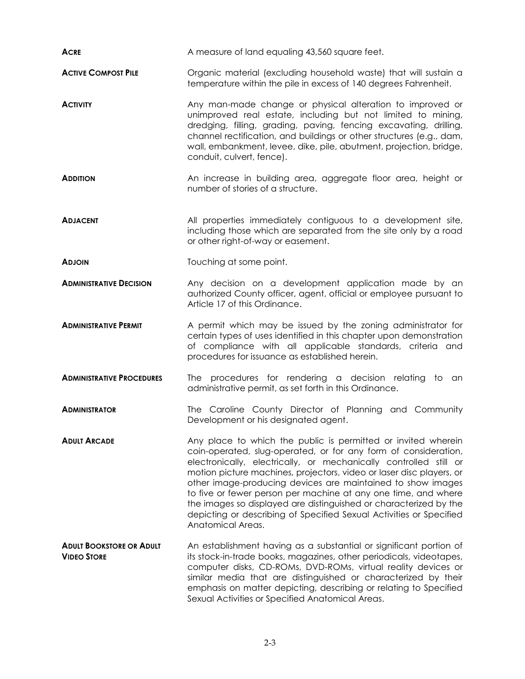| <b>ACRE</b>                                           | A measure of land equaling 43,560 square feet.                                                                                                                                                                                                                                                                                                                                                                                                                                                                                                                                  |  |  |  |  |  |
|-------------------------------------------------------|---------------------------------------------------------------------------------------------------------------------------------------------------------------------------------------------------------------------------------------------------------------------------------------------------------------------------------------------------------------------------------------------------------------------------------------------------------------------------------------------------------------------------------------------------------------------------------|--|--|--|--|--|
| <b>ACTIVE COMPOST PILE</b>                            | Organic material (excluding household waste) that will sustain a<br>temperature within the pile in excess of 140 degrees Fahrenheit.                                                                                                                                                                                                                                                                                                                                                                                                                                            |  |  |  |  |  |
| <b>ACTIVITY</b>                                       | Any man-made change or physical alteration to improved or<br>unimproved real estate, including but not limited to mining,<br>dredging, filling, grading, paving, fencing excavating, drilling,<br>channel rectification, and buildings or other structures (e.g., dam,<br>wall, embankment, levee, dike, pile, abutment, projection, bridge,<br>conduit, culvert, fence).                                                                                                                                                                                                       |  |  |  |  |  |
| <b>ADDITION</b>                                       | An increase in building area, aggregate floor area, height or<br>number of stories of a structure.                                                                                                                                                                                                                                                                                                                                                                                                                                                                              |  |  |  |  |  |
| <b>ADJACENT</b>                                       | All properties immediately contiguous to a development site,<br>including those which are separated from the site only by a road<br>or other right-of-way or easement.                                                                                                                                                                                                                                                                                                                                                                                                          |  |  |  |  |  |
| <b>ADJOIN</b>                                         | Touching at some point.                                                                                                                                                                                                                                                                                                                                                                                                                                                                                                                                                         |  |  |  |  |  |
| <b>ADMINISTRATIVE DECISION</b>                        | Any decision on a development application made by an<br>authorized County officer, agent, official or employee pursuant to<br>Article 17 of this Ordinance.                                                                                                                                                                                                                                                                                                                                                                                                                     |  |  |  |  |  |
| <b>ADMINISTRATIVE PERMIT</b>                          | A permit which may be issued by the zoning administrator for<br>certain types of uses identified in this chapter upon demonstration<br>of compliance with all applicable standards, criteria and<br>procedures for issuance as established herein.                                                                                                                                                                                                                                                                                                                              |  |  |  |  |  |
| <b>ADMINISTRATIVE PROCEDURES</b>                      | The procedures for rendering a decision relating<br>to.<br>an<br>administrative permit, as set forth in this Ordinance.                                                                                                                                                                                                                                                                                                                                                                                                                                                         |  |  |  |  |  |
| <b>ADMINISTRATOR</b>                                  | The Caroline County Director of Planning and Community<br>Development or his designated agent.                                                                                                                                                                                                                                                                                                                                                                                                                                                                                  |  |  |  |  |  |
| <b>ADULT ARCADE</b>                                   | Any place to which the public is permitted or invited wherein<br>coin-operated, slug-operated, or for any form of consideration,<br>electronically, electrically, or mechanically controlled still or<br>motion picture machines, projectors, video or laser disc players, or<br>other image-producing devices are maintained to show images<br>to five or fewer person per machine at any one time, and where<br>the images so displayed are distinguished or characterized by the<br>depicting or describing of Specified Sexual Activities or Specified<br>Anatomical Areas. |  |  |  |  |  |
| <b>ADULT BOOKSTORE OR ADULT</b><br><b>VIDEO STORE</b> | An establishment having as a substantial or significant portion of<br>its stock-in-trade books, magazines, other periodicals, videotapes,<br>computer disks, CD-ROMs, DVD-ROMs, virtual reality devices or<br>similar media that are distinguished or characterized by their<br>emphasis on matter depicting, describing or relating to Specified<br>Sexual Activities or Specified Anatomical Areas.                                                                                                                                                                           |  |  |  |  |  |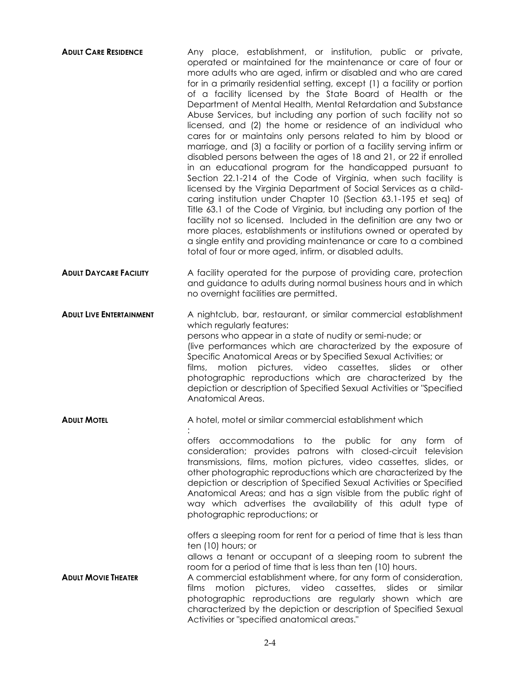| <b>ADULT CARE RESIDENCE</b>     | Any place, establishment, or institution, public or private,<br>operated or maintained for the maintenance or care of four or<br>more adults who are aged, infirm or disabled and who are cared<br>for in a primarily residential setting, except (1) a facility or portion<br>of a facility licensed by the State Board of Health or the<br>Department of Mental Health, Mental Retardation and Substance<br>Abuse Services, but including any portion of such facility not so<br>licensed, and (2) the home or residence of an individual who<br>cares for or maintains only persons related to him by blood or<br>marriage, and (3) a facility or portion of a facility serving infirm or<br>disabled persons between the ages of 18 and 21, or 22 if enrolled<br>in an educational program for the handicapped pursuant to<br>Section 22.1-214 of the Code of Virginia, when such facility is<br>licensed by the Virginia Department of Social Services as a child-<br>caring institution under Chapter 10 (Section 63.1-195 et seq) of<br>Title 63.1 of the Code of Virginia, but including any portion of the<br>facility not so licensed. Included in the definition are any two or<br>more places, establishments or institutions owned or operated by<br>a single entity and providing maintenance or care to a combined<br>total of four or more aged, infirm, or disabled adults. |
|---------------------------------|----------------------------------------------------------------------------------------------------------------------------------------------------------------------------------------------------------------------------------------------------------------------------------------------------------------------------------------------------------------------------------------------------------------------------------------------------------------------------------------------------------------------------------------------------------------------------------------------------------------------------------------------------------------------------------------------------------------------------------------------------------------------------------------------------------------------------------------------------------------------------------------------------------------------------------------------------------------------------------------------------------------------------------------------------------------------------------------------------------------------------------------------------------------------------------------------------------------------------------------------------------------------------------------------------------------------------------------------------------------------------------------------|
| <b>ADULT DAYCARE FACILITY</b>   | A facility operated for the purpose of providing care, protection<br>and guidance to adults during normal business hours and in which<br>no overnight facilities are permitted.                                                                                                                                                                                                                                                                                                                                                                                                                                                                                                                                                                                                                                                                                                                                                                                                                                                                                                                                                                                                                                                                                                                                                                                                              |
| <b>ADULT LIVE ENTERTAINMENT</b> | A nightclub, bar, restaurant, or similar commercial establishment<br>which regularly features:<br>persons who appear in a state of nudity or semi-nude; or<br>(live performances which are characterized by the exposure of<br>Specific Anatomical Areas or by Specified Sexual Activities; or<br>pictures, video cassettes,<br>motion<br>slides<br>or other<br>films,<br>photographic reproductions which are characterized by the<br>depiction or description of Specified Sexual Activities or "Specified<br>Anatomical Areas.                                                                                                                                                                                                                                                                                                                                                                                                                                                                                                                                                                                                                                                                                                                                                                                                                                                            |
| <b>ADULT MOTEL</b>              | A hotel, motel or similar commercial establishment which                                                                                                                                                                                                                                                                                                                                                                                                                                                                                                                                                                                                                                                                                                                                                                                                                                                                                                                                                                                                                                                                                                                                                                                                                                                                                                                                     |
|                                 | offers accommodations to the public for any form of<br>consideration; provides patrons with closed-circuit television<br>transmissions, films, motion pictures, video cassettes, slides, or<br>other photographic reproductions which are characterized by the<br>depiction or description of Specified Sexual Activities or Specified<br>Anatomical Areas; and has a sign visible from the public right of<br>way which advertises the availability of this adult type of<br>photographic reproductions; or                                                                                                                                                                                                                                                                                                                                                                                                                                                                                                                                                                                                                                                                                                                                                                                                                                                                                 |
| <b>ADULT MOVIE THEATER</b>      | offers a sleeping room for rent for a period of time that is less than<br>ten (10) hours; or<br>allows a tenant or occupant of a sleeping room to subrent the<br>room for a period of time that is less than ten (10) hours.<br>A commercial establishment where, for any form of consideration,<br>cassettes,<br>motion pictures, video<br>slides<br>similar<br>films<br><b>or</b><br>photographic reproductions are regularly shown which are<br>characterized by the depiction or description of Specified Sexual<br>Activities or "specified anatomical areas."                                                                                                                                                                                                                                                                                                                                                                                                                                                                                                                                                                                                                                                                                                                                                                                                                          |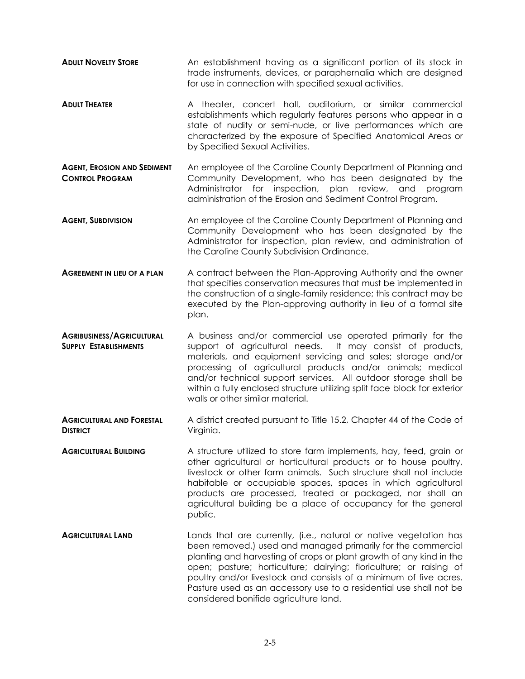- **ADULT NOVELTY STORE** An establishment having as a significant portion of its stock in trade instruments, devices, or paraphernalia which are designed for use in connection with specified sexual activities.
- **ADULT THEATER** A theater, concert hall, auditorium, or similar commercial establishments which regularly features persons who appear in a state of nudity or semi-nude, or live performances which are characterized by the exposure of Specified Anatomical Areas or by Specified Sexual Activities.
- **AGENT, EROSION AND SEDIMENT CONTROL PROGRAM** An employee of the Caroline County Department of Planning and Community Development, who has been designated by the Administrator for inspection, plan review, and program administration of the Erosion and Sediment Control Program.
- **AGENT, SUBDIVISION An employee of the Caroline County Department of Planning and** Community Development who has been designated by the Administrator for inspection, plan review, and administration of the Caroline County Subdivision Ordinance.
- **AGREEMENT IN LIEU OF A PLAN** A contract between the Plan-Approving Authority and the owner that specifies conservation measures that must be implemented in the construction of a single-family residence; this contract may be executed by the Plan-approving authority in lieu of a formal site plan.
- **AGRIBUSINESS/AGRICULTURAL SUPPLY ESTABLISHMENTS** A business and/or commercial use operated primarily for the support of agricultural needs. It may consist of products, materials, and equipment servicing and sales; storage and/or processing of agricultural products and/or animals; medical and/or technical support services. All outdoor storage shall be within a fully enclosed structure utilizing split face block for exterior walls or other similar material.
- **AGRICULTURAL AND FORESTAL DISTRICT** A district created pursuant to Title 15.2, Chapter 44 of the Code of Virginia.
- **AGRICULTURAL BUILDING** A structure utilized to store farm implements, hay, feed, grain or other agricultural or horticultural products or to house poultry, livestock or other farm animals. Such structure shall not include habitable or occupiable spaces, spaces in which agricultural products are processed, treated or packaged, nor shall an agricultural building be a place of occupancy for the general public.
- **AGRICULTURAL LAND** Lands that are currently, (i.e., natural or native vegetation has been removed,) used and managed primarily for the commercial planting and harvesting of crops or plant growth of any kind in the open; pasture; horticulture; dairying; floriculture; or raising of poultry and/or livestock and consists of a minimum of five acres. Pasture used as an accessory use to a residential use shall not be considered bonifide agriculture land.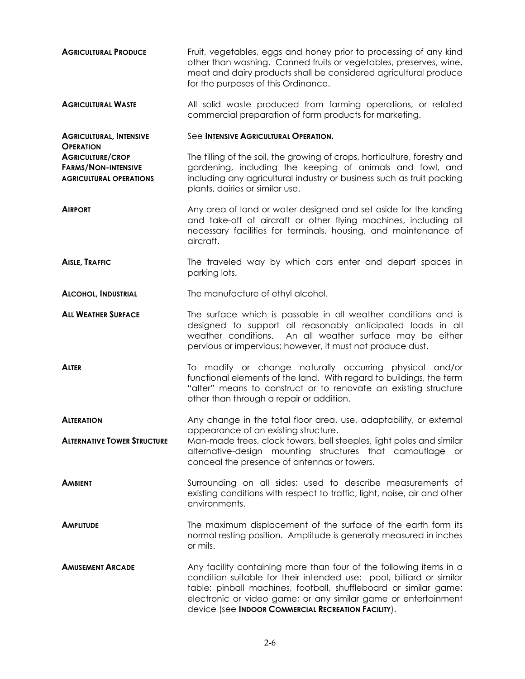- **AGRICULTURAL PRODUCE** Fruit, vegetables, eggs and honey prior to processing of any kind other than washing. Canned fruits or vegetables, preserves, wine, meat and dairy products shall be considered agricultural produce for the purposes of this Ordinance.
- **AGRICULTURAL WASTE** All solid waste produced from farming operations, or related commercial preparation of farm products for marketing.

**AGRICULTURAL, INTENSIVE**  See **INTENSIVE AGRICULTURAL OPERATION.**

**OPERATION**

**AGRICULTURE/CROP FARMS/NON-INTENSIVE AGRICULTURAL OPERATIONS** The tilling of the soil, the growing of crops, horticulture, forestry and gardening, including the keeping of animals and fowl, and including any agricultural industry or business such as fruit packing plants, dairies or similar use.

- **AIRPORT** Any area of land or water designed and set aside for the landing and take-off of aircraft or other flying machines, including all necessary facilities for terminals, housing, and maintenance of aircraft.
- **AISLE, TRAFFIC** The traveled way by which cars enter and depart spaces in parking lots.

**ALCOHOL, INDUSTRIAL** The manufacture of ethyl alcohol.

- **ALL WEATHER SURFACE** The surface which is passable in all weather conditions and is designed to support all reasonably anticipated loads in all weather conditions. An all weather surface may be either pervious or impervious; however, it must not produce dust.
- ALTER **The Contact To modify or change naturally occurring physical and/or** functional elements of the land. With regard to buildings, the term "alter" means to construct or to renovate an existing structure other than through a repair or addition.
- ALTERATION Any change in the total floor area, use, adaptability, or external appearance of an existing structure.
- **ALTERNATIVE TOWER STRUCTURE** Man-made trees, clock towers, bell steeples, light poles and similar alternative-design mounting structures that camouflage or conceal the presence of antennas or towers.
- **AMBIENT** Surrounding on all sides; used to describe measurements of existing conditions with respect to traffic, light, noise, air and other environments.
- **AMPLITUDE** The maximum displacement of the surface of the earth form its normal resting position. Amplitude is generally measured in inches or mils.
- **AMUSEMENT ARCADE** Any facility containing more than four of the following items in a condition suitable for their intended use: pool, billiard or similar table; pinball machines, football, shuffleboard or similar game; electronic or video game; or any similar game or entertainment device (see **INDOOR COMMERCIAL RECREATION FACILITY**).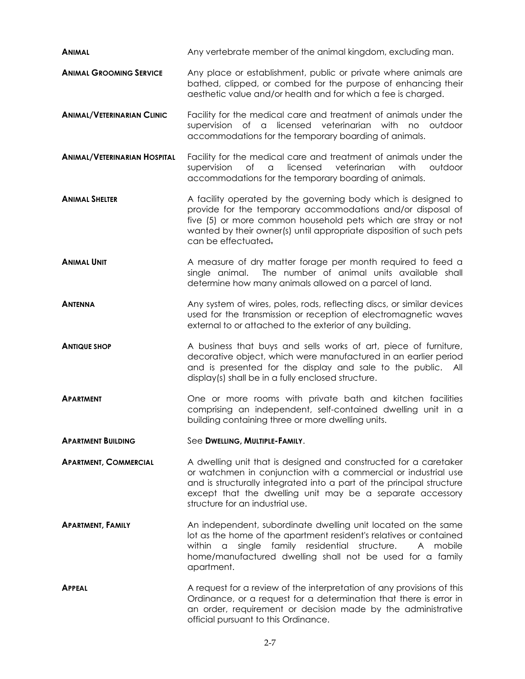| <b>ANIMAL</b>                       | Any vertebrate member of the animal kingdom, excluding man.                                                                                                                                                                                                                                                  |  |  |  |  |  |
|-------------------------------------|--------------------------------------------------------------------------------------------------------------------------------------------------------------------------------------------------------------------------------------------------------------------------------------------------------------|--|--|--|--|--|
| <b>ANIMAL GROOMING SERVICE</b>      | Any place or establishment, public or private where animals are<br>bathed, clipped, or combed for the purpose of enhancing their<br>aesthetic value and/or health and for which a fee is charged.                                                                                                            |  |  |  |  |  |
| <b>ANIMAL/VETERINARIAN CLINIC</b>   | Facility for the medical care and treatment of animals under the<br>licensed<br>veterinarian<br>supervision of<br>$\alpha$<br>with<br>no<br>outdoor<br>accommodations for the temporary boarding of animals.                                                                                                 |  |  |  |  |  |
| <b>ANIMAL/VETERINARIAN HOSPITAL</b> | Facility for the medical care and treatment of animals under the<br>supervision<br>licensed<br>veterinarian<br>with<br>outdoor<br>Оf<br>a<br>accommodations for the temporary boarding of animals.                                                                                                           |  |  |  |  |  |
| <b>ANIMAL SHELTER</b>               | A facility operated by the governing body which is designed to<br>provide for the temporary accommodations and/or disposal of<br>five (5) or more common household pets which are stray or not<br>wanted by their owner(s) until appropriate disposition of such pets<br>can be effectuated.                 |  |  |  |  |  |
| <b>ANIMAL UNIT</b>                  | A measure of dry matter forage per month required to feed a<br>single animal. The number of animal units available shall<br>determine how many animals allowed on a parcel of land.                                                                                                                          |  |  |  |  |  |
| <b>ANTENNA</b>                      | Any system of wires, poles, rods, reflecting discs, or similar devices<br>used for the transmission or reception of electromagnetic waves<br>external to or attached to the exterior of any building.                                                                                                        |  |  |  |  |  |
| <b>ANTIQUE SHOP</b>                 | A business that buys and sells works of art, piece of furniture,<br>decorative object, which were manufactured in an earlier period<br>and is presented for the display and sale to the public. All<br>display(s) shall be in a fully enclosed structure.                                                    |  |  |  |  |  |
| <b>APARTMENT</b>                    | One or more rooms with private bath and kitchen facilities<br>comprising an independent, self-contained dwelling unit in a<br>building containing three or more dwelling units.                                                                                                                              |  |  |  |  |  |
| <b>APARTMENT BUILDING</b>           | See DWELLING, MULTIPLE-FAMILY.                                                                                                                                                                                                                                                                               |  |  |  |  |  |
| <b>APARTMENT, COMMERCIAL</b>        | A dwelling unit that is designed and constructed for a caretaker<br>or watchmen in conjunction with a commercial or industrial use<br>and is structurally integrated into a part of the principal structure<br>except that the dwelling unit may be a separate accessory<br>structure for an industrial use. |  |  |  |  |  |
| <b>APARTMENT, FAMILY</b>            | An independent, subordinate dwelling unit located on the same<br>lot as the home of the apartment resident's relatives or contained<br>single family residential structure.<br>within a<br>A mobile<br>home/manufactured dwelling shall not be used for a family<br>apartment.                               |  |  |  |  |  |
| <b>APPEAL</b>                       | A request for a review of the interpretation of any provisions of this<br>Ordinance, or a request for a determination that there is error in<br>an order, requirement or decision made by the administrative<br>official pursuant to this Ordinance.                                                         |  |  |  |  |  |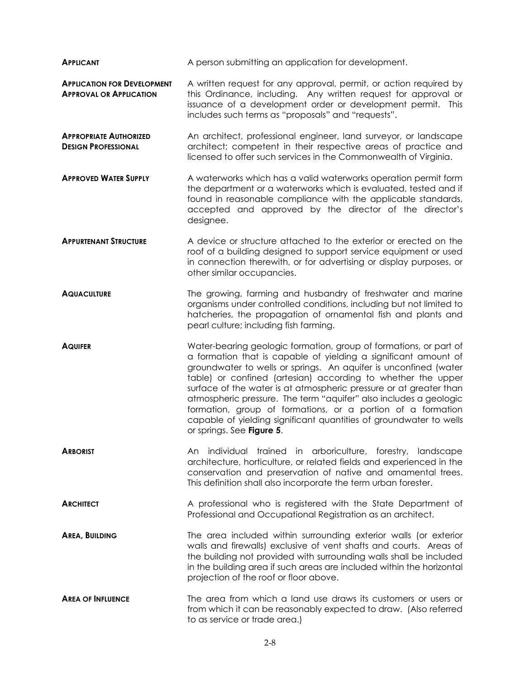| <b>APPLICANT</b>                                                     | A person submitting an application for development.                                                                                                                                                                                                                                                                                                                                                                                                                                                                                                                                   |  |  |  |  |
|----------------------------------------------------------------------|---------------------------------------------------------------------------------------------------------------------------------------------------------------------------------------------------------------------------------------------------------------------------------------------------------------------------------------------------------------------------------------------------------------------------------------------------------------------------------------------------------------------------------------------------------------------------------------|--|--|--|--|
| <b>APPLICATION FOR DEVELOPMENT</b><br><b>APPROVAL OR APPLICATION</b> | A written request for any approval, permit, or action required by<br>this Ordinance, including. Any written request for approval or<br>issuance of a development order or development permit. This<br>includes such terms as "proposals" and "requests".                                                                                                                                                                                                                                                                                                                              |  |  |  |  |
| <b>APPROPRIATE AUTHORIZED</b><br><b>DESIGN PROFESSIONAL</b>          | An architect, professional engineer, land surveyor, or landscape<br>architect; competent in their respective areas of practice and<br>licensed to offer such services in the Commonwealth of Virginia.                                                                                                                                                                                                                                                                                                                                                                                |  |  |  |  |
| <b>APPROVED WATER SUPPLY</b>                                         | A waterworks which has a valid waterworks operation permit form<br>the department or a waterworks which is evaluated, tested and if<br>found in reasonable compliance with the applicable standards,<br>accepted and approved by the director of the director's<br>designee.                                                                                                                                                                                                                                                                                                          |  |  |  |  |
| <b>APPURTENANT STRUCTURE</b>                                         | A device or structure attached to the exterior or erected on the<br>roof of a building designed to support service equipment or used<br>in connection therewith, or for advertising or display purposes, or<br>other similar occupancies.                                                                                                                                                                                                                                                                                                                                             |  |  |  |  |
| <b>AQUACULTURE</b>                                                   | The growing, farming and husbandry of freshwater and marine<br>organisms under controlled conditions, including but not limited to<br>hatcheries, the propagation of ornamental fish and plants and<br>pearl culture; including fish farming.                                                                                                                                                                                                                                                                                                                                         |  |  |  |  |
| <b>AQUIFER</b>                                                       | Water-bearing geologic formation, group of formations, or part of<br>a formation that is capable of yielding a significant amount of<br>groundwater to wells or springs. An aquifer is unconfined (water<br>table) or confined (artesian) according to whether the upper<br>surface of the water is at atmospheric pressure or at greater than<br>atmospheric pressure. The term "aquifer" also includes a geologic<br>formation, group of formations, or a portion of a formation<br>capable of yielding significant quantities of groundwater to wells<br>or springs. See Figure 5. |  |  |  |  |
| <b>ARBORIST</b>                                                      | individual trained in arboriculture, forestry, landscape<br>An.<br>architecture, horticulture, or related fields and experienced in the<br>conservation and preservation of native and ornamental trees.<br>This definition shall also incorporate the term urban forester.                                                                                                                                                                                                                                                                                                           |  |  |  |  |
| <b>ARCHITECT</b>                                                     | A professional who is registered with the State Department of<br>Professional and Occupational Registration as an architect.                                                                                                                                                                                                                                                                                                                                                                                                                                                          |  |  |  |  |
| <b>AREA, BUILDING</b>                                                | The area included within surrounding exterior walls (or exterior<br>walls and firewalls) exclusive of vent shafts and courts. Areas of<br>the building not provided with surrounding walls shall be included<br>in the building area if such areas are included within the horizontal<br>projection of the roof or floor above.                                                                                                                                                                                                                                                       |  |  |  |  |
| <b>AREA OF INFLUENCE</b>                                             | The area from which a land use draws its customers or users or<br>from which it can be reasonably expected to draw. (Also referred<br>to as service or trade area.)                                                                                                                                                                                                                                                                                                                                                                                                                   |  |  |  |  |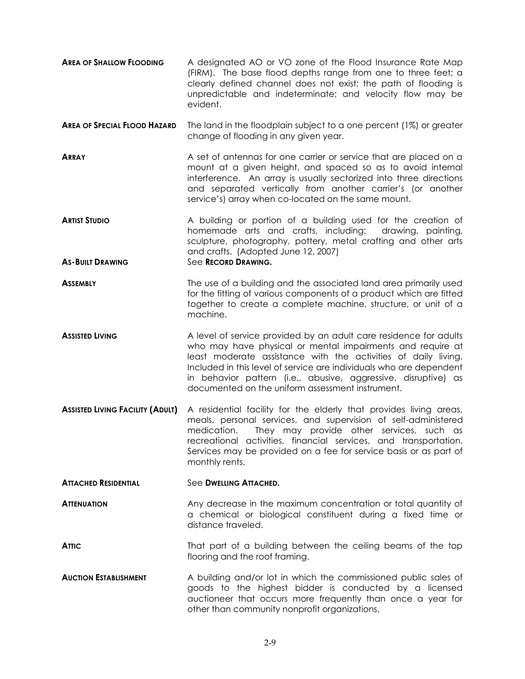- **AREA OF SHALLOW FLOODING** A designated AO or VO zone of the Flood Insurance Rate Map (FIRM). The base flood depths range from one to three feet; a clearly defined channel does not exist; the path of flooding is unpredictable and indeterminate; and velocity flow may be evident.
- **AREA OF SPECIAL FLOOD HAZARD** The land in the floodplain subject to a one percent (1%) or greater change of flooding in any given year.
- **ARRAY** A set of antennas for one carrier or service that are placed on a mount at a given height, and spaced so as to avoid internal interference. An array is usually sectorized into three directions and separated vertically from another carrier's (or another service's) array when co-located on the same mount.
- **ARTIST STUDIO** A building or portion of a building used for the creation of homemade arts and crafts, including: drawing, painting, sculpture, photography, pottery, metal crafting and other arts and crafts. (Adopted June 12, 2007) **AS-BUILT DRAWING** See **RECORD DRAWING.**
- **ASSEMBLY** The use of a building and the associated land area primarily used for the fitting of various components of a product which are fitted together to create a complete machine, structure, or unit of a machine.
- **Assisted Living A** level of service provided by an adult care residence for adults who may have physical or mental impairments and require at least moderate assistance with the activities of daily living. Included in this level of service are individuals who are dependent in behavior pattern (i.e., abusive, aggressive, disruptive) as documented on the uniform assessment instrument.
- **ASSISTED LIVING FACILITY (ADULT)** A residential facility for the elderly that provides living areas, meals, personal services, and supervision of self-administered medication. They may provide other services, such as recreational activities, financial services, and transportation. Services may be provided on a fee for service basis or as part of monthly rents.
- **ATTACHED RESIDENTIAL** See **DWELLING ATTACHED.**
- **ATTENUATION** Any decrease in the maximum concentration or total quantity of a chemical or biological constituent during a fixed time or distance traveled.
- **ATTIC** That part of a building between the ceiling beams of the top flooring and the roof framing.
- **AUCTION ESTABLISHMENT** A building and/or lot in which the commissioned public sales of goods to the highest bidder is conducted by a licensed auctioneer that occurs more frequently than once a year for other than community nonprofit organizations.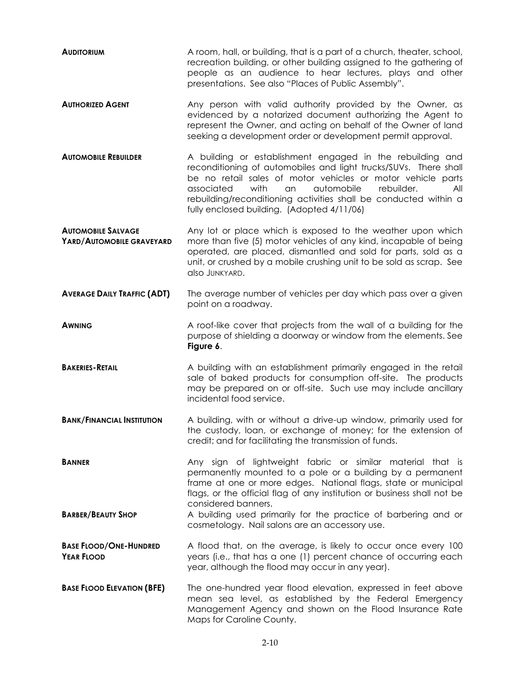- **AUDITORIUM** A room, hall, or building, that is a part of a church, theater, school, recreation building, or other building assigned to the gathering of people as an audience to hear lectures, plays and other presentations. See also "Places of Public Assembly".
- **AUTHORIZED AGENT** Any person with valid authority provided by the Owner, as evidenced by a notarized document authorizing the Agent to represent the Owner, and acting on behalf of the Owner of land seeking a development order or development permit approval.
- **AUTOMOBILE REBUILDER** A building or establishment engaged in the rebuilding and reconditioning of automobiles and light trucks/SUVs. There shall be no retail sales of motor vehicles or motor vehicle parts associated with an automobile rebuilder. All rebuilding/reconditioning activities shall be conducted within a fully enclosed building. (Adopted 4/11/06)
- **AUTOMOBILE SALVAGE YARD/AUTOMOBILE GRAVEYARD** Any lot or place which is exposed to the weather upon which more than five (5) motor vehicles of any kind, incapable of being operated, are placed, dismantled and sold for parts, sold as a unit, or crushed by a mobile crushing unit to be sold as scrap. See also JUNKYARD.
- **AVERAGE DAILY TRAFFIC (ADT)** The average number of vehicles per day which pass over a given point on a roadway.
- **AWNING** A roof-like cover that projects from the wall of a building for the purpose of shielding a doorway or window from the elements. See **Figure 6**.
- **BAKERIES-RETAIL** A building with an establishment primarily engaged in the retail sale of baked products for consumption off-site. The products may be prepared on or off-site. Such use may include ancillary incidental food service.
- **BANK/FINANCIAL INSTITUTION** A building, with or without a drive-up window, primarily used for the custody, loan, or exchange of money; for the extension of credit; and for facilitating the transmission of funds.
- **BANNER** Any sign of lightweight fabric or similar material that is permanently mounted to a pole or a building by a permanent frame at one or more edges. National flags, state or municipal flags, or the official flag of any institution or business shall not be considered banners.
- **BARBER/BEAUTY SHOP** A building used primarily for the practice of barbering and or cosmetology. Nail salons are an accessory use.
- **BASE FLOOD/ONE-HUNDRED YEAR FLOOD** A flood that, on the average, is likely to occur once every 100 years (i.e., that has a one (1) percent chance of occurring each year, although the flood may occur in any year).
- **BASE FLOOD ELEVATION (BFE)** The one-hundred year flood elevation, expressed in feet above mean sea level, as established by the Federal Emergency Management Agency and shown on the Flood Insurance Rate Maps for Caroline County.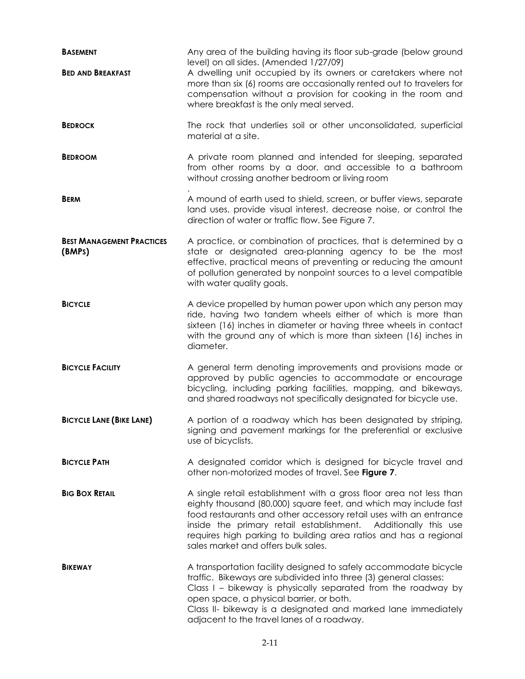| <b>BASEMENT</b>                            | Any area of the building having its floor sub-grade (below ground<br>level) on all sides. (Amended 1/27/09)                                                                                                                                                                                                                                                                               |  |  |  |  |  |
|--------------------------------------------|-------------------------------------------------------------------------------------------------------------------------------------------------------------------------------------------------------------------------------------------------------------------------------------------------------------------------------------------------------------------------------------------|--|--|--|--|--|
| <b>BED AND BREAKFAST</b>                   | A dwelling unit occupied by its owners or caretakers where not<br>more than six (6) rooms are occasionally rented out to travelers for<br>compensation without a provision for cooking in the room and<br>where breakfast is the only meal served.                                                                                                                                        |  |  |  |  |  |
| <b>BEDROCK</b>                             | The rock that underlies soil or other unconsolidated, superficial<br>material at a site.                                                                                                                                                                                                                                                                                                  |  |  |  |  |  |
| <b>BEDROOM</b>                             | A private room planned and intended for sleeping, separated<br>from other rooms by a door, and accessible to a bathroom<br>without crossing another bedroom or living room                                                                                                                                                                                                                |  |  |  |  |  |
| <b>BERM</b>                                | A mound of earth used to shield, screen, or buffer views, separate<br>land uses, provide visual interest, decrease noise, or control the<br>direction of water or traffic flow. See Figure 7.                                                                                                                                                                                             |  |  |  |  |  |
| <b>BEST MANAGEMENT PRACTICES</b><br>(BMPS) | A practice, or combination of practices, that is determined by a<br>state or designated area-planning agency to be the most<br>effective, practical means of preventing or reducing the amount<br>of pollution generated by nonpoint sources to a level compatible<br>with water quality goals.                                                                                           |  |  |  |  |  |
| <b>BICYCLE</b>                             | A device propelled by human power upon which any person may<br>ride, having two tandem wheels either of which is more than<br>sixteen (16) inches in diameter or having three wheels in contact<br>with the ground any of which is more than sixteen (16) inches in<br>diameter.                                                                                                          |  |  |  |  |  |
| <b>BICYCLE FACILITY</b>                    | A general term denoting improvements and provisions made or<br>approved by public agencies to accommodate or encourage<br>bicycling, including parking facilities, mapping, and bikeways,<br>and shared roadways not specifically designated for bicycle use.                                                                                                                             |  |  |  |  |  |
| <b>BICYCLE LANE (BIKE LANE)</b>            | A portion of a roadway which has been designated by striping,<br>signing and pavement markings for the preferential or exclusive<br>use of bicyclists.                                                                                                                                                                                                                                    |  |  |  |  |  |
| <b>BICYCLE PATH</b>                        | A designated corridor which is designed for bicycle travel and<br>other non-motorized modes of travel. See Figure 7.                                                                                                                                                                                                                                                                      |  |  |  |  |  |
| <b>BIG BOX RETAIL</b>                      | A single retail establishment with a gross floor area not less than<br>eighty thousand (80,000) square feet, and which may include fast<br>food restaurants and other accessory retail uses with an entrance<br>inside the primary retail establishment. Additionally this use<br>requires high parking to building area ratios and has a regional<br>sales market and offers bulk sales. |  |  |  |  |  |
| <b>BIKEWAY</b>                             | A transportation facility designed to safely accommodate bicycle<br>traffic. Bikeways are subdivided into three (3) general classes:<br>Class I – bikeway is physically separated from the roadway by<br>open space, a physical barrier, or both.<br>Class II- bikeway is a designated and marked lane immediately<br>adjacent to the travel lanes of a roadway.                          |  |  |  |  |  |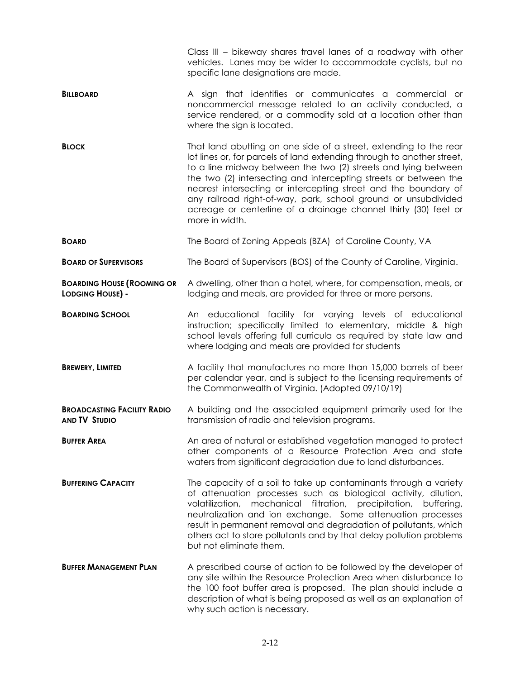|                                                              | Class III – bikeway shares travel lanes of a roadway with other<br>vehicles. Lanes may be wider to accommodate cyclists, but no<br>specific lane designations are made.                                                                                                                                                                                                                                                                                                                                     |  |  |  |  |  |  |  |
|--------------------------------------------------------------|-------------------------------------------------------------------------------------------------------------------------------------------------------------------------------------------------------------------------------------------------------------------------------------------------------------------------------------------------------------------------------------------------------------------------------------------------------------------------------------------------------------|--|--|--|--|--|--|--|
| <b>BILLBOARD</b>                                             | A sign that identifies or communicates a commercial or<br>noncommercial message related to an activity conducted, a<br>service rendered, or a commodity sold at a location other than<br>where the sign is located.                                                                                                                                                                                                                                                                                         |  |  |  |  |  |  |  |
| <b>BLOCK</b>                                                 | That land abutting on one side of a street, extending to the rear<br>lot lines or, for parcels of land extending through to another street,<br>to a line midway between the two (2) streets and lying between<br>the two (2) intersecting and intercepting streets or between the<br>nearest intersecting or intercepting street and the boundary of<br>any railroad right-of-way, park, school ground or unsubdivided<br>acreage or centerline of a drainage channel thirty (30) feet or<br>more in width. |  |  |  |  |  |  |  |
| <b>BOARD</b>                                                 | The Board of Zoning Appeals (BZA) of Caroline County, VA                                                                                                                                                                                                                                                                                                                                                                                                                                                    |  |  |  |  |  |  |  |
| <b>BOARD OF SUPERVISORS</b>                                  | The Board of Supervisors (BOS) of the County of Caroline, Virginia.                                                                                                                                                                                                                                                                                                                                                                                                                                         |  |  |  |  |  |  |  |
| <b>BOARDING HOUSE (ROOMING OR</b><br><b>LODGING HOUSE) -</b> | A dwelling, other than a hotel, where, for compensation, meals, or<br>lodging and meals, are provided for three or more persons.                                                                                                                                                                                                                                                                                                                                                                            |  |  |  |  |  |  |  |
| <b>BOARDING SCHOOL</b>                                       | An educational facility for varying levels of educational<br>instruction; specifically limited to elementary, middle & high<br>school levels offering full curricula as required by state law and<br>where lodging and meals are provided for students                                                                                                                                                                                                                                                      |  |  |  |  |  |  |  |
| <b>BREWERY, LIMITED</b>                                      | A facility that manufactures no more than 15,000 barrels of beer<br>per calendar year, and is subject to the licensing requirements of<br>the Commonwealth of Virginia. (Adopted 09/10/19)                                                                                                                                                                                                                                                                                                                  |  |  |  |  |  |  |  |
| <b>BROADCASTING FACILITY RADIO</b><br><b>AND TV STUDIO</b>   | A building and the associated equipment primarily used for the<br>transmission of radio and television programs.                                                                                                                                                                                                                                                                                                                                                                                            |  |  |  |  |  |  |  |
| <b>BUFFER AREA</b>                                           | An area of natural or established vegetation managed to protect<br>other components of a Resource Protection Area and state<br>waters from significant degradation due to land disturbances.                                                                                                                                                                                                                                                                                                                |  |  |  |  |  |  |  |
| <b>BUFFERING CAPACITY</b>                                    | The capacity of a soil to take up contaminants through a variety<br>of attenuation processes such as biological activity, dilution,<br>mechanical filtration,<br>volatilization,<br>precipitation,<br>buffering,<br>neutralization and ion exchange. Some attenuation processes<br>result in permanent removal and degradation of pollutants, which<br>others act to store pollutants and by that delay pollution problems<br>but not eliminate them.                                                       |  |  |  |  |  |  |  |
| <b>BUFFER MANAGEMENT PLAN</b>                                | A prescribed course of action to be followed by the developer of<br>any site within the Resource Protection Area when disturbance to<br>the 100 foot buffer area is proposed. The plan should include a<br>description of what is being proposed as well as an explanation of<br>why such action is necessary.                                                                                                                                                                                              |  |  |  |  |  |  |  |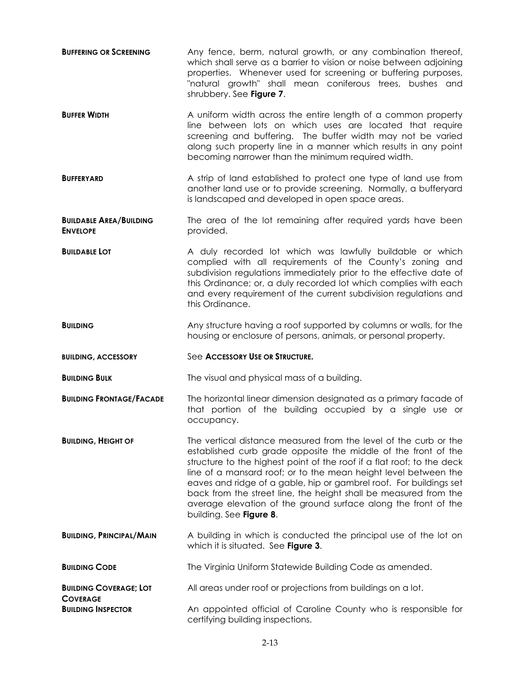- **BUFFERING OR SCREENING** Any fence, berm, natural growth, or any combination thereof, which shall serve as a barrier to vision or noise between adjoining properties. Whenever used for screening or buffering purposes, "natural growth" shall mean coniferous trees, bushes and shrubbery. See **Figure 7**.
- **BUFFER WIDTH A** uniform width across the entire length of a common property line between lots on which uses are located that require screening and buffering. The buffer width may not be varied along such property line in a manner which results in any point becoming narrower than the minimum required width.
- **BUFFERYARD** A strip of land established to protect one type of land use from another land use or to provide screening. Normally, a bufferyard is landscaped and developed in open space areas.
- **BUILDABLE AREA/BUILDING ENVELOPE** The area of the lot remaining after required yards have been provided.
- **BUILDABLE LOT A** duly recorded lot which was lawfully buildable or which complied with all requirements of the County's zoning and subdivision regulations immediately prior to the effective date of this Ordinance; or, a duly recorded lot which complies with each and every requirement of the current subdivision regulations and this Ordinance.
- **BUILDING** Any structure having a roof supported by columns or walls, for the housing or enclosure of persons, animals, or personal property.
- **BUILDING, ACCESSORY** See **ACCESSORY USE OR STRUCTURE.**

**COVERAGE**

**BUILDING BULK** The visual and physical mass of a building.

- **BUILDING FRONTAGE/FACADE** The horizontal linear dimension designated as a primary facade of that portion of the building occupied by a single use or occupancy.
- **BUILDING. HEIGHT OF The vertical distance measured from the level of the curb or the** established curb grade opposite the middle of the front of the structure to the highest point of the roof if a flat roof; to the deck line of a mansard roof; or to the mean height level between the eaves and ridge of a gable, hip or gambrel roof. For buildings set back from the street line, the height shall be measured from the average elevation of the ground surface along the front of the building. See **Figure 8**.
- **BUILDING, PRINCIPAL/MAIN** A building in which is conducted the principal use of the lot on which it is situated. See **Figure 3**.
- **BUILDING CODE** The Virginia Uniform Statewide Building Code as amended.

**BUILDING COVERAGE; LOT**  All areas under roof or projections from buildings on a lot.

**BUILDING INSPECTOR** An appointed official of Caroline County who is responsible for certifying building inspections.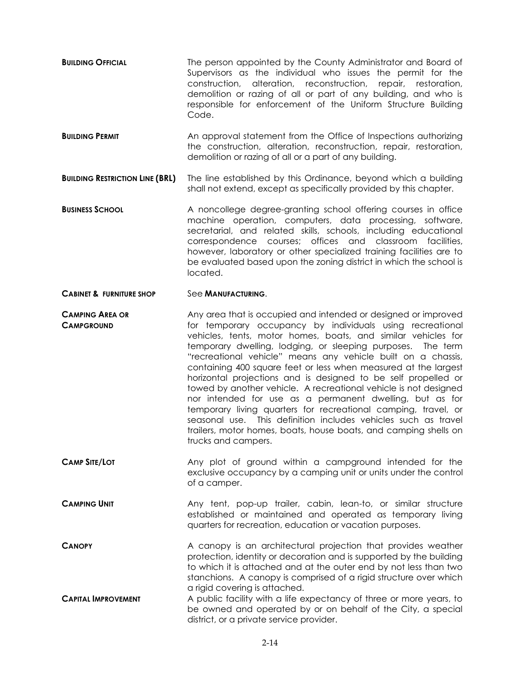- **BUILDING OFFICIAL** The person appointed by the County Administrator and Board of Supervisors as the individual who issues the permit for the construction, alteration, reconstruction, repair, restoration, demolition or razing of all or part of any building, and who is responsible for enforcement of the Uniform Structure Building Code.
- **BUILDING PERMIT An approval statement from the Office of Inspections authorizing** the construction, alteration, reconstruction, repair, restoration, demolition or razing of all or a part of any building.
- **BUILDING RESTRICTION LINE (BRL)** The line established by this Ordinance, beyond which a building shall not extend, except as specifically provided by this chapter.
- **BUSINESS SCHOOL** A noncollege degree-granting school offering courses in office machine operation, computers, data processing, software, secretarial, and related skills, schools, including educational correspondence courses; offices and classroom facilities, however, laboratory or other specialized training facilities are to be evaluated based upon the zoning district in which the school is located.
- **CABINET & FURNITURE SHOP** See **MANUFACTURING**.
- **CAMPING AREA OR CAMPGROUND** Any area that is occupied and intended or designed or improved for temporary occupancy by individuals using recreational vehicles, tents, motor homes, boats, and similar vehicles for temporary dwelling, lodging, or sleeping purposes. The term "recreational vehicle" means any vehicle built on a chassis, containing 400 square feet or less when measured at the largest horizontal projections and is designed to be self propelled or towed by another vehicle. A recreational vehicle is not designed nor intended for use as a permanent dwelling, but as for temporary living quarters for recreational camping, travel, or seasonal use. This definition includes vehicles such as travel trailers, motor homes, boats, house boats, and camping shells on trucks and campers.
- **CAMP SITE/LOT Any plot of ground within a campground intended for the** exclusive occupancy by a camping unit or units under the control of a camper.
- **CAMPING UNIT** Any tent, pop-up trailer, cabin, lean-to, or similar structure established or maintained and operated as temporary living quarters for recreation, education or vacation purposes.
- **CANOPY A** canopy is an architectural projection that provides weather protection, identity or decoration and is supported by the building to which it is attached and at the outer end by not less than two stanchions. A canopy is comprised of a rigid structure over which a rigid covering is attached.
- **CAPITAL IMPROVEMENT** A public facility with a life expectancy of three or more years, to be owned and operated by or on behalf of the City, a special district, or a private service provider.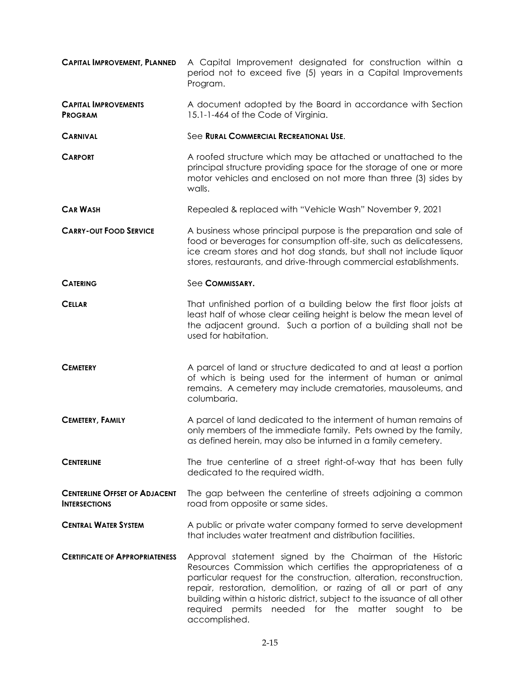| <b>CAPITAL IMPROVEMENT, PLANNED</b>                          | A Capital Improvement designated for construction within a<br>period not to exceed five (5) years in a Capital Improvements<br>Program.                                                                                                                                                                                                                                                                                     |  |  |  |  |  |
|--------------------------------------------------------------|-----------------------------------------------------------------------------------------------------------------------------------------------------------------------------------------------------------------------------------------------------------------------------------------------------------------------------------------------------------------------------------------------------------------------------|--|--|--|--|--|
| <b>CAPITAL IMPROVEMENTS</b><br><b>PROGRAM</b>                | A document adopted by the Board in accordance with Section<br>15.1-1-464 of the Code of Virginia.                                                                                                                                                                                                                                                                                                                           |  |  |  |  |  |
| <b>CARNIVAL</b>                                              | See RURAL COMMERCIAL RECREATIONAL USE.                                                                                                                                                                                                                                                                                                                                                                                      |  |  |  |  |  |
| <b>CARPORT</b>                                               | A roofed structure which may be attached or unattached to the<br>principal structure providing space for the storage of one or more<br>motor vehicles and enclosed on not more than three (3) sides by<br>walls.                                                                                                                                                                                                            |  |  |  |  |  |
| <b>CAR WASH</b>                                              | Repealed & replaced with "Vehicle Wash" November 9, 2021                                                                                                                                                                                                                                                                                                                                                                    |  |  |  |  |  |
| <b>CARRY-OUT FOOD SERVICE</b>                                | A business whose principal purpose is the preparation and sale of<br>food or beverages for consumption off-site, such as delicatessens,<br>ice cream stores and hot dog stands, but shall not include liquor<br>stores, restaurants, and drive-through commercial establishments.                                                                                                                                           |  |  |  |  |  |
| <b>CATERING</b>                                              | See COMMISSARY.                                                                                                                                                                                                                                                                                                                                                                                                             |  |  |  |  |  |
| <b>CELLAR</b>                                                | That unfinished portion of a building below the first floor joists at<br>least half of whose clear ceiling height is below the mean level of<br>the adjacent ground. Such a portion of a building shall not be<br>used for habitation.                                                                                                                                                                                      |  |  |  |  |  |
| <b>CEMETERY</b>                                              | A parcel of land or structure dedicated to and at least a portion<br>of which is being used for the interment of human or animal<br>remains. A cemetery may include crematories, mausoleums, and<br>columbaria.                                                                                                                                                                                                             |  |  |  |  |  |
| <b>CEMETERY, FAMILY</b>                                      | A parcel of land dedicated to the interment of human remains of<br>only members of the immediate family. Pets owned by the family,<br>as defined herein, may also be inturned in a family cemetery.                                                                                                                                                                                                                         |  |  |  |  |  |
| <b>CENTERLINE</b>                                            | The true centerline of a street right-of-way that has been fully<br>dedicated to the required width.                                                                                                                                                                                                                                                                                                                        |  |  |  |  |  |
| <b>CENTERLINE OFFSET OF ADJACENT</b><br><b>INTERSECTIONS</b> | The gap between the centerline of streets adjoining a common<br>road from opposite or same sides.                                                                                                                                                                                                                                                                                                                           |  |  |  |  |  |
| <b>CENTRAL WATER SYSTEM</b>                                  | A public or private water company formed to serve development<br>that includes water treatment and distribution facilities.                                                                                                                                                                                                                                                                                                 |  |  |  |  |  |
| <b>CERTIFICATE OF APPROPRIATENESS</b>                        | Approval statement signed by the Chairman of the Historic<br>Resources Commission which certifies the appropriateness of a<br>particular request for the construction, alteration, reconstruction,<br>repair, restoration, demolition, or razing of all or part of any<br>building within a historic district, subject to the issuance of all other<br>required permits needed for the matter sought to be<br>accomplished. |  |  |  |  |  |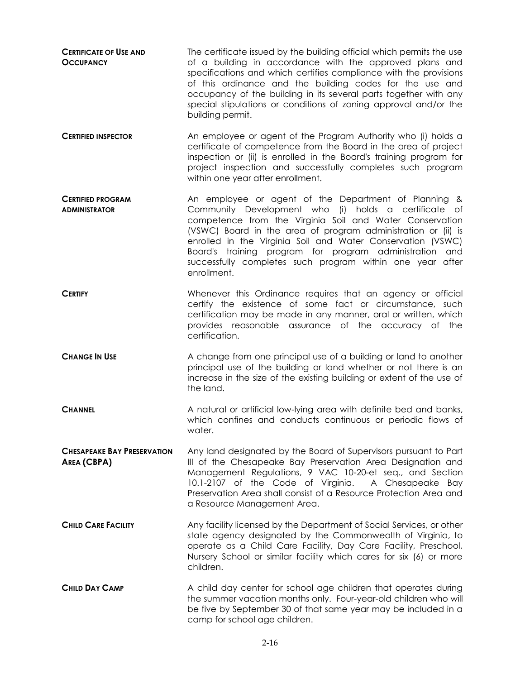- **CERTIFICATE OF USE AND OCCUPANCY** The certificate issued by the building official which permits the use of a building in accordance with the approved plans and specifications and which certifies compliance with the provisions of this ordinance and the building codes for the use and occupancy of the building in its several parts together with any special stipulations or conditions of zoning approval and/or the building permit. **CERTIFIED INSPECTOR** An employee or agent of the Program Authority who (i) holds a certificate of competence from the Board in the area of project inspection or (ii) is enrolled in the Board's training program for project inspection and successfully completes such program within one year after enrollment. **CERTIFIED PROGRAM ADMINISTRATOR** An employee or agent of the Department of Planning & Community Development who (i) holds a certificate of competence from the Virginia Soil and Water Conservation (VSWC) Board in the area of program administration or (ii) is enrolled in the Virginia Soil and Water Conservation (VSWC) Board's training program for program administration and successfully completes such program within one year after enrollment. **CERTIFY** CERTIFY **Whenever this Ordinance requires that an agency or official** certify the existence of some fact or circumstance, such certification may be made in any manner, oral or written, which provides reasonable assurance of the accuracy of the certification. **CHANGE IN USE** A change from one principal use of a building or land to another principal use of the building or land whether or not there is an increase in the size of the existing building or extent of the use of the land.
- **CHANNEL** A natural or artificial low-lying area with definite bed and banks, which confines and conducts continuous or periodic flows of water.
- **CHESAPEAKE BAY PRESERVATION AREA (CBPA)** Any land designated by the Board of Supervisors pursuant to Part III of the Chesapeake Bay Preservation Area Designation and Management Regulations, 9 VAC 10-20-et seq., and Section 10.1-2107 of the Code of Virginia. A Chesapeake Bay Preservation Area shall consist of a Resource Protection Area and a Resource Management Area.
- **CHILD CARE FACILITY** Any facility licensed by the Department of Social Services, or other state agency designated by the Commonwealth of Virginia, to operate as a Child Care Facility, Day Care Facility, Preschool, Nursery School or similar facility which cares for six (6) or more children.
- **CHILD DAY CAMP** A child day center for school age children that operates during the summer vacation months only. Four-year-old children who will be five by September 30 of that same year may be included in a camp for school age children.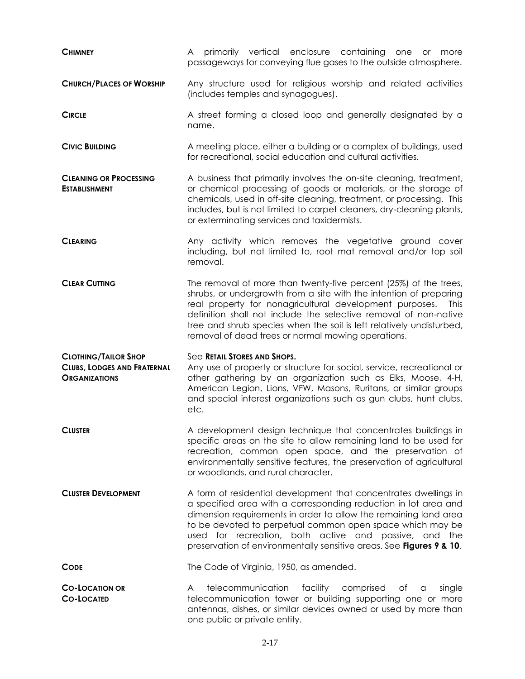| <b>CHIMNEY</b>                                                                            | primarily vertical enclosure containing one or<br>A<br>more<br>passageways for conveying flue gases to the outside atmosphere.                                                                                                                                                                                                                                                                                     |  |  |  |  |  |  |  |  |
|-------------------------------------------------------------------------------------------|--------------------------------------------------------------------------------------------------------------------------------------------------------------------------------------------------------------------------------------------------------------------------------------------------------------------------------------------------------------------------------------------------------------------|--|--|--|--|--|--|--|--|
| <b>CHURCH/PLACES OF WORSHIP</b>                                                           | Any structure used for religious worship and related activities<br>(includes temples and synagogues).                                                                                                                                                                                                                                                                                                              |  |  |  |  |  |  |  |  |
| <b>CIRCLE</b>                                                                             | A street forming a closed loop and generally designated by a<br>name.                                                                                                                                                                                                                                                                                                                                              |  |  |  |  |  |  |  |  |
| <b>CIVIC BUILDING</b>                                                                     | A meeting place, either a building or a complex of buildings, used<br>for recreational, social education and cultural activities.                                                                                                                                                                                                                                                                                  |  |  |  |  |  |  |  |  |
| <b>CLEANING OR PROCESSING</b><br><b>ESTABLISHMENT</b>                                     | A business that primarily involves the on-site cleaning, treatment,<br>or chemical processing of goods or materials, or the storage of<br>chemicals, used in off-site cleaning, treatment, or processing. This<br>includes, but is not limited to carpet cleaners, dry-cleaning plants,<br>or exterminating services and taxidermists.                                                                             |  |  |  |  |  |  |  |  |
| <b>CLEARING</b>                                                                           | Any activity which removes the vegetative ground cover<br>including, but not limited to, root mat removal and/or top soil<br>removal.                                                                                                                                                                                                                                                                              |  |  |  |  |  |  |  |  |
| <b>CLEAR CUTTING</b>                                                                      | The removal of more than twenty-five percent (25%) of the trees,<br>shrubs, or undergrowth from a site with the intention of preparing<br>real property for nonagricultural development purposes.<br><b>This</b><br>definition shall not include the selective removal of non-native<br>tree and shrub species when the soil is left relatively undisturbed,<br>removal of dead trees or normal mowing operations. |  |  |  |  |  |  |  |  |
| <b>CLOTHING/TAILOR SHOP</b><br><b>CLUBS, LODGES AND FRATERNAL</b><br><b>ORGANIZATIONS</b> | See RETAIL STORES AND SHOPS.<br>Any use of property or structure for social, service, recreational or<br>other gathering by an organization such as Elks, Moose, 4-H,<br>American Legion, Lions, VFW, Masons, Ruritans, or similar groups<br>and special interest organizations such as gun clubs, hunt clubs,<br>etc.                                                                                             |  |  |  |  |  |  |  |  |
| <b>CLUSTER</b>                                                                            | A development design technique that concentrates buildings in<br>specific areas on the site to allow remaining land to be used for<br>recreation, common open space, and the preservation of<br>environmentally sensitive features, the preservation of agricultural<br>or woodlands, and rural character.                                                                                                         |  |  |  |  |  |  |  |  |
| <b>CLUSTER DEVELOPMENT</b>                                                                | A form of residential development that concentrates dwellings in<br>a specified area with a corresponding reduction in lot area and<br>dimension requirements in order to allow the remaining land area<br>to be devoted to perpetual common open space which may be<br>used for recreation, both active and passive, and the<br>preservation of environmentally sensitive areas. See Figures 9 & 10.              |  |  |  |  |  |  |  |  |
| <b>CODE</b>                                                                               | The Code of Virginia, 1950, as amended.                                                                                                                                                                                                                                                                                                                                                                            |  |  |  |  |  |  |  |  |
| <b>CO-LOCATION OR</b><br><b>CO-LOCATED</b>                                                | telecommunication<br>facility comprised<br>single<br>A<br>оf<br>a<br>telecommunication tower or building supporting one or more<br>antennas, dishes, or similar devices owned or used by more than<br>one public or private entity.                                                                                                                                                                                |  |  |  |  |  |  |  |  |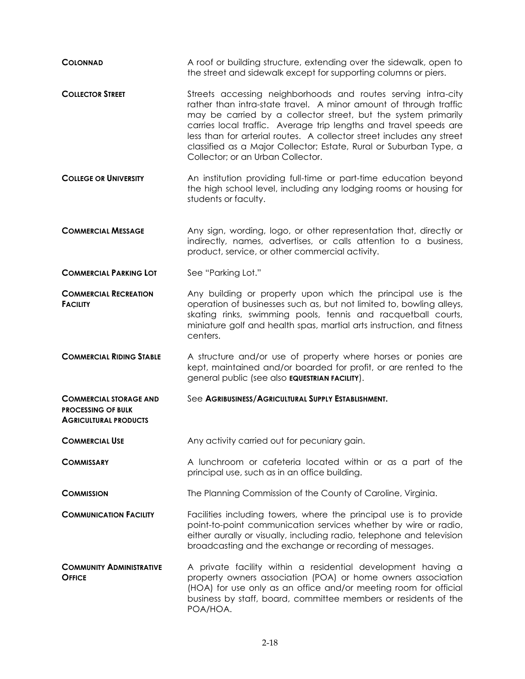| <b>COLONNAD</b>                                                                            | A roof or building structure, extending over the sidewalk, open to<br>the street and sidewalk except for supporting columns or piers.                                                                                                                                                                                                                                                                                                                         |  |  |  |  |  |
|--------------------------------------------------------------------------------------------|---------------------------------------------------------------------------------------------------------------------------------------------------------------------------------------------------------------------------------------------------------------------------------------------------------------------------------------------------------------------------------------------------------------------------------------------------------------|--|--|--|--|--|
| <b>COLLECTOR STREET</b>                                                                    | Streets accessing neighborhoods and routes serving intra-city<br>rather than intra-state travel. A minor amount of through traffic<br>may be carried by a collector street, but the system primarily<br>carries local traffic. Average trip lengths and travel speeds are<br>less than for arterial routes. A collector street includes any street<br>classified as a Major Collector; Estate, Rural or Suburban Type, a<br>Collector; or an Urban Collector. |  |  |  |  |  |
| <b>COLLEGE OR UNIVERSITY</b>                                                               | An institution providing full-time or part-time education beyond<br>the high school level, including any lodging rooms or housing for<br>students or faculty.                                                                                                                                                                                                                                                                                                 |  |  |  |  |  |
| <b>COMMERCIAL MESSAGE</b>                                                                  | Any sign, wording, logo, or other representation that, directly or<br>indirectly, names, advertises, or calls attention to a business,<br>product, service, or other commercial activity.                                                                                                                                                                                                                                                                     |  |  |  |  |  |
| <b>COMMERCIAL PARKING LOT</b>                                                              | See "Parking Lot."                                                                                                                                                                                                                                                                                                                                                                                                                                            |  |  |  |  |  |
| <b>COMMERCIAL RECREATION</b><br><b>FACILITY</b>                                            | Any building or property upon which the principal use is the<br>operation of businesses such as, but not limited to, bowling alleys,<br>skating rinks, swimming pools, tennis and racquetball courts,<br>miniature golf and health spas, martial arts instruction, and fitness<br>centers.                                                                                                                                                                    |  |  |  |  |  |
| <b>COMMERCIAL RIDING STABLE</b>                                                            | A structure and/or use of property where horses or ponies are<br>kept, maintained and/or boarded for profit, or are rented to the<br>general public (see also <b>EQUESTRIAN FACILITY</b> ).                                                                                                                                                                                                                                                                   |  |  |  |  |  |
| <b>COMMERCIAL STORAGE AND</b><br><b>PROCESSING OF BULK</b><br><b>AGRICULTURAL PRODUCTS</b> | See AGRIBUSINESS/AGRICULTURAL SUPPLY ESTABLISHMENT.                                                                                                                                                                                                                                                                                                                                                                                                           |  |  |  |  |  |
| <b>COMMERCIAL USE</b>                                                                      | Any activity carried out for pecuniary gain.                                                                                                                                                                                                                                                                                                                                                                                                                  |  |  |  |  |  |
| <b>COMMISSARY</b>                                                                          | A lunchroom or cafeteria located within or as a part of the<br>principal use, such as in an office building.                                                                                                                                                                                                                                                                                                                                                  |  |  |  |  |  |
| <b>COMMISSION</b>                                                                          | The Planning Commission of the County of Caroline, Virginia.                                                                                                                                                                                                                                                                                                                                                                                                  |  |  |  |  |  |
| <b>COMMUNICATION FACILITY</b>                                                              | Facilities including towers, where the principal use is to provide<br>point-to-point communication services whether by wire or radio,<br>either aurally or visually, including radio, telephone and television<br>broadcasting and the exchange or recording of messages.                                                                                                                                                                                     |  |  |  |  |  |
| <b>COMMUNITY ADMINISTRATIVE</b><br><b>OFFICE</b>                                           | A private facility within a residential development having a<br>property owners association (POA) or home owners association<br>(HOA) for use only as an office and/or meeting room for official<br>business by staff, board, committee members or residents of the<br>POA/HOA.                                                                                                                                                                               |  |  |  |  |  |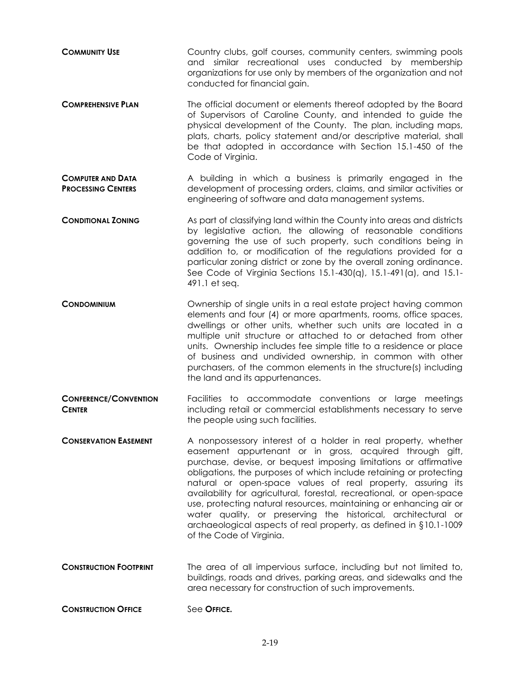| <b>COMMUNITY USE</b> |  |                                                                   |  | Country clubs, golf courses, community centers, swimming pools |
|----------------------|--|-------------------------------------------------------------------|--|----------------------------------------------------------------|
|                      |  |                                                                   |  | and similar recreational uses conducted by membership          |
|                      |  | organizations for use only by members of the organization and not |  |                                                                |
|                      |  | conducted for financial gain.                                     |  |                                                                |

- **COMPREHENSIVE PLAN** The official document or elements thereof adopted by the Board of Supervisors of Caroline County, and intended to guide the physical development of the County. The plan, including maps, plats, charts, policy statement and/or descriptive material, shall be that adopted in accordance with Section 15.1-450 of the Code of Virginia.
- **COMPUTER AND DATA PROCESSING CENTERS** A building in which a business is primarily engaged in the development of processing orders, claims, and similar activities or engineering of software and data management systems.
- **CONDITIONAL ZONING** As part of classifying land within the County into areas and districts by legislative action, the allowing of reasonable conditions governing the use of such property, such conditions being in addition to, or modification of the regulations provided for a particular zoning district or zone by the overall zoning ordinance. See Code of Virginia Sections 15.1-430(q), 15.1-491(a), and 15.1- 491.1 et seq.
- **CONDOMINIUM CONDOMINIUM Ownership of single units in a real estate project having common** elements and four (4) or more apartments, rooms, office spaces, dwellings or other units, whether such units are located in a multiple unit structure or attached to or detached from other units. Ownership includes fee simple title to a residence or place of business and undivided ownership, in common with other purchasers, of the common elements in the structure(s) including the land and its appurtenances.
- **CONFERENCE/CONVENTION CENTER** Facilities to accommodate conventions or large meetings including retail or commercial establishments necessary to serve the people using such facilities.
- **CONSERVATION EASEMENT** A nonpossessory interest of a holder in real property, whether easement appurtenant or in gross, acquired through gift, purchase, devise, or bequest imposing limitations or affirmative obligations, the purposes of which include retaining or protecting natural or open-space values of real property, assuring its availability for agricultural, forestal, recreational, or open-space use, protecting natural resources, maintaining or enhancing air or water quality, or preserving the historical, architectural or archaeological aspects of real property, as defined in §10.1-1009 of the Code of Virginia.
- **CONSTRUCTION FOOTPRINT** The area of all impervious surface, including but not limited to, buildings, roads and drives, parking areas, and sidewalks and the area necessary for construction of such improvements.
- **CONSTRUCTION OFFICE** See OFFICE.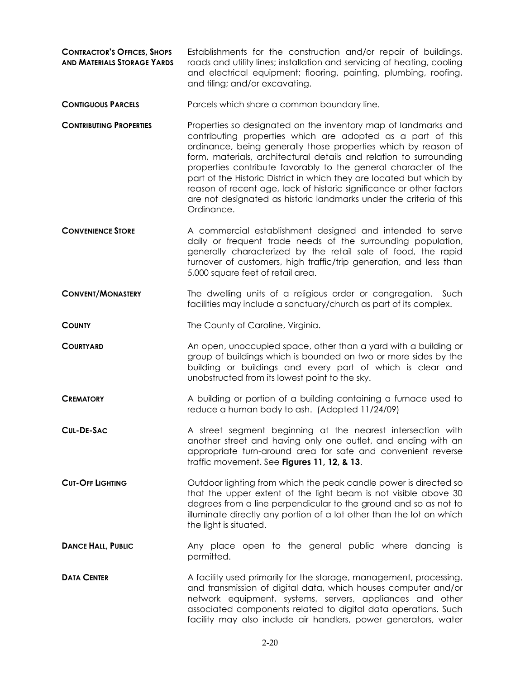- **CONTRACTOR'S OFFICES, SHOPS AND MATERIALS STORAGE YARDS** Establishments for the construction and/or repair of buildings, roads and utility lines; installation and servicing of heating, cooling and electrical equipment; flooring, painting, plumbing, roofing, and tiling; and/or excavating.
- **CONTIGUOUS PARCELS** Parcels which share a common boundary line.
- **CONTRIBUTING PROPERTIES** Properties so designated on the inventory map of landmarks and contributing properties which are adopted as a part of this ordinance, being generally those properties which by reason of form, materials, architectural details and relation to surrounding properties contribute favorably to the general character of the part of the Historic District in which they are located but which by reason of recent age, lack of historic significance or other factors are not designated as historic landmarks under the criteria of this Ordinance.
- **CONVENIENCE STORE** A commercial establishment designed and intended to serve daily or frequent trade needs of the surrounding population, generally characterized by the retail sale of food, the rapid turnover of customers, high traffic/trip generation, and less than 5,000 square feet of retail area.
- **CONVENT/MONASTERY** The dwelling units of a religious order or congregation. Such facilities may include a sanctuary/church as part of its complex.

**COUNTY** The County of Caroline, Virginia.

- **COURTYARD COURTYARD** An open, unoccupied space, other than a yard with a building or group of buildings which is bounded on two or more sides by the building or buildings and every part of which is clear and unobstructed from its lowest point to the sky.
- **CREMATORY A** building or portion of a building containing a furnace used to reduce a human body to ash. (Adopted 11/24/09)
- **CUL-DE-SAC** A street segment beginning at the nearest intersection with another street and having only one outlet, and ending with an appropriate turn-around area for safe and convenient reverse traffic movement. See **Figures 11, 12, & 13**.
- **CUT-OFF LIGHTING** CUTLOOF lighting from which the peak candle power is directed so that the upper extent of the light beam is not visible above 30 degrees from a line perpendicular to the ground and so as not to illuminate directly any portion of a lot other than the lot on which the light is situated.
- **DANCE HALL, PUBLIC** Any place open to the general public where dancing is permitted.
- **DATA CENTER** A facility used primarily for the storage, management, processing, and transmission of digital data, which houses computer and/or network equipment, systems, servers, appliances and other associated components related to digital data operations. Such facility may also include air handlers, power generators, water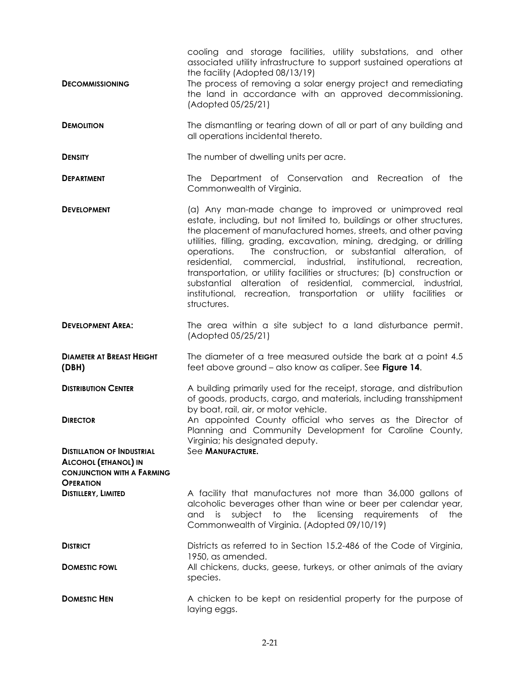|                                                                                                       | cooling and storage facilities, utility substations, and other<br>associated utility infrastructure to support sustained operations at<br>the facility (Adopted 08/13/19)                                                                                                                                                                                                                                                                                                                                                                                                                                                                              |
|-------------------------------------------------------------------------------------------------------|--------------------------------------------------------------------------------------------------------------------------------------------------------------------------------------------------------------------------------------------------------------------------------------------------------------------------------------------------------------------------------------------------------------------------------------------------------------------------------------------------------------------------------------------------------------------------------------------------------------------------------------------------------|
| <b>DECOMMISSIONING</b>                                                                                | The process of removing a solar energy project and remediating<br>the land in accordance with an approved decommissioning.<br>(Adopted 05/25/21)                                                                                                                                                                                                                                                                                                                                                                                                                                                                                                       |
| <b>DEMOLITION</b>                                                                                     | The dismantling or tearing down of all or part of any building and<br>all operations incidental thereto.                                                                                                                                                                                                                                                                                                                                                                                                                                                                                                                                               |
| <b>DENSITY</b>                                                                                        | The number of dwelling units per acre.                                                                                                                                                                                                                                                                                                                                                                                                                                                                                                                                                                                                                 |
| <b>DEPARTMENT</b>                                                                                     | The Department of Conservation and Recreation of the<br>Commonwealth of Virginia.                                                                                                                                                                                                                                                                                                                                                                                                                                                                                                                                                                      |
| <b>DEVELOPMENT</b>                                                                                    | (a) Any man-made change to improved or unimproved real<br>estate, including, but not limited to, buildings or other structures,<br>the placement of manufactured homes, streets, and other paving<br>utilities, filling, grading, excavation, mining, dredging, or drilling<br>The construction, or substantial alteration, of<br>operations.<br>residential,<br>commercial, industrial, institutional, recreation,<br>transportation, or utility facilities or structures; (b) construction or<br>substantial alteration of residential, commercial, industrial,<br>institutional, recreation, transportation or utility facilities or<br>structures. |
| <b>DEVELOPMENT AREA:</b>                                                                              | The area within a site subject to a land disturbance permit.<br>(Adopted 05/25/21)                                                                                                                                                                                                                                                                                                                                                                                                                                                                                                                                                                     |
| <b>DIAMETER AT BREAST HEIGHT</b><br>(DBH)                                                             | The diameter of a tree measured outside the bark at a point 4.5<br>feet above ground - also know as caliper. See Figure 14.                                                                                                                                                                                                                                                                                                                                                                                                                                                                                                                            |
| <b>DISTRIBUTION CENTER</b>                                                                            | A building primarily used for the receipt, storage, and distribution<br>of goods, products, cargo, and materials, including transshipment<br>by boat, rail, air, or motor vehicle.                                                                                                                                                                                                                                                                                                                                                                                                                                                                     |
| <b>DIRECTOR</b>                                                                                       | An appointed County official who serves as the Director of<br>Planning and Community Development for Caroline County,<br>Virginia; his designated deputy.                                                                                                                                                                                                                                                                                                                                                                                                                                                                                              |
| <b>DISTILLATION OF INDUSTRIAL</b><br><b>ALCOHOL (ETHANOL) IN</b><br><b>CONJUNCTION WITH A FARMING</b> | See MANUFACTURE.                                                                                                                                                                                                                                                                                                                                                                                                                                                                                                                                                                                                                                       |
| <b>OPERATION</b><br><b>DISTILLERY, LIMITED</b>                                                        | A facility that manufactures not more than 36,000 gallons of<br>alcoholic beverages other than wine or beer per calendar year,<br>subject to the licensing requirements<br>and is<br>of<br>the<br>Commonwealth of Virginia. (Adopted 09/10/19)                                                                                                                                                                                                                                                                                                                                                                                                         |
| <b>DISTRICT</b>                                                                                       | Districts as referred to in Section 15.2-486 of the Code of Virginia,<br>1950, as amended.                                                                                                                                                                                                                                                                                                                                                                                                                                                                                                                                                             |
| <b>DOMESTIC FOWL</b>                                                                                  | All chickens, ducks, geese, turkeys, or other animals of the aviary<br>species.                                                                                                                                                                                                                                                                                                                                                                                                                                                                                                                                                                        |
| <b>DOMESTIC HEN</b>                                                                                   | A chicken to be kept on residential property for the purpose of<br>laying eggs.                                                                                                                                                                                                                                                                                                                                                                                                                                                                                                                                                                        |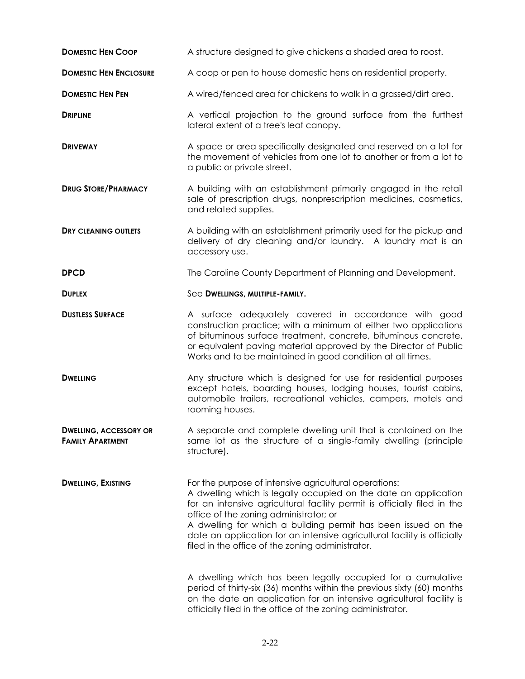| <b>DOMESTIC HEN COOP</b>                                 | A structure designed to give chickens a shaded area to roost.                                                                                                                                                                                                                                                                                                                                                                                                                                                                                                                                                                                                                                                                   |
|----------------------------------------------------------|---------------------------------------------------------------------------------------------------------------------------------------------------------------------------------------------------------------------------------------------------------------------------------------------------------------------------------------------------------------------------------------------------------------------------------------------------------------------------------------------------------------------------------------------------------------------------------------------------------------------------------------------------------------------------------------------------------------------------------|
| <b>DOMESTIC HEN ENCLOSURE</b>                            | A coop or pen to house domestic hens on residential property.                                                                                                                                                                                                                                                                                                                                                                                                                                                                                                                                                                                                                                                                   |
| <b>DOMESTIC HEN PEN</b>                                  | A wired/fenced area for chickens to walk in a grassed/dirt area.                                                                                                                                                                                                                                                                                                                                                                                                                                                                                                                                                                                                                                                                |
| <b>DRIPLINE</b>                                          | A vertical projection to the ground surface from the furthest<br>lateral extent of a tree's leaf canopy.                                                                                                                                                                                                                                                                                                                                                                                                                                                                                                                                                                                                                        |
| <b>DRIVEWAY</b>                                          | A space or area specifically designated and reserved on a lot for<br>the movement of vehicles from one lot to another or from a lot to<br>a public or private street.                                                                                                                                                                                                                                                                                                                                                                                                                                                                                                                                                           |
| <b>DRUG STORE/PHARMACY</b>                               | A building with an establishment primarily engaged in the retail<br>sale of prescription drugs, nonprescription medicines, cosmetics,<br>and related supplies.                                                                                                                                                                                                                                                                                                                                                                                                                                                                                                                                                                  |
| <b>DRY CLEANING OUTLETS</b>                              | A building with an establishment primarily used for the pickup and<br>delivery of dry cleaning and/or laundry. A laundry mat is an<br>accessory use.                                                                                                                                                                                                                                                                                                                                                                                                                                                                                                                                                                            |
| <b>DPCD</b>                                              | The Caroline County Department of Planning and Development.                                                                                                                                                                                                                                                                                                                                                                                                                                                                                                                                                                                                                                                                     |
| <b>DUPLEX</b>                                            | See DWELLINGS, MULTIPLE-FAMILY.                                                                                                                                                                                                                                                                                                                                                                                                                                                                                                                                                                                                                                                                                                 |
| <b>DUSTLESS SURFACE</b>                                  | A surface adequately covered in accordance with good<br>construction practice; with a minimum of either two applications<br>of bituminous surface treatment, concrete, bituminous concrete,<br>or equivalent paving material approved by the Director of Public<br>Works and to be maintained in good condition at all times.                                                                                                                                                                                                                                                                                                                                                                                                   |
| <b>DWELLING</b>                                          | Any structure which is designed for use for residential purposes<br>except hotels, boarding houses, lodging houses, tourist cabins,<br>automobile trailers, recreational vehicles, campers, motels and<br>rooming houses.                                                                                                                                                                                                                                                                                                                                                                                                                                                                                                       |
| <b>DWELLING, ACCESSORY OR</b><br><b>FAMILY APARTMENT</b> | A separate and complete dwelling unit that is contained on the<br>same lot as the structure of a single-family dwelling (principle<br>structure).                                                                                                                                                                                                                                                                                                                                                                                                                                                                                                                                                                               |
| <b>DWELLING, EXISTING</b>                                | For the purpose of intensive agricultural operations:<br>A dwelling which is legally occupied on the date an application<br>for an intensive agricultural facility permit is officially filed in the<br>office of the zoning administrator; or<br>A dwelling for which a building permit has been issued on the<br>date an application for an intensive agricultural facility is officially<br>filed in the office of the zoning administrator.<br>A dwelling which has been legally occupied for a cumulative<br>period of thirty-six (36) months within the previous sixty (60) months<br>on the date an application for an intensive agricultural facility is<br>officially filed in the office of the zoning administrator. |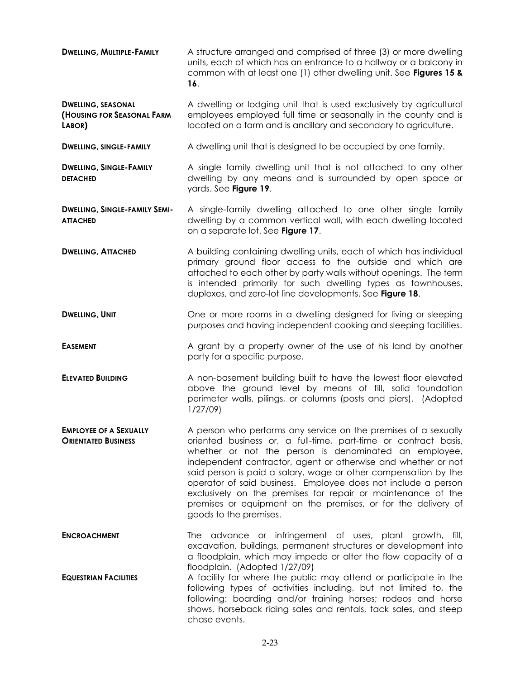**DWELLING, MULTIPLE-FAMILY** A structure arranged and comprised of three (3) or more dwelling units, each of which has an entrance to a hallway or a balcony in common with at least one (1) other dwelling unit. See **Figures 15 & 16**.

**DWELLING, SEASONAL (HOUSING FOR SEASONAL FARM LABOR)** A dwelling or lodging unit that is used exclusively by agricultural employees employed full time or seasonally in the county and is located on a farm and is ancillary and secondary to agriculture.

**DWELLING, SINGLE-FAMILY A dwelling unit that is designed to be occupied by one family.** 

**DWELLING, SINGLE-FAMILY DETACHED** A single family dwelling unit that is not attached to any other dwelling by any means and is surrounded by open space or yards. See **Figure 19**.

**DWELLING, SINGLE-FAMILY SEMI-ATTACHED** A single-family dwelling attached to one other single family dwelling by a common vertical wall, with each dwelling located on a separate lot. See **Figure 17**.

**DWELLING, ATTACHED A building containing dwelling units, each of which has individual** primary ground floor access to the outside and which are attached to each other by party walls without openings. The term is intended primarily for such dwelling types as townhouses, duplexes, and zero-lot line developments. See **Figure 18**.

**DWELLING, UNIT CONDUCT ONEXAM** One or more rooms in a dwelling designed for living or sleeping purposes and having independent cooking and sleeping facilities.

**EASEMENT** A grant by a property owner of the use of his land by another party for a specific purpose.

**ELEVATED BUILDING** A non-basement building built to have the lowest floor elevated above the ground level by means of fill, solid foundation perimeter walls, pilings, or columns (posts and piers). (Adopted 1/27/09)

**EMPLOYEE OF A SEXUALLY ORIENTATED BUSINESS** A person who performs any service on the premises of a sexually oriented business or, a full-time, part-time or contract basis, whether or not the person is denominated an employee, independent contractor, agent or otherwise and whether or not said person is paid a salary, wage or other compensation by the operator of said business. Employee does not include a person exclusively on the premises for repair or maintenance of the premises or equipment on the premises, or for the delivery of goods to the premises.

**ENCROACHMENT** The advance or infringement of uses, plant growth, fill, excavation, buildings, permanent structures or development into a floodplain, which may impede or alter the flow capacity of a floodplain. (Adopted 1/27/09) **EQUESTRIAN FACILITIES** A facility for where the public may attend or participate in the

following types of activities including, but not limited to, the following: boarding and/or training horses; rodeos and horse shows, horseback riding sales and rentals, tack sales, and steep chase events.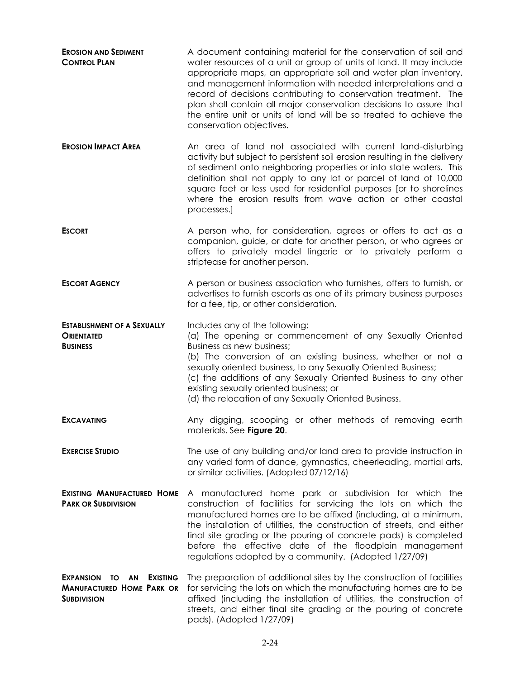| <b>EROSION AND SEDIMENT</b><br><b>CONTROL PLAN</b>                                           | A document containing material for the conservation of soil and<br>water resources of a unit or group of units of land. It may include<br>appropriate maps, an appropriate soil and water plan inventory,<br>and management information with needed interpretations and a<br>record of decisions contributing to conservation treatment. The<br>plan shall contain all major conservation decisions to assure that<br>the entire unit or units of land will be so treated to achieve the<br>conservation objectives. |
|----------------------------------------------------------------------------------------------|----------------------------------------------------------------------------------------------------------------------------------------------------------------------------------------------------------------------------------------------------------------------------------------------------------------------------------------------------------------------------------------------------------------------------------------------------------------------------------------------------------------------|
| <b>EROSION IMPACT AREA</b>                                                                   | An area of land not associated with current land-disturbing<br>activity but subject to persistent soil erosion resulting in the delivery<br>of sediment onto neighboring properties or into state waters. This<br>definition shall not apply to any lot or parcel of land of 10,000<br>square feet or less used for residential purposes [or to shorelines<br>where the erosion results from wave action or other coastal<br>processes.]                                                                             |
| <b>ESCORT</b>                                                                                | A person who, for consideration, agrees or offers to act as a<br>companion, guide, or date for another person, or who agrees or<br>offers to privately model lingerie or to privately perform a<br>striptease for another person.                                                                                                                                                                                                                                                                                    |
| <b>ESCORT AGENCY</b>                                                                         | A person or business association who furnishes, offers to furnish, or<br>advertises to furnish escorts as one of its primary business purposes<br>for a fee, tip, or other consideration.                                                                                                                                                                                                                                                                                                                            |
| <b>ESTABLISHMENT OF A SEXUALLY</b><br><b>ORIENTATED</b><br><b>BUSINESS</b>                   | Includes any of the following:<br>(a) The opening or commencement of any Sexually Oriented<br>Business as new business;<br>(b) The conversion of an existing business, whether or not a<br>sexually oriented business, to any Sexually Oriented Business;<br>(c) the additions of any Sexually Oriented Business to any other<br>existing sexually oriented business; or<br>(d) the relocation of any Sexually Oriented Business.                                                                                    |
| <b>EXCAVATING</b>                                                                            | Any digging, scooping or other methods of removing earth<br>materials. See Figure 20.                                                                                                                                                                                                                                                                                                                                                                                                                                |
| <b>EXERCISE STUDIO</b>                                                                       | The use of any building and/or land area to provide instruction in<br>any varied form of dance, gymnastics, cheerleading, martial arts,<br>or similar activities. (Adopted 07/12/16)                                                                                                                                                                                                                                                                                                                                 |
| <b>EXISTING MANUFACTURED HOME</b><br><b>PARK OR SUBDIVISION</b>                              | A manufactured home park or subdivision for which the<br>construction of facilities for servicing the lots on which the<br>manufactured homes are to be affixed (including, at a minimum,<br>the installation of utilities, the construction of streets, and either<br>final site grading or the pouring of concrete pads) is completed<br>before the effective date of the floodplain management<br>regulations adopted by a community. (Adopted 1/27/09)                                                           |
| EXPANSION TO AN<br><b>EXISTING</b><br><b>MANUFACTURED HOME PARK OR</b><br><b>SUBDIVISION</b> | The preparation of additional sites by the construction of facilities<br>for servicing the lots on which the manufacturing homes are to be<br>affixed (including the installation of utilities, the construction of<br>streets, and either final site grading or the pouring of concrete<br>pads). (Adopted 1/27/09)                                                                                                                                                                                                 |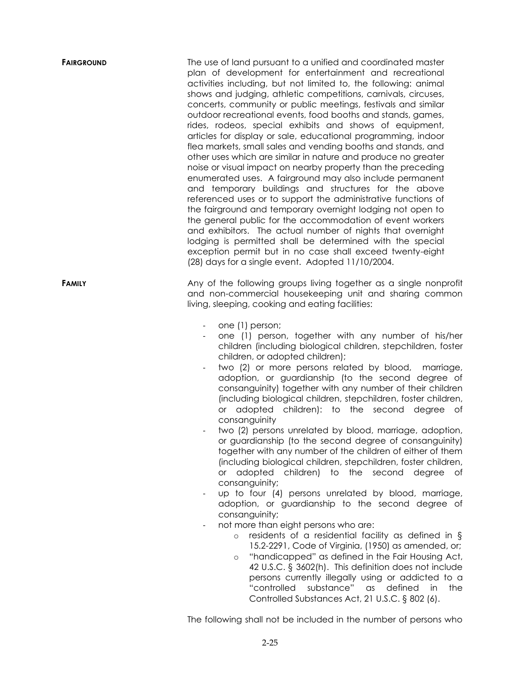| <b>FAIRGROUND</b> | The use of land pursuant to a unified and coordinated master<br>plan of development for entertainment and recreational<br>activities including, but not limited to, the following: animal<br>shows and judging, athletic competitions, carnivals, circuses,<br>concerts, community or public meetings, festivals and similar<br>outdoor recreational events, food booths and stands, games,<br>rides, rodeos, special exhibits and shows of equipment,<br>articles for display or sale, educational programming, indoor<br>flea markets, small sales and vending booths and stands, and<br>other uses which are similar in nature and produce no greater<br>noise or visual impact on nearby property than the preceding<br>enumerated uses. A fairground may also include permanent<br>and temporary buildings and structures for the above<br>referenced uses or to support the administrative functions of<br>the fairground and temporary overnight lodging not open to<br>the general public for the accommodation of event workers<br>and exhibitors. The actual number of nights that overnight<br>lodging is permitted shall be determined with the special<br>exception permit but in no case shall exceed twenty-eight<br>(28) days for a single event. Adopted 11/10/2004.                                                                                                                                                                                    |
|-------------------|--------------------------------------------------------------------------------------------------------------------------------------------------------------------------------------------------------------------------------------------------------------------------------------------------------------------------------------------------------------------------------------------------------------------------------------------------------------------------------------------------------------------------------------------------------------------------------------------------------------------------------------------------------------------------------------------------------------------------------------------------------------------------------------------------------------------------------------------------------------------------------------------------------------------------------------------------------------------------------------------------------------------------------------------------------------------------------------------------------------------------------------------------------------------------------------------------------------------------------------------------------------------------------------------------------------------------------------------------------------------------------------------------------------------------------------------------------------------------|
| <b>FAMILY</b>     | Any of the following groups living together as a single nonprofit<br>and non-commercial housekeeping unit and sharing common<br>living, sleeping, cooking and eating facilities:                                                                                                                                                                                                                                                                                                                                                                                                                                                                                                                                                                                                                                                                                                                                                                                                                                                                                                                                                                                                                                                                                                                                                                                                                                                                                         |
|                   | one (1) person;<br>one (1) person, together with any number of his/her<br>children (including biological children, stepchildren, foster<br>children, or adopted children);<br>two (2) or more persons related by blood, marriage,<br>adoption, or guardianship (to the second degree of<br>consanguinity) together with any number of their children<br>(including biological children, stepchildren, foster children,<br>adopted children): to the second degree of<br><b>or</b><br>consanguinity<br>two (2) persons unrelated by blood, marriage, adoption,<br>or guardianship (to the second degree of consanguinity)<br>together with any number of the children of either of them<br>(including biological children, stepchildren, foster children,<br>adopted children) to the second degree<br>$\circ$ r<br>оf<br>consanguinity;<br>up to four (4) persons unrelated by blood, marriage,<br>$\overline{\phantom{a}}$<br>adoption, or guardianship to the second degree of<br>consanguinity;<br>not more than eight persons who are:<br>residents of a residential facility as defined in §<br>$\circ$<br>15.2-2291, Code of Virginia, (1950) as amended, or;<br>"handicapped" as defined in the Fair Housing Act,<br>$\circ$<br>42 U.S.C. § 3602(h). This definition does not include<br>persons currently illegally using or addicted to a<br>substance"<br>"controlled<br>defined<br>$\alpha$ s<br>in<br>the<br>Controlled Substances Act, 21 U.S.C. § 802 (6). |
|                   | The following shall not be included in the number of persons who                                                                                                                                                                                                                                                                                                                                                                                                                                                                                                                                                                                                                                                                                                                                                                                                                                                                                                                                                                                                                                                                                                                                                                                                                                                                                                                                                                                                         |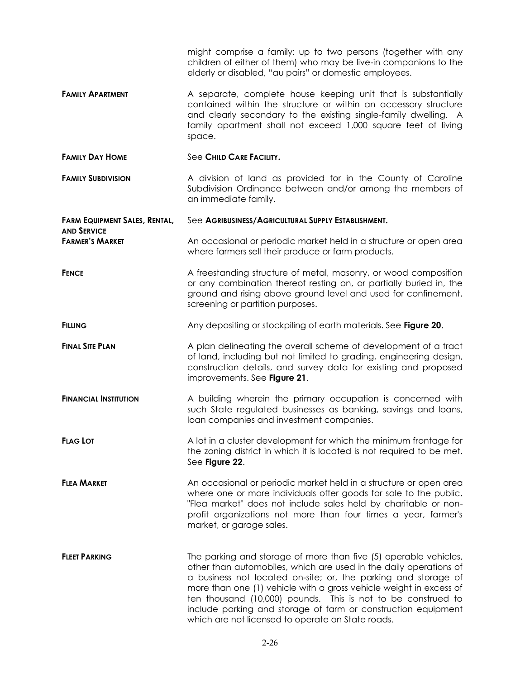might comprise a family: up to two persons (together with any children of either of them) who may be live-in companions to the elderly or disabled, "au pairs" or domestic employees.

- **FAMILY APARTMENT** A separate, complete house keeping unit that is substantially contained within the structure or within an accessory structure and clearly secondary to the existing single-family dwelling. A family apartment shall not exceed 1,000 square feet of living space.
- **FAMILY DAY HOME** See **CHILD CARE FACILITY.**
- **FAMILY SUBDIVISION** A division of land as provided for in the County of Caroline Subdivision Ordinance between and/or among the members of an immediate family.

**FARM EQUIPMENT SALES, RENTAL, AND SERVICE** See **AGRIBUSINESS/AGRICULTURAL SUPPLY ESTABLISHMENT. FARMER'S MARKET** An occasional or periodic market held in a structure or open area

**FENCE A** freestanding structure of metal, masonry, or wood composition or any combination thereof resting on, or partially buried in, the ground and rising above ground level and used for confinement, screening or partition purposes.

where farmers sell their produce or farm products.

- **FILLING Any depositing or stockpiling of earth materials. See Figure 20.**
- **FINAL SITE PLAN A** plan delineating the overall scheme of development of a tract of land, including but not limited to grading, engineering design, construction details, and survey data for existing and proposed improvements. See **Figure 21**.
- **FINANCIAL INSTITUTION** A building wherein the primary occupation is concerned with such State regulated businesses as banking, savings and loans, loan companies and investment companies.
- **FLAG LOT** A lot in a cluster development for which the minimum frontage for the zoning district in which it is located is not required to be met. See **Figure 22**.

**FLEA MARKET** An occasional or periodic market held in a structure or open area where one or more individuals offer goods for sale to the public. "Flea market" does not include sales held by charitable or nonprofit organizations not more than four times a year, farmer's market, or garage sales.

**FLEET PARKING** The parking and storage of more than five (5) operable vehicles, other than automobiles, which are used in the daily operations of a business not located on-site; or, the parking and storage of more than one (1) vehicle with a gross vehicle weight in excess of ten thousand (10,000) pounds. This is not to be construed to include parking and storage of farm or construction equipment which are not licensed to operate on State roads.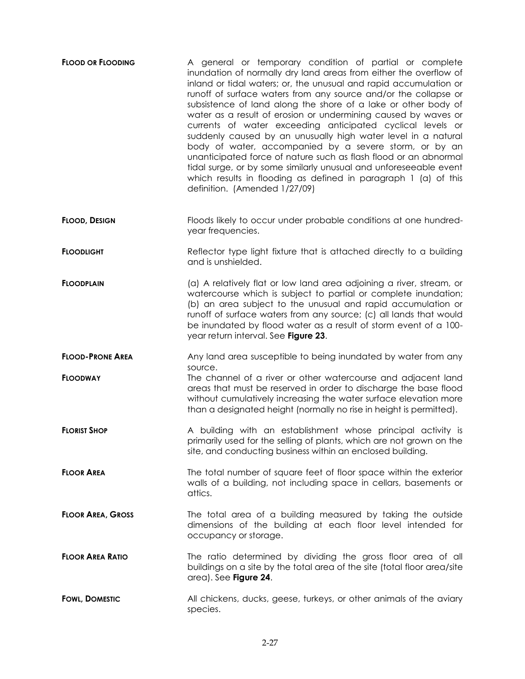| <b>FLOOD OR FLOODING</b> | A general or temporary condition of partial or complete<br>inundation of normally dry land areas from either the overflow of<br>inland or tidal waters; or, the unusual and rapid accumulation or<br>runoff of surface waters from any source and/or the collapse or<br>subsistence of land along the shore of a lake or other body of<br>water as a result of erosion or undermining caused by waves or<br>currents of water exceeding anticipated cyclical levels or<br>suddenly caused by an unusually high water level in a natural<br>body of water, accompanied by a severe storm, or by an<br>unanticipated force of nature such as flash flood or an abnormal<br>tidal surge, or by some similarly unusual and unforeseeable event<br>which results in flooding as defined in paragraph 1 (a) of this<br>definition. (Amended 1/27/09) |
|--------------------------|------------------------------------------------------------------------------------------------------------------------------------------------------------------------------------------------------------------------------------------------------------------------------------------------------------------------------------------------------------------------------------------------------------------------------------------------------------------------------------------------------------------------------------------------------------------------------------------------------------------------------------------------------------------------------------------------------------------------------------------------------------------------------------------------------------------------------------------------|
| <b>FLOOD, DESIGN</b>     | Floods likely to occur under probable conditions at one hundred-<br>year frequencies.                                                                                                                                                                                                                                                                                                                                                                                                                                                                                                                                                                                                                                                                                                                                                          |
| <b>FLOODLIGHT</b>        | Reflector type light fixture that is attached directly to a building<br>and is unshielded.                                                                                                                                                                                                                                                                                                                                                                                                                                                                                                                                                                                                                                                                                                                                                     |
| <b>FLOODPLAIN</b>        | (a) A relatively flat or low land area adjoining a river, stream, or<br>watercourse which is subject to partial or complete inundation;<br>(b) an area subject to the unusual and rapid accumulation or<br>runoff of surface waters from any source; (c) all lands that would<br>be inundated by flood water as a result of storm event of a 100-<br>year return interval. See Figure 23.                                                                                                                                                                                                                                                                                                                                                                                                                                                      |
| <b>FLOOD-PRONE AREA</b>  | Any land area susceptible to being inundated by water from any<br>source.                                                                                                                                                                                                                                                                                                                                                                                                                                                                                                                                                                                                                                                                                                                                                                      |
| <b>FLOODWAY</b>          | The channel of a river or other watercourse and adjacent land<br>areas that must be reserved in order to discharge the base flood<br>without cumulatively increasing the water surface elevation more<br>than a designated height (normally no rise in height is permitted).                                                                                                                                                                                                                                                                                                                                                                                                                                                                                                                                                                   |
| <b>FLORIST SHOP</b>      | A building with an establishment whose principal activity is<br>primarily used for the selling of plants, which are not grown on the<br>site, and conducting business within an enclosed building.                                                                                                                                                                                                                                                                                                                                                                                                                                                                                                                                                                                                                                             |
| <b>FLOOR AREA</b>        | The total number of square feet of floor space within the exterior<br>walls of a building, not including space in cellars, basements or<br>attics.                                                                                                                                                                                                                                                                                                                                                                                                                                                                                                                                                                                                                                                                                             |
| <b>FLOOR AREA, GROSS</b> | The total area of a building measured by taking the outside<br>dimensions of the building at each floor level intended for<br>occupancy or storage.                                                                                                                                                                                                                                                                                                                                                                                                                                                                                                                                                                                                                                                                                            |
| <b>FLOOR AREA RATIO</b>  | The ratio determined by dividing the gross floor area of all<br>buildings on a site by the total area of the site (total floor area/site<br>area). See Figure 24.                                                                                                                                                                                                                                                                                                                                                                                                                                                                                                                                                                                                                                                                              |
| <b>FOWL, DOMESTIC</b>    | All chickens, ducks, geese, turkeys, or other animals of the aviary<br>species.                                                                                                                                                                                                                                                                                                                                                                                                                                                                                                                                                                                                                                                                                                                                                                |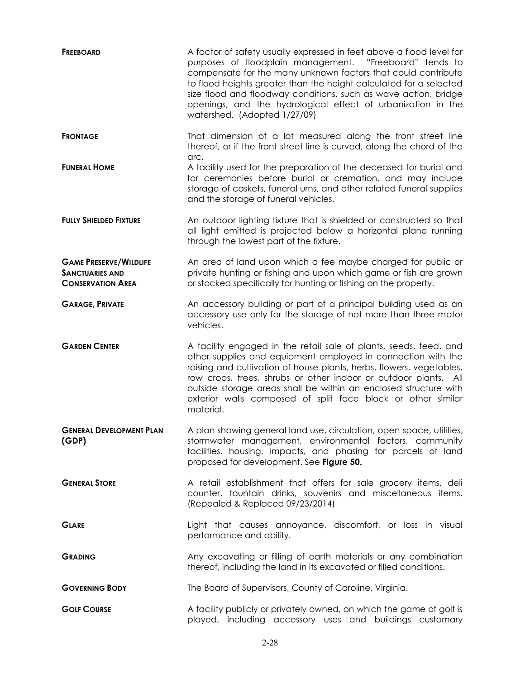| <b>FREEBOARD</b>                                                                    | A factor of safety usually expressed in feet above a flood level for<br>purposes of floodplain management. "Freeboard" tends to<br>compensate for the many unknown factors that could contribute<br>to flood heights greater than the height calculated for a selected<br>size flood and floodway conditions, such as wave action, bridge<br>openings, and the hydrological effect of urbanization in the<br>watershed. (Adopted 1/27/09) |
|-------------------------------------------------------------------------------------|-------------------------------------------------------------------------------------------------------------------------------------------------------------------------------------------------------------------------------------------------------------------------------------------------------------------------------------------------------------------------------------------------------------------------------------------|
| <b>FRONTAGE</b>                                                                     | That dimension of a lot measured along the front street line<br>thereof, or if the front street line is curved, along the chord of the<br>arc.                                                                                                                                                                                                                                                                                            |
| <b>FUNERAL HOME</b>                                                                 | A facility used for the preparation of the deceased for burial and<br>for ceremonies before burial or cremation, and may include<br>storage of caskets, funeral urns, and other related funeral supplies<br>and the storage of funeral vehicles.                                                                                                                                                                                          |
| <b>FULLY SHIELDED FIXTURE</b>                                                       | An outdoor lighting fixture that is shielded or constructed so that<br>all light emitted is projected below a horizontal plane running<br>through the lowest part of the fixture.                                                                                                                                                                                                                                                         |
| <b>GAME PRESERVE/WILDLIFE</b><br><b>SANCTUARIES AND</b><br><b>CONSERVATION AREA</b> | An area of land upon which a fee maybe charged for public or<br>private hunting or fishing and upon which game or fish are grown<br>or stocked specifically for hunting or fishing on the property.                                                                                                                                                                                                                                       |
| <b>GARAGE, PRIVATE</b>                                                              | An accessory building or part of a principal building used as an<br>accessory use only for the storage of not more than three motor<br>vehicles.                                                                                                                                                                                                                                                                                          |
| <b>GARDEN CENTER</b>                                                                | A facility engaged in the retail sale of plants, seeds, feed, and<br>other supplies and equipment employed in connection with the<br>raising and cultivation of house plants, herbs, flowers, vegetables,<br>row crops, trees, shrubs or other indoor or outdoor plants. All<br>outside storage areas shall be within an enclosed structure with<br>exterior walls composed of split face block or other similar<br>material.             |
| <b>GENERAL DEVELOPMENT PLAN</b><br>(GDP)                                            | A plan showing general land use, circulation, open space, utilities,<br>stormwater management, environmental factors, community<br>facilities, housing, impacts, and phasing for parcels of land<br>proposed for development. See Figure 50.                                                                                                                                                                                              |
| <b>GENERAL STORE</b>                                                                | A retail establishment that offers for sale grocery items, deli<br>counter, fountain drinks, souvenirs and miscellaneous items.<br>(Repealed & Replaced 09/23/2014)                                                                                                                                                                                                                                                                       |
| <b>GLARE</b>                                                                        | Light that causes annoyance, discomfort, or loss in visual<br>performance and ability.                                                                                                                                                                                                                                                                                                                                                    |
| <b>GRADING</b>                                                                      | Any excavating or filling of earth materials or any combination<br>thereof, including the land in its excavated or filled conditions.                                                                                                                                                                                                                                                                                                     |
| <b>GOVERNING BODY</b>                                                               | The Board of Supervisors, County of Caroline, Virginia.                                                                                                                                                                                                                                                                                                                                                                                   |
| <b>GOLF COURSE</b>                                                                  | A facility publicly or privately owned, on which the game of golf is<br>played, including accessory uses and buildings customary                                                                                                                                                                                                                                                                                                          |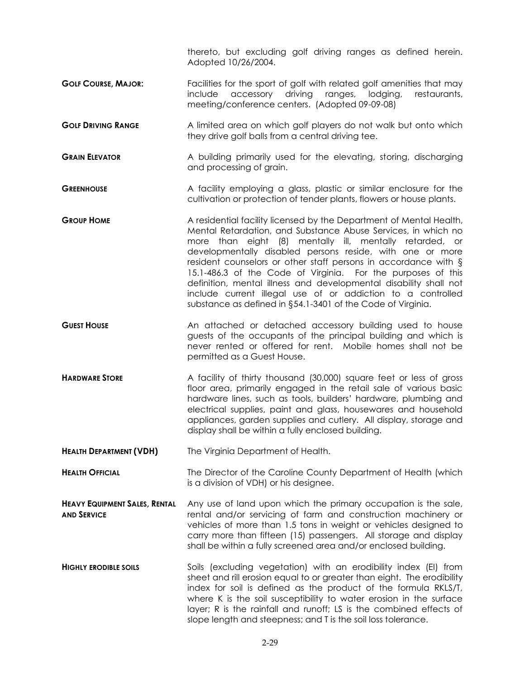thereto, but excluding golf driving ranges as defined herein. Adopted 10/26/2004.

- **GOLF COURSE, MAJOR:** Facilities for the sport of golf with related golf amenities that may include accessory driving ranges, lodging, restaurants, meeting/conference centers. (Adopted 09-09-08)
- **GOLF DRIVING RANGE A** limited area on which golf players do not walk but onto which they drive golf balls from a central driving tee.
- **GRAIN ELEVATOR** A building primarily used for the elevating, storing, discharging and processing of grain.
- **GREENHOUSE** A facility employing a glass, plastic or similar enclosure for the cultivation or protection of tender plants, flowers or house plants.
- **GROUP HOME** A residential facility licensed by the Department of Mental Health, Mental Retardation, and Substance Abuse Services, in which no more than eight (8) mentally ill, mentally retarded, or developmentally disabled persons reside, with one or more resident counselors or other staff persons in accordance with § 15.1-486.3 of the Code of Virginia. For the purposes of this definition, mental illness and developmental disability shall not include current illegal use of or addiction to a controlled substance as defined in §54.1-3401 of the Code of Virginia.
- **GUEST HOUSE** An attached or detached accessory building used to house guests of the occupants of the principal building and which is never rented or offered for rent. Mobile homes shall not be permitted as a Guest House.
- **HARDWARE STORE** A facility of thirty thousand (30,000) square feet or less of gross floor area, primarily engaged in the retail sale of various basic hardware lines, such as tools, builders' hardware, plumbing and electrical supplies, paint and glass, housewares and household appliances, garden supplies and cutlery. All display, storage and display shall be within a fully enclosed building.
- **HEALTH DEPARTMENT (VDH)** The Virginia Department of Health.

**HEALTH OFFICIAL** The Director of the Caroline County Department of Health (which is a division of VDH) or his designee.

- **HEAVY EQUIPMENT SALES, RENTAL AND SERVICE** Any use of land upon which the primary occupation is the sale, rental and/or servicing of farm and construction machinery or vehicles of more than 1.5 tons in weight or vehicles designed to carry more than fifteen (15) passengers. All storage and display shall be within a fully screened area and/or enclosed building.
- **HIGHLY ERODIBLE SOILS** Soils (excluding vegetation) with an erodibility index (EI) from sheet and rill erosion equal to or greater than eight. The erodibility index for soil is defined as the product of the formula RKLS/T, where K is the soil susceptibility to water erosion in the surface layer; R is the rainfall and runoff; LS is the combined effects of slope length and steepness; and T is the soil loss tolerance.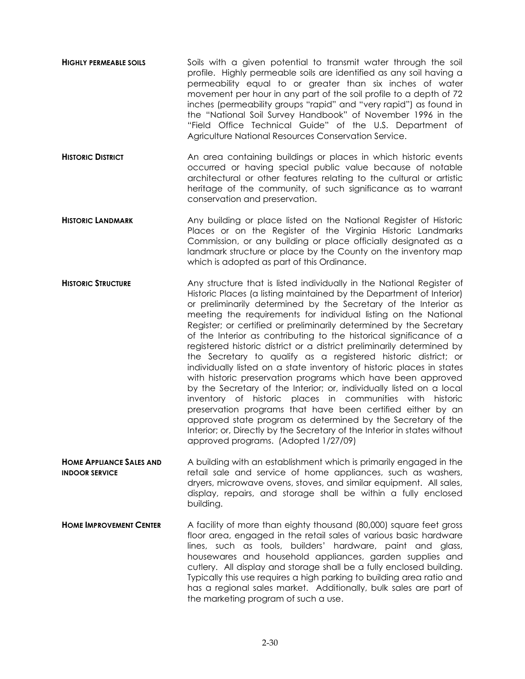- **HIGHLY PERMEABLE SOILS** Soils with a given potential to transmit water through the soil profile. Highly permeable soils are identified as any soil having a permeability equal to or greater than six inches of water movement per hour in any part of the soil profile to a depth of 72 inches (permeability groups "rapid" and "very rapid") as found in the "National Soil Survey Handbook" of November 1996 in the "Field Office Technical Guide" of the U.S. Department of Agriculture National Resources Conservation Service.
- **HISTORIC DISTRICT An area containing buildings or places in which historic events** occurred or having special public value because of notable architectural or other features relating to the cultural or artistic heritage of the community, of such significance as to warrant conservation and preservation.
- **HISTORIC LANDMARK Any building or place listed on the National Register of Historic** Places or on the Register of the Virginia Historic Landmarks Commission, or any building or place officially designated as a landmark structure or place by the County on the inventory map which is adopted as part of this Ordinance.
- **HISTORIC STRUCTURE** Any structure that is listed individually in the National Register of Historic Places (a listing maintained by the Department of Interior) or preliminarily determined by the Secretary of the Interior as meeting the requirements for individual listing on the National Register; or certified or preliminarily determined by the Secretary of the Interior as contributing to the historical significance of a registered historic district or a district preliminarily determined by the Secretary to qualify as a registered historic district; or individually listed on a state inventory of historic places in states with historic preservation programs which have been approved by the Secretary of the Interior; or, individually listed on a local inventory of historic places in communities with historic preservation programs that have been certified either by an approved state program as determined by the Secretary of the Interior; or, Directly by the Secretary of the Interior in states without approved programs. (Adopted 1/27/09)
- **HOME APPLIANCE SALES AND INDOOR SERVICE** A building with an establishment which is primarily engaged in the retail sale and service of home appliances, such as washers, dryers, microwave ovens, stoves, and similar equipment. All sales, display, repairs, and storage shall be within a fully enclosed building.
- **HOME IMPROVEMENT CENTER** A facility of more than eighty thousand (80,000) square feet gross floor area, engaged in the retail sales of various basic hardware lines, such as tools, builders' hardware, paint and glass, housewares and household appliances, garden supplies and cutlery. All display and storage shall be a fully enclosed building. Typically this use requires a high parking to building area ratio and has a regional sales market. Additionally, bulk sales are part of the marketing program of such a use.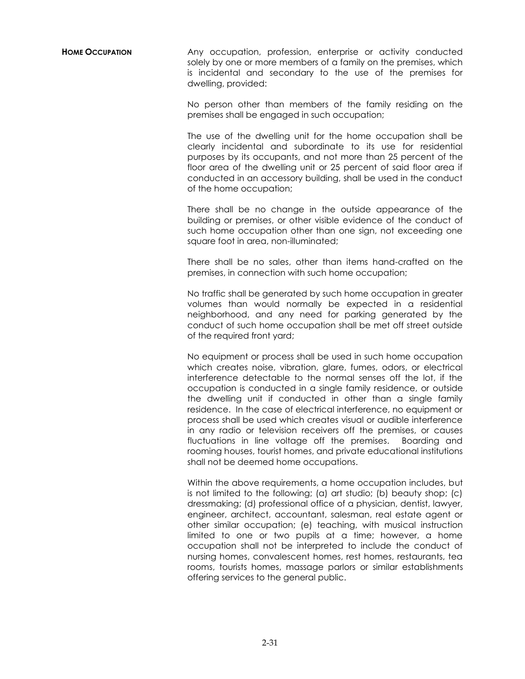**HOME OCCUPATION** Any occupation, profession, enterprise or activity conducted solely by one or more members of a family on the premises, which is incidental and secondary to the use of the premises for dwelling, provided:

> No person other than members of the family residing on the premises shall be engaged in such occupation;

> The use of the dwelling unit for the home occupation shall be clearly incidental and subordinate to its use for residential purposes by its occupants, and not more than 25 percent of the floor area of the dwelling unit or 25 percent of said floor area if conducted in an accessory building, shall be used in the conduct of the home occupation;

> There shall be no change in the outside appearance of the building or premises, or other visible evidence of the conduct of such home occupation other than one sign, not exceeding one square foot in area, non-illuminated;

> There shall be no sales, other than items hand-crafted on the premises, in connection with such home occupation;

> No traffic shall be generated by such home occupation in greater volumes than would normally be expected in a residential neighborhood, and any need for parking generated by the conduct of such home occupation shall be met off street outside of the required front yard;

> No equipment or process shall be used in such home occupation which creates noise, vibration, glare, fumes, odors, or electrical interference detectable to the normal senses off the lot, if the occupation is conducted in a single family residence, or outside the dwelling unit if conducted in other than a single family residence. In the case of electrical interference, no equipment or process shall be used which creates visual or audible interference in any radio or television receivers off the premises, or causes fluctuations in line voltage off the premises. Boarding and rooming houses, tourist homes, and private educational institutions shall not be deemed home occupations.

> Within the above requirements, a home occupation includes, but is not limited to the following; (a) art studio; (b) beauty shop; (c) dressmaking; (d) professional office of a physician, dentist, lawyer, engineer, architect, accountant, salesman, real estate agent or other similar occupation; (e) teaching, with musical instruction limited to one or two pupils at a time; however, a home occupation shall not be interpreted to include the conduct of nursing homes, convalescent homes, rest homes, restaurants, tea rooms, tourists homes, massage parlors or similar establishments offering services to the general public.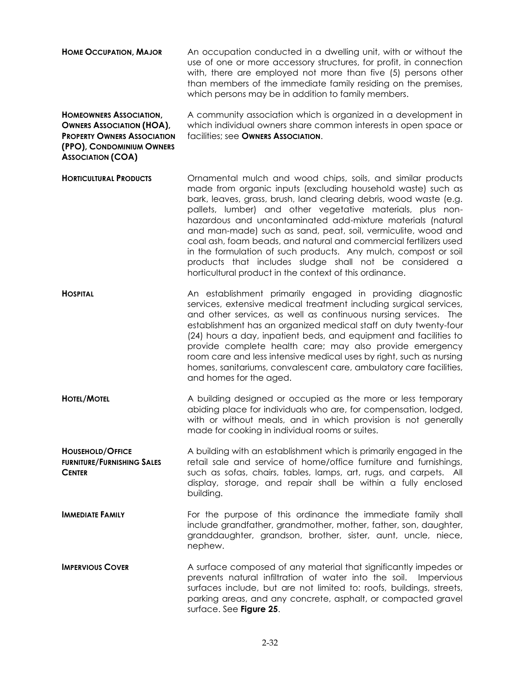| <b>HOME OCCUPATION, MAJOR</b>                                                                                                                                     | An occupation conducted in a dwelling unit, with or without the<br>use of one or more accessory structures, for profit, in connection<br>with, there are employed not more than five (5) persons other<br>than members of the immediate family residing on the premises,<br>which persons may be in addition to family members.                                                                                                                                                                                                                                                                                                                                |
|-------------------------------------------------------------------------------------------------------------------------------------------------------------------|----------------------------------------------------------------------------------------------------------------------------------------------------------------------------------------------------------------------------------------------------------------------------------------------------------------------------------------------------------------------------------------------------------------------------------------------------------------------------------------------------------------------------------------------------------------------------------------------------------------------------------------------------------------|
| <b>HOMEOWNERS ASSOCIATION,</b><br><b>OWNERS ASSOCIATION (HOA),</b><br><b>PROPERTY OWNERS ASSOCIATION</b><br>(PPO), CONDOMINIUM OWNERS<br><b>ASSOCIATION (COA)</b> | A community association which is organized in a development in<br>which individual owners share common interests in open space or<br>facilities; see OWNERS ASSOCIATION.                                                                                                                                                                                                                                                                                                                                                                                                                                                                                       |
| <b>HORTICULTURAL PRODUCTS</b>                                                                                                                                     | Ornamental mulch and wood chips, soils, and similar products<br>made from organic inputs (excluding household waste) such as<br>bark, leaves, grass, brush, land clearing debris, wood waste (e.g.<br>pallets, lumber) and other vegetative materials, plus non-<br>hazardous and uncontaminated add-mixture materials (natural<br>and man-made) such as sand, peat, soil, vermiculite, wood and<br>coal ash, foam beads, and natural and commercial fertilizers used<br>in the formulation of such products. Any mulch, compost or soil<br>products that includes sludge shall not be considered a<br>horticultural product in the context of this ordinance. |
| <b>HOSPITAL</b>                                                                                                                                                   | An establishment primarily engaged in providing diagnostic<br>services, extensive medical treatment including surgical services,<br>and other services, as well as continuous nursing services. The<br>establishment has an organized medical staff on duty twenty-four<br>(24) hours a day, inpatient beds, and equipment and facilities to<br>provide complete health care; may also provide emergency<br>room care and less intensive medical uses by right, such as nursing<br>homes, sanitariums, convalescent care, ambulatory care facilities,<br>and homes for the aged.                                                                               |
| <b>HOTEL/MOTEL</b>                                                                                                                                                | A building designed or occupied as the more or less temporary<br>abiding place for individuals who are, for compensation, lodged,<br>with or without meals, and in which provision is not generally<br>made for cooking in individual rooms or suites.                                                                                                                                                                                                                                                                                                                                                                                                         |
| <b>HOUSEHOLD/OFFICE</b><br><b>FURNITURE/FURNISHING SALES</b><br><b>CENTER</b>                                                                                     | A building with an establishment which is primarily engaged in the<br>retail sale and service of home/office furniture and furnishings,<br>such as sofas, chairs, tables, lamps, art, rugs, and carpets. All<br>display, storage, and repair shall be within a fully enclosed<br>building.                                                                                                                                                                                                                                                                                                                                                                     |
| <b>IMMEDIATE FAMILY</b>                                                                                                                                           | For the purpose of this ordinance the immediate family shall<br>include grandfather, grandmother, mother, father, son, daughter,<br>granddaughter, grandson, brother, sister, aunt, uncle, niece,<br>nephew.                                                                                                                                                                                                                                                                                                                                                                                                                                                   |
| <b>IMPERVIOUS COVER</b>                                                                                                                                           | A surface composed of any material that significantly impedes or<br>prevents natural infiltration of water into the soil.<br>Impervious<br>surfaces include, but are not limited to: roofs, buildings, streets,<br>parking areas, and any concrete, asphalt, or compacted gravel<br>surface. See Figure 25.                                                                                                                                                                                                                                                                                                                                                    |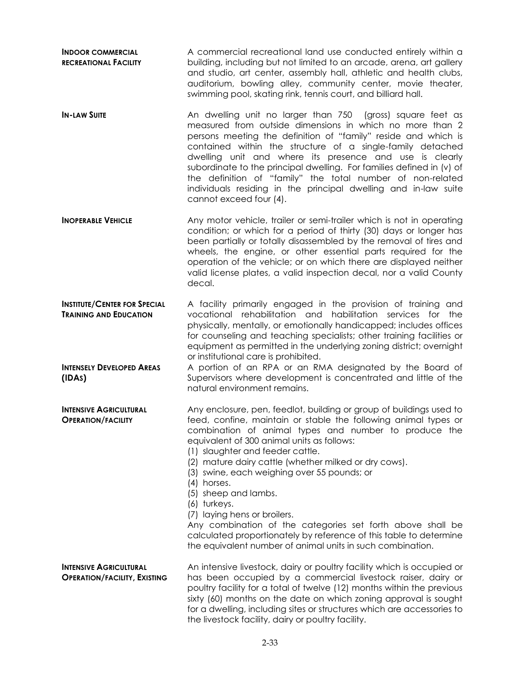**INDOOR COMMERCIAL RECREATIONAL FACILITY** A commercial recreational land use conducted entirely within a building, including but not limited to an arcade, arena, art gallery and studio, art center, assembly hall, athletic and health clubs, auditorium, bowling alley, community center, movie theater, swimming pool, skating rink, tennis court, and billiard hall.

**IN-LAW SUITE** An dwelling unit no larger than 750 (gross) square feet as measured from outside dimensions in which no more than 2 persons meeting the definition of "family" reside and which is contained within the structure of a single-family detached dwelling unit and where its presence and use is clearly subordinate to the principal dwelling. For families defined in (v) of the definition of "family" the total number of non-related individuals residing in the principal dwelling and in-law suite cannot exceed four (4).

**INOPERABLE VEHICLE** Any motor vehicle, trailer or semi-trailer which is not in operating condition; or which for a period of thirty (30) days or longer has been partially or totally disassembled by the removal of tires and wheels, the engine, or other essential parts required for the operation of the vehicle; or on which there are displayed neither valid license plates, a valid inspection decal, nor a valid County decal.

**INSTITUTE/CENTER FOR SPECIAL TRAINING AND EDUCATION**  A facility primarily engaged in the provision of training and vocational rehabilitation and habilitation services for the physically, mentally, or emotionally handicapped; includes offices for counseling and teaching specialists; other training facilities or equipment as permitted in the underlying zoning district; overnight or institutional care is prohibited.

**INTENSELY DEVELOPED AREAS**  A portion of an RPA or an RMA designated by the Board of Supervisors where development is concentrated and little of the natural environment remains.

**INTENSIVE AGRICULTURAL OPERATION/FACILITY** Any enclosure, pen, feedlot, building or group of buildings used to feed, confine, maintain or stable the following animal types or combination of animal types and number to produce the equivalent of 300 animal units as follows:

- (1) slaughter and feeder cattle.
- (2) mature dairy cattle (whether milked or dry cows).
- (3) swine, each weighing over 55 pounds; or
- (4) horses.
- (5) sheep and lambs.
- (6) turkeys.
- (7) laying hens or broilers.

Any combination of the categories set forth above shall be calculated proportionately by reference of this table to determine the equivalent number of animal units in such combination.

#### **INTENSIVE AGRICULTURAL OPERATION/FACILITY, EXISTING**

**(IDAS)**

An intensive livestock, dairy or poultry facility which is occupied or has been occupied by a commercial livestock raiser, dairy or poultry facility for a total of twelve (12) months within the previous sixty (60) months on the date on which zoning approval is sought for a dwelling, including sites or structures which are accessories to the livestock facility, dairy or poultry facility.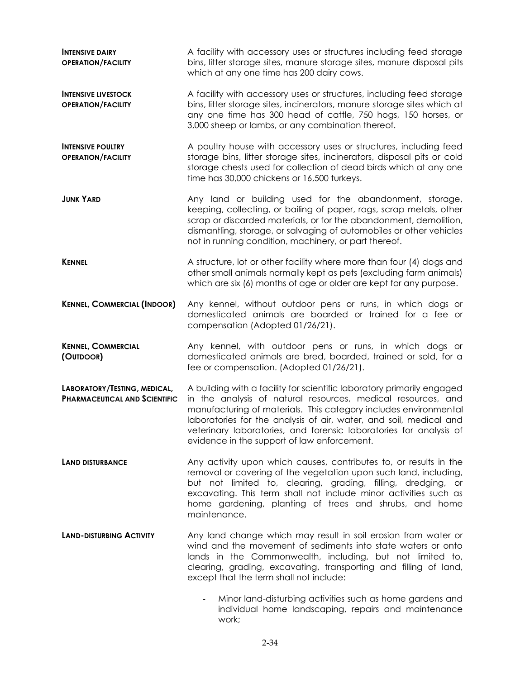| <b>INTENSIVE DAIRY</b><br><b>OPERATION/FACILITY</b>                  | A facility with accessory uses or structures including feed storage<br>bins, litter storage sites, manure storage sites, manure disposal pits<br>which at any one time has 200 dairy cows.                                                                                                                                                                                                            |
|----------------------------------------------------------------------|-------------------------------------------------------------------------------------------------------------------------------------------------------------------------------------------------------------------------------------------------------------------------------------------------------------------------------------------------------------------------------------------------------|
| <b>INTENSIVE LIVESTOCK</b><br><b>OPERATION/FACILITY</b>              | A facility with accessory uses or structures, including feed storage<br>bins, litter storage sites, incinerators, manure storage sites which at<br>any one time has 300 head of cattle, 750 hogs, 150 horses, or<br>3,000 sheep or lambs, or any combination thereof.                                                                                                                                 |
| <b>INTENSIVE POULTRY</b><br><b>OPERATION/FACILITY</b>                | A poultry house with accessory uses or structures, including feed<br>storage bins, litter storage sites, incinerators, disposal pits or cold<br>storage chests used for collection of dead birds which at any one<br>time has 30,000 chickens or 16,500 turkeys.                                                                                                                                      |
| <b>JUNK YARD</b>                                                     | Any land or building used for the abandonment, storage,<br>keeping, collecting, or bailing of paper, rags, scrap metals, other<br>scrap or discarded materials, or for the abandonment, demolition,<br>dismantling, storage, or salvaging of automobiles or other vehicles<br>not in running condition, machinery, or part thereof.                                                                   |
| <b>KENNEL</b>                                                        | A structure, lot or other facility where more than four (4) dogs and<br>other small animals normally kept as pets (excluding farm animals)<br>which are six (6) months of age or older are kept for any purpose.                                                                                                                                                                                      |
| <b>KENNEL, COMMERCIAL (INDOOR)</b>                                   | Any kennel, without outdoor pens or runs, in which dogs or<br>domesticated animals are boarded or trained for a fee or<br>compensation (Adopted 01/26/21).                                                                                                                                                                                                                                            |
| <b>KENNEL, COMMERCIAL</b><br>(OUTDOOR)                               | Any kennel, with outdoor pens or runs, in which dogs or<br>domesticated animals are bred, boarded, trained or sold, for a<br>fee or compensation. (Adopted 01/26/21).                                                                                                                                                                                                                                 |
| LABORATORY/TESTING, MEDICAL,<br><b>PHARMACEUTICAL AND SCIENTIFIC</b> | A building with a facility for scientific laboratory primarily engaged<br>in the analysis of natural resources, medical resources, and<br>manufacturing of materials. This category includes environmental<br>laboratories for the analysis of air, water, and soil, medical and<br>veterinary laboratories, and forensic laboratories for analysis of<br>evidence in the support of law enforcement. |
| <b>LAND DISTURBANCE</b>                                              | Any activity upon which causes, contributes to, or results in the<br>removal or covering of the vegetation upon such land, including,<br>but not limited to, clearing, grading, filling, dredging, or<br>excavating. This term shall not include minor activities such as<br>home gardening, planting of trees and shrubs, and home<br>maintenance.                                                   |
| <b>LAND-DISTURBING ACTIVITY</b>                                      | Any land change which may result in soil erosion from water or<br>wind and the movement of sediments into state waters or onto<br>lands in the Commonwealth, including, but not limited to,<br>clearing, grading, excavating, transporting and filling of land,<br>except that the term shall not include:                                                                                            |
|                                                                      | Minor land-disturbing activities such as home gardens and<br>$\overline{\phantom{a}}$<br>individual home landscaping, repairs and maintenance<br>work;                                                                                                                                                                                                                                                |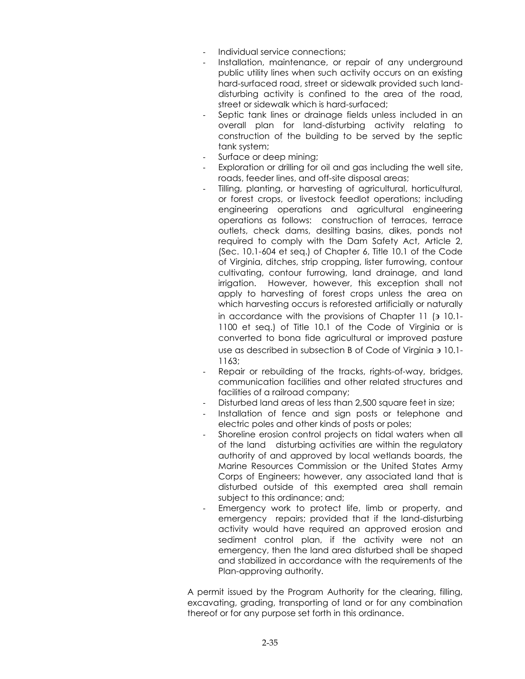- Individual service connections;
- Installation, maintenance, or repair of any underground public utility lines when such activity occurs on an existing hard-surfaced road, street or sidewalk provided such landdisturbing activity is confined to the area of the road, street or sidewalk which is hard-surfaced;
- Septic tank lines or drainage fields unless included in an overall plan for land-disturbing activity relating to construction of the building to be served by the septic tank system;
- Surface or deep mining;
- Exploration or drilling for oil and gas including the well site, roads, feeder lines, and off-site disposal areas;
	- Tilling, planting, or harvesting of agricultural, horticultural, or forest crops, or livestock feedlot operations; including engineering operations and agricultural engineering operations as follows: construction of terraces, terrace outlets, check dams, desilting basins, dikes, ponds not required to comply with the Dam Safety Act, Article 2, (Sec. 10.1-604 et seq.) of Chapter 6, Title 10.1 of the Code of Virginia, ditches, strip cropping, lister furrowing, contour cultivating, contour furrowing, land drainage, and land irrigation. However, however, this exception shall not apply to harvesting of forest crops unless the area on which harvesting occurs is reforested artificially or naturally in accordance with the provisions of Chapter 11 ( $\overline{3}$  10.1-1100 et seq.) of Title 10.1 of the Code of Virginia or is converted to bona fide agricultural or improved pasture use as described in subsection B of Code of Virginia 10.1- 1163;
- Repair or rebuilding of the tracks, rights-of-way, bridges, communication facilities and other related structures and facilities of a railroad company;
- Disturbed land areas of less than 2,500 square feet in size:
- Installation of fence and sign posts or telephone and electric poles and other kinds of posts or poles;
- Shoreline erosion control projects on tidal waters when all of the land disturbing activities are within the regulatory authority of and approved by local wetlands boards, the Marine Resources Commission or the United States Army Corps of Engineers; however, any associated land that is disturbed outside of this exempted area shall remain subject to this ordinance; and;
- Emergency work to protect life, limb or property, and emergency repairs; provided that if the land-disturbing activity would have required an approved erosion and sediment control plan, if the activity were not an emergency, then the land area disturbed shall be shaped and stabilized in accordance with the requirements of the Plan-approving authority.

A permit issued by the Program Authority for the clearing, filling, excavating, grading, transporting of land or for any combination thereof or for any purpose set forth in this ordinance.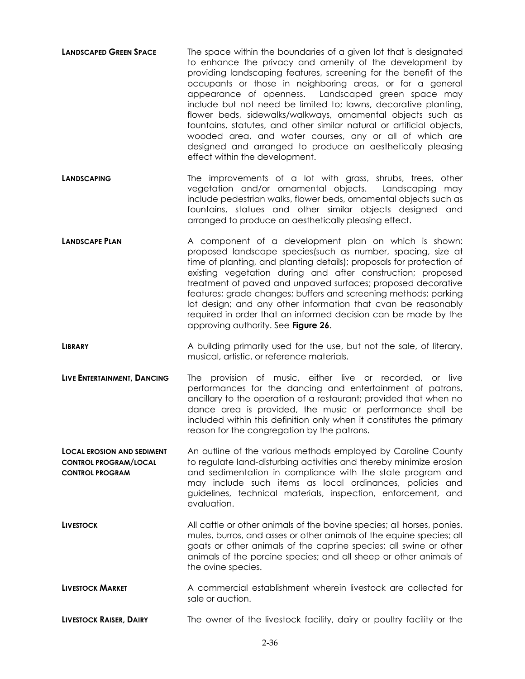- **LANDSCAPED GREEN SPACE** The space within the boundaries of a given lot that is designated to enhance the privacy and amenity of the development by providing landscaping features, screening for the benefit of the occupants or those in neighboring areas, or for a general appearance of openness. Landscaped green space may include but not need be limited to; lawns, decorative planting, flower beds, sidewalks/walkways, ornamental objects such as fountains, statutes, and other similar natural or artificial objects, wooded area, and water courses, any or all of which are designed and arranged to produce an aesthetically pleasing effect within the development.
- **LANDSCAPING** The improvements of a lot with grass, shrubs, trees, other vegetation and/or ornamental objects. Landscaping may include pedestrian walks, flower beds, ornamental objects such as fountains, statues and other similar objects designed and arranged to produce an aesthetically pleasing effect.
- **LANDSCAPE PLAN A** component of a development plan on which is shown: proposed landscape species(such as number, spacing, size at time of planting, and planting details); proposals for protection of existing vegetation during and after construction; proposed treatment of paved and unpaved surfaces; proposed decorative features; grade changes; buffers and screening methods; parking lot design; and any other information that cvan be reasonably required in order that an informed decision can be made by the approving authority. See **Figure 26**.
- **LIBRARY** A building primarily used for the use, but not the sale, of literary, musical, artistic, or reference materials.
- **LIVE ENTERTAINMENT, DANCING** The provision of music, either live or recorded, or live performances for the dancing and entertainment of patrons, ancillary to the operation of a restaurant; provided that when no dance area is provided, the music or performance shall be included within this definition only when it constitutes the primary reason for the congregation by the patrons.
- **LOCAL EROSION AND SEDIMENT CONTROL PROGRAM/LOCAL CONTROL PROGRAM** An outline of the various methods employed by Caroline County to regulate land-disturbing activities and thereby minimize erosion and sedimentation in compliance with the state program and may include such items as local ordinances, policies and guidelines, technical materials, inspection, enforcement, and evaluation.
- **LIVESTOCK** All cattle or other animals of the bovine species; all horses, ponies, mules, burros, and asses or other animals of the equine species; all goats or other animals of the caprine species; all swine or other animals of the porcine species; and all sheep or other animals of the ovine species.
- **LIVESTOCK MARKET** A commercial establishment wherein livestock are collected for sale or auction.

**LIVESTOCK RAISER, DAIRY** The owner of the livestock facility, dairy or poultry facility or the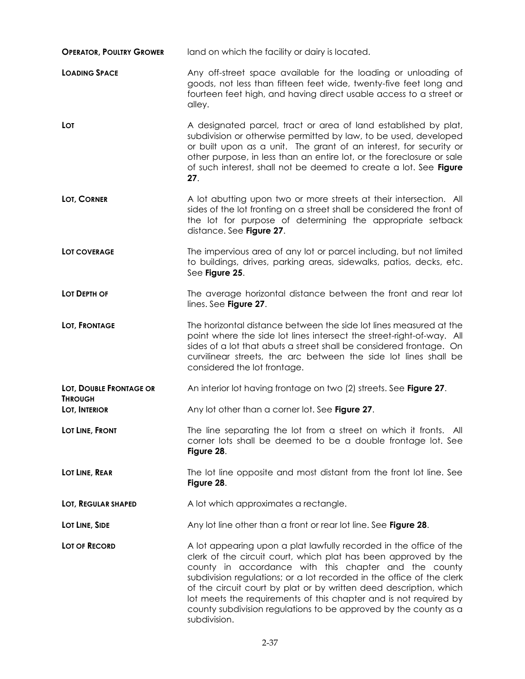| <b>OPERATOR, POULTRY GROWER</b> | land on which the facility or dairy is located.                                                                                                                                                                                                                                                                                                                                                                                                                                                        |
|---------------------------------|--------------------------------------------------------------------------------------------------------------------------------------------------------------------------------------------------------------------------------------------------------------------------------------------------------------------------------------------------------------------------------------------------------------------------------------------------------------------------------------------------------|
| <b>LOADING SPACE</b>            | Any off-street space available for the loading or unloading of<br>goods, not less than fifteen feet wide, twenty-five feet long and<br>fourteen feet high, and having direct usable access to a street or<br>alley.                                                                                                                                                                                                                                                                                    |
| <b>LOT</b>                      | A designated parcel, tract or area of land established by plat,<br>subdivision or otherwise permitted by law, to be used, developed<br>or built upon as a unit. The grant of an interest, for security or<br>other purpose, in less than an entire lot, or the foreclosure or sale<br>of such interest, shall not be deemed to create a lot. See Figure<br>27.                                                                                                                                         |
| LOT, CORNER                     | A lot abutting upon two or more streets at their intersection. All<br>sides of the lot fronting on a street shall be considered the front of<br>the lot for purpose of determining the appropriate setback<br>distance. See Figure 27.                                                                                                                                                                                                                                                                 |
| LOT COVERAGE                    | The impervious area of any lot or parcel including, but not limited<br>to buildings, drives, parking areas, sidewalks, patios, decks, etc.<br>See Figure 25.                                                                                                                                                                                                                                                                                                                                           |
| LOT DEPTH OF                    | The average horizontal distance between the front and rear lot<br>lines. See Figure 27.                                                                                                                                                                                                                                                                                                                                                                                                                |
| LOT, FRONTAGE                   | The horizontal distance between the side lot lines measured at the<br>point where the side lot lines intersect the street-right-of-way. All<br>sides of a lot that abuts a street shall be considered frontage. On<br>curvilinear streets, the arc between the side lot lines shall be<br>considered the lot frontage.                                                                                                                                                                                 |
| LOT, DOUBLE FRONTAGE OR         | An interior lot having frontage on two (2) streets. See Figure 27.                                                                                                                                                                                                                                                                                                                                                                                                                                     |
| <b>THROUGH</b><br>LOT, INTERIOR | Any lot other than a corner lot. See Figure 27.                                                                                                                                                                                                                                                                                                                                                                                                                                                        |
| LOT LINE, FRONT                 | The line separating the lot from a street on which it fronts. All<br>corner lots shall be deemed to be a double frontage lot. See<br>Figure 28.                                                                                                                                                                                                                                                                                                                                                        |
| LOT LINE, REAR                  | The lot line opposite and most distant from the front lot line. See<br>Figure 28.                                                                                                                                                                                                                                                                                                                                                                                                                      |
| LOT, REGULAR SHAPED             | A lot which approximates a rectangle.                                                                                                                                                                                                                                                                                                                                                                                                                                                                  |
| LOT LINE, SIDE                  | Any lot line other than a front or rear lot line. See Figure 28.                                                                                                                                                                                                                                                                                                                                                                                                                                       |
| LOT OF RECORD                   | A lot appearing upon a plat lawfully recorded in the office of the<br>clerk of the circuit court, which plat has been approved by the<br>county in accordance with this chapter and the county<br>subdivision regulations; or a lot recorded in the office of the clerk<br>of the circuit court by plat or by written deed description, which<br>lot meets the requirements of this chapter and is not required by<br>county subdivision regulations to be approved by the county as a<br>subdivision. |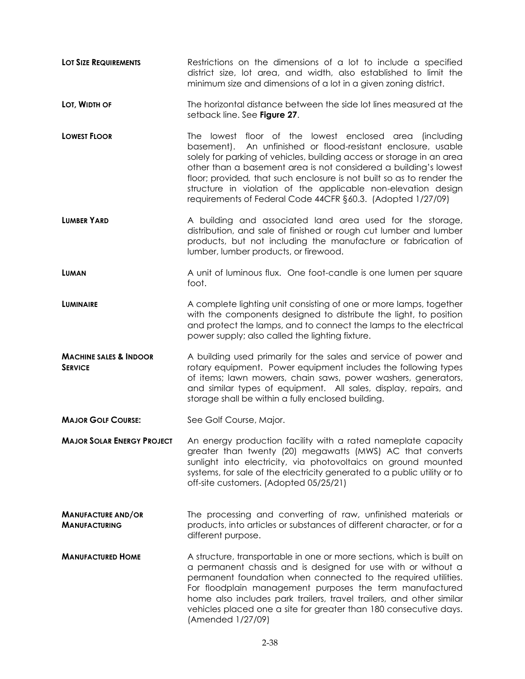**Lot Size Requirements** Restrictions on the dimensions of a lot to include a specified district size, lot area, and width, also established to limit the minimum size and dimensions of a lot in a given zoning district. **Lot, WIDTH OF** The horizontal distance between the side lot lines measured at the setback line. See **Figure 27**. **LOWEST FLOOR** The lowest floor of the lowest enclosed area (including basement). An unfinished or flood-resistant enclosure, usable solely for parking of vehicles, building access or storage in an area other than a basement area is not considered a building's lowest floor; provided*,* that such enclosure is not built so as to render the structure in violation of the applicable non-elevation design requirements of Federal Code 44CFR §60.3. (Adopted 1/27/09) **LUMBER YARD** A building and associated land area used for the storage, distribution, and sale of finished or rough cut lumber and lumber products, but not including the manufacture or fabrication of lumber, lumber products, or firewood. **LUMAN LUMAN A** Unit of luminous flux. One foot-candle is one lumen per square foot. **LUMINAIRE** A complete lighting unit consisting of one or more lamps, together with the components designed to distribute the light, to position and protect the lamps, and to connect the lamps to the electrical power supply; also called the lighting fixture. **MACHINE SALES & INDOOR SERVICE** A building used primarily for the sales and service of power and rotary equipment. Power equipment includes the following types of items; lawn mowers, chain saws, power washers, generators, and similar types of equipment. All sales, display, repairs, and storage shall be within a fully enclosed building. **MAJOR GOLF COURSE:** See Golf Course, Major. **MAJOR SOLAR ENERGY PROJECT** An energy production facility with a rated nameplate capacity greater than twenty (20) megawatts (MWS) AC that converts sunlight into electricity, via photovoltaics on ground mounted systems, for sale of the electricity generated to a public utility or to off-site customers. (Adopted 05/25/21) **MANUFACTURE AND/OR MANUFACTURING** The processing and converting of raw, unfinished materials or products, into articles or substances of different character, or for a different purpose. **MANUFACTURED HOME** A structure, transportable in one or more sections, which is built on a permanent chassis and is designed for use with or without a permanent foundation when connected to the required utilities. For floodplain management purposes the term manufactured home also includes park trailers, travel trailers, and other similar vehicles placed one a site for greater than 180 consecutive days. (Amended 1/27/09)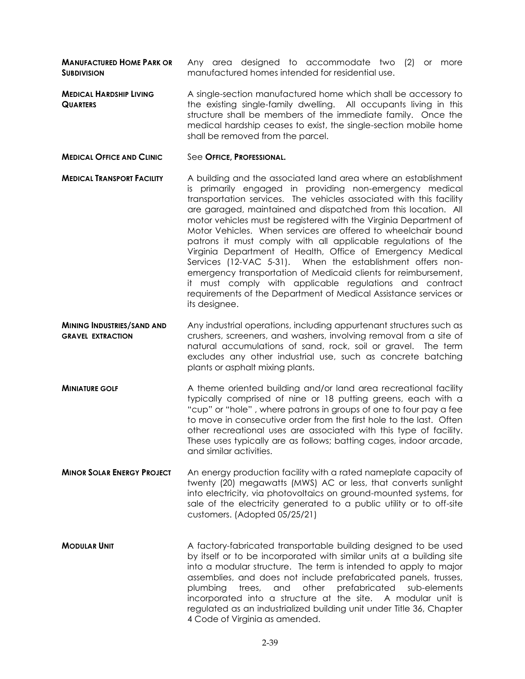**MANUFACTURED HOME PARK OR SUBDIVISION** Any area designed to accommodate two (2) or more manufactured homes intended for residential use.

- **MEDICAL HARDSHIP LIVING QUARTERS** A single-section manufactured home which shall be accessory to the existing single-family dwelling. All occupants living in this structure shall be members of the immediate family. Once the medical hardship ceases to exist, the single-section mobile home shall be removed from the parcel.
- **MEDICAL OFFICE AND CLINIC** See **OFFICE, PROFESSIONAL.**
- **MEDICAL TRANSPORT FACILITY** A building and the associated land area where an establishment is primarily engaged in providing non-emergency medical transportation services. The vehicles associated with this facility are garaged, maintained and dispatched from this location. All motor vehicles must be registered with the Virginia Department of Motor Vehicles. When services are offered to wheelchair bound patrons it must comply with all applicable regulations of the Virginia Department of Health, Office of Emergency Medical Services (12-VAC 5-31). When the establishment offers nonemergency transportation of Medicaid clients for reimbursement, it must comply with applicable regulations and contract requirements of the Department of Medical Assistance services or its designee.
- **MINING INDUSTRIES/SAND AND GRAVEL EXTRACTION** Any industrial operations, including appurtenant structures such as crushers, screeners, and washers, involving removal from a site of natural accumulations of sand, rock, soil or gravel. The term excludes any other industrial use, such as concrete batching plants or asphalt mixing plants.
- **MINIATURE GOLF** A theme oriented building and/or land area recreational facility typically comprised of nine or 18 putting greens, each with a "cup" or "hole" , where patrons in groups of one to four pay a fee to move in consecutive order from the first hole to the last. Often other recreational uses are associated with this type of facility. These uses typically are as follows; batting cages, indoor arcade, and similar activities.
- **MINOR SOLAR ENERGY PROJECT** An energy production facility with a rated nameplate capacity of twenty (20) megawatts (MWS) AC or less, that converts sunlight into electricity, via photovoltaics on ground-mounted systems, for sale of the electricity generated to a public utility or to off-site customers. (Adopted 05/25/21)
- **MODULAR UNIT** A factory-fabricated transportable building designed to be used by itself or to be incorporated with similar units at a building site into a modular structure. The term is intended to apply to major assemblies, and does not include prefabricated panels, trusses, plumbing trees, and other prefabricated sub-elements incorporated into a structure at the site. A modular unit is regulated as an industrialized building unit under Title 36, Chapter 4 Code of Virginia as amended.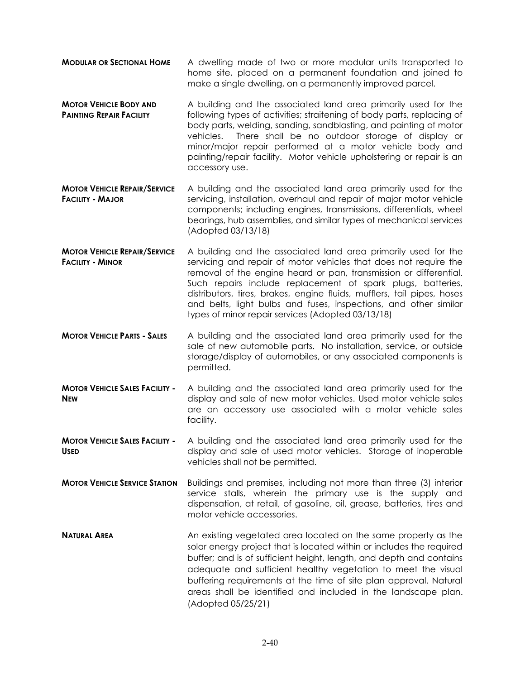- **MODULAR OR SECTIONAL HOME** A dwelling made of two or more modular units transported to home site, placed on a permanent foundation and joined to make a single dwelling, on a permanently improved parcel.
- **MOTOR VEHICLE BODY AND PAINTING REPAIR FACILITY**  A building and the associated land area primarily used for the following types of activities; straitening of body parts, replacing of body parts, welding, sanding, sandblasting, and painting of motor vehicles. There shall be no outdoor storage of display or minor/major repair performed at a motor vehicle body and painting/repair facility. Motor vehicle upholstering or repair is an accessory use.
- **MOTOR VEHICLE REPAIR/SERVICE FACILITY - MAJOR** A building and the associated land area primarily used for the servicing, installation, overhaul and repair of major motor vehicle components; including engines, transmissions, differentials, wheel bearings, hub assemblies, and similar types of mechanical services (Adopted 03/13/18)
- **MOTOR VEHICLE REPAIR/SERVICE FACILITY - MINOR**  A building and the associated land area primarily used for the servicing and repair of motor vehicles that does not require the removal of the engine heard or pan, transmission or differential. Such repairs include replacement of spark plugs, batteries, distributors, tires, brakes, engine fluids, mufflers, tail pipes, hoses and belts, light bulbs and fuses, inspections, and other similar types of minor repair services (Adopted 03/13/18)
- **MOTOR VEHICLE PARTS - SALES** A building and the associated land area primarily used for the sale of new automobile parts. No installation, service, or outside storage/display of automobiles, or any associated components is permitted.
- **MOTOR VEHICLE SALES FACILITY - NEW** A building and the associated land area primarily used for the display and sale of new motor vehicles. Used motor vehicle sales are an accessory use associated with a motor vehicle sales facility.
- **MOTOR VEHICLE SALES FACILITY - USED** A building and the associated land area primarily used for the display and sale of used motor vehicles. Storage of inoperable vehicles shall not be permitted.
- **MOTOR VEHICLE SERVICE STATION** Buildings and premises, including not more than three (3) interior service stalls, wherein the primary use is the supply and dispensation, at retail, of gasoline, oil, grease, batteries, tires and motor vehicle accessories.
- **NATURAL AREA** An existing vegetated area located on the same property as the solar energy project that is located within or includes the required buffer; and is of sufficient height, length, and depth and contains adequate and sufficient healthy vegetation to meet the visual buffering requirements at the time of site plan approval. Natural areas shall be identified and included in the landscape plan. (Adopted 05/25/21)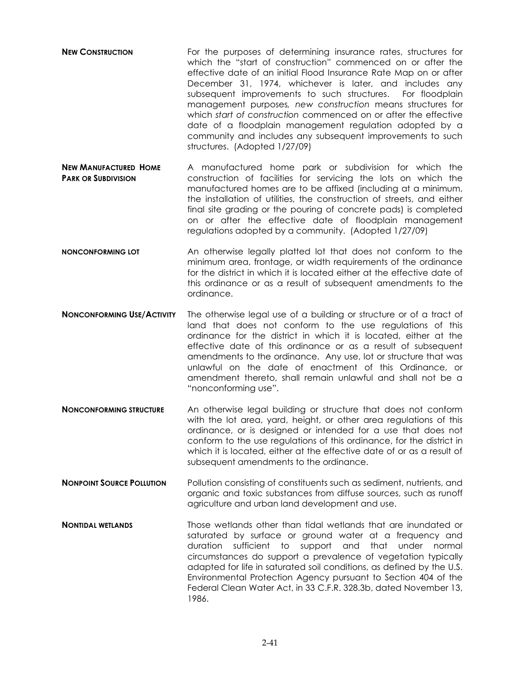- **NEW CONSTRUCTION** For the purposes of determining insurance rates, structures for which the "start of construction" commenced on or after the effective date of an initial Flood Insurance Rate Map on or after December 31, 1974, whichever is later, and includes any subsequent improvements to such structures. For floodplain management purposes*, new construction* means structures for which *start of construction* commenced on or after the effective date of a floodplain management regulation adopted by a community and includes any subsequent improvements to such structures. (Adopted 1/27/09)
- **NEW MANUFACTURED HOME PARK OR SUBDIVISION** A manufactured home park or subdivision for which the construction of facilities for servicing the lots on which the manufactured homes are to be affixed (including at a minimum, the installation of utilities, the construction of streets, and either final site grading or the pouring of concrete pads) is completed on or after the effective date of floodplain management regulations adopted by a community. (Adopted 1/27/09)
- **NONCONFORMING LOT** An otherwise legally platted lot that does not conform to the minimum area, frontage, or width requirements of the ordinance for the district in which it is located either at the effective date of this ordinance or as a result of subsequent amendments to the ordinance.
- **NONCONFORMING USE/ACTIVITY** The otherwise legal use of a building or structure or of a tract of land that does not conform to the use regulations of this ordinance for the district in which it is located, either at the effective date of this ordinance or as a result of subsequent amendments to the ordinance. Any use, lot or structure that was unlawful on the date of enactment of this Ordinance, or amendment thereto, shall remain unlawful and shall not be a "nonconforming use".
- **NONCONFORMING STRUCTURE** An otherwise legal building or structure that does not conform with the lot area, yard, height, or other area regulations of this ordinance, or is designed or intended for a use that does not conform to the use regulations of this ordinance, for the district in which it is located, either at the effective date of or as a result of subsequent amendments to the ordinance.
- **NONPOINT SOURCE POLLUTION** Pollution consisting of constituents such as sediment, nutrients, and organic and toxic substances from diffuse sources, such as runoff agriculture and urban land development and use.
- **Nontipal wetlands** Those wetlands other than tidal wetlands that are inundated or saturated by surface or ground water at a frequency and duration sufficient to support and that under normal circumstances do support a prevalence of vegetation typically adapted for life in saturated soil conditions, as defined by the U.S. Environmental Protection Agency pursuant to Section 404 of the Federal Clean Water Act, in 33 C.F.R. 328.3b, dated November 13, 1986.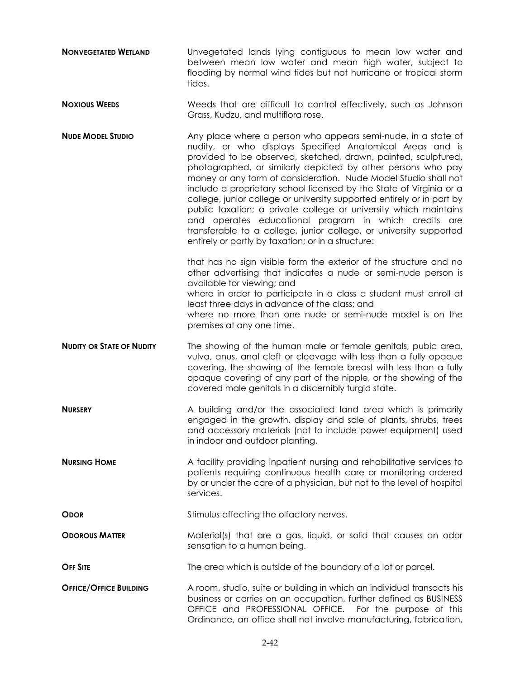- **NONVEGETATED WETLAND** Unvegetated lands lying contiguous to mean low water and between mean low water and mean high water, subject to flooding by normal wind tides but not hurricane or tropical storm tides.
- **Noxious WEEDS** Weeds that are difficult to control effectively, such as Johnson Grass, Kudzu, and multiflora rose.
- **NUDE MODEL STUDIO** Any place where a person who appears semi-nude, in a state of nudity, or who displays Specified Anatomical Areas and is provided to be observed, sketched, drawn, painted, sculptured, photographed, or similarly depicted by other persons who pay money or any form of consideration. Nude Model Studio shall not include a proprietary school licensed by the State of Virginia or a college, junior college or university supported entirely or in part by public taxation; a private college or university which maintains and operates educational program in which credits are transferable to a college, junior college, or university supported entirely or partly by taxation; or in a structure:

that has no sign visible form the exterior of the structure and no other advertising that indicates a nude or semi-nude person is available for viewing; and where in order to participate in a class a student must enroll at

least three days in advance of the class; and

where no more than one nude or semi-nude model is on the premises at any one time.

- **NUDITY OR STATE OF NUDITY** The showing of the human male or female genitals, pubic area, vulva, anus, anal cleft or cleavage with less than a fully opaque covering, the showing of the female breast with less than a fully opaque covering of any part of the nipple, or the showing of the covered male genitals in a discernibly turgid state.
- **NURSERY** A building and/or the associated land area which is primarily engaged in the growth, display and sale of plants, shrubs, trees and accessory materials (not to include power equipment) used in indoor and outdoor planting.
- **NURSING HOME** A facility providing inpatient nursing and rehabilitative services to patients requiring continuous health care or monitoring ordered by or under the care of a physician, but not to the level of hospital services.

**ODOR** Stimulus affecting the olfactory nerves.

**ODOROUS MATTER** Material(s) that are a gas, liquid, or solid that causes an odor sensation to a human being.

**OFF SITE** The area which is outside of the boundary of a lot or parcel.

**OFFICE/OFFICE BUILDING** A room, studio, suite or building in which an individual transacts his business or carries on an occupation, further defined as BUSINESS OFFICE and PROFESSIONAL OFFICE. For the purpose of this Ordinance, an office shall not involve manufacturing, fabrication,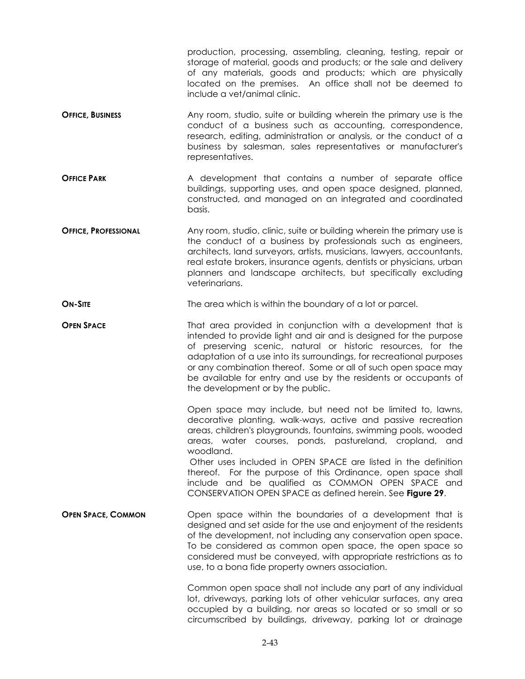|                             | production, processing, assembling, cleaning, testing, repair or<br>storage of material, goods and products; or the sale and delivery<br>of any materials, goods and products; which are physically<br>located on the premises. An office shall not be deemed to<br>include a vet/animal clinic.                                                                                                                                                    |
|-----------------------------|-----------------------------------------------------------------------------------------------------------------------------------------------------------------------------------------------------------------------------------------------------------------------------------------------------------------------------------------------------------------------------------------------------------------------------------------------------|
| <b>OFFICE, BUSINESS</b>     | Any room, studio, suite or building wherein the primary use is the<br>conduct of a business such as accounting, correspondence,<br>research, editing, administration or analysis, or the conduct of a<br>business by salesman, sales representatives or manufacturer's<br>representatives.                                                                                                                                                          |
| <b>OFFICE PARK</b>          | A development that contains a number of separate office<br>buildings, supporting uses, and open space designed, planned,<br>constructed, and managed on an integrated and coordinated<br>basis.                                                                                                                                                                                                                                                     |
| <b>OFFICE, PROFESSIONAL</b> | Any room, studio, clinic, suite or building wherein the primary use is<br>the conduct of a business by professionals such as engineers,<br>architects, land surveyors, artists, musicians, lawyers, accountants,<br>real estate brokers, insurance agents, dentists or physicians, urban<br>planners and landscape architects, but specifically excluding<br>veterinarians.                                                                         |
| <b>ON-SITE</b>              | The area which is within the boundary of a lot or parcel.                                                                                                                                                                                                                                                                                                                                                                                           |
| <b>OPEN SPACE</b>           | That area provided in conjunction with a development that is<br>intended to provide light and air and is designed for the purpose<br>of preserving scenic, natural or historic resources, for the<br>adaptation of a use into its surroundings, for recreational purposes<br>or any combination thereof. Some or all of such open space may<br>be available for entry and use by the residents or occupants of<br>the development or by the public. |
|                             | Open space may include, but need not be limited to, lawns,<br>decorative planting, walk-ways, active and passive recreation<br>areas, children's playgrounds, fountains, swimming pools, wooded<br>areas, water courses, ponds, pastureland, cropland, and<br>woodland.<br>Other uses included in OPEN SPACE are listed in the definition<br>thereof. For the purpose of this Ordinance, open space shall                                           |
|                             | include and be qualified as COMMON OPEN SPACE and<br>CONSERVATION OPEN SPACE as defined herein. See Figure 29.                                                                                                                                                                                                                                                                                                                                      |
| <b>OPEN SPACE, COMMON</b>   | Open space within the boundaries of a development that is<br>designed and set aside for the use and enjoyment of the residents<br>of the development, not including any conservation open space.<br>To be considered as common open space, the open space so<br>considered must be conveyed, with appropriate restrictions as to<br>use, to a bona fide property owners association.                                                                |
|                             | Common open space shall not include any part of any individual<br>lot, driveways, parking lots of other vehicular surfaces, any area<br>occupied by a building, nor areas so located or so small or so<br>circumscribed by buildings, driveway, parking lot or drainage                                                                                                                                                                             |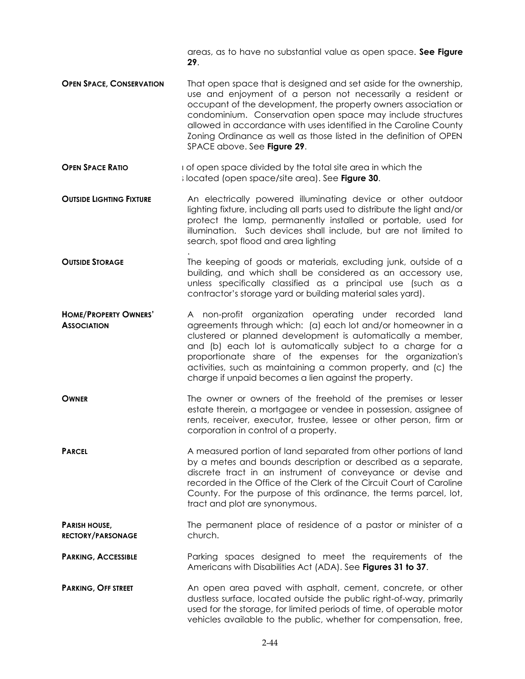areas, as to have no substantial value as open space. **See Figure 29**.

- **OPEN SPACE, CONSERVATION** That open space that is designed and set aside for the ownership, use and enjoyment of a person not necessarily a resident or occupant of the development, the property owners association or condominium. Conservation open space may include structures allowed in accordance with uses identified in the Caroline County Zoning Ordinance as well as those listed in the definition of OPEN SPACE above. See **Figure 29**.
- **OPEN SPACE RATIO** is the space divided by the total site area in which the set of open space divided by the total site area in which the s located (open space/site area). See **Figure 30**.
- **OUTSIDE LIGHTING FIXTURE** An electrically powered illuminating device or other outdoor lighting fixture, including all parts used to distribute the light and/or protect the lamp, permanently installed or portable, used for illumination. Such devices shall include, but are not limited to search, spot flood and area lighting
- . **OUTSIDE STORAGE** The keeping of goods or materials, excluding junk, outside of a building, and which shall be considered as an accessory use, unless specifically classified as a principal use (such as a contractor's storage yard or building material sales yard).
- **HOME/PROPERTY OWNERS' ASSOCIATION**  A non-profit organization operating under recorded land agreements through which: (a) each lot and/or homeowner in a clustered or planned development is automatically a member, and (b) each lot is automatically subject to a charge for a proportionate share of the expenses for the organization's activities, such as maintaining a common property, and (c) the charge if unpaid becomes a lien against the property.
- **OWNER** The owner or owners of the freehold of the premises or lesser estate therein, a mortgagee or vendee in possession, assignee of rents, receiver, executor, trustee, lessee or other person, firm or corporation in control of a property.
- **PARCEL** A measured portion of land separated from other portions of land by a metes and bounds description or described as a separate, discrete tract in an instrument of conveyance or devise and recorded in the Office of the Clerk of the Circuit Court of Caroline County. For the purpose of this ordinance, the terms parcel, lot, tract and plot are synonymous.
- **PARISH HOUSE, RECTORY/PARSONAGE** The permanent place of residence of a pastor or minister of a church.
- **PARKING, ACCESSIBLE** Parking spaces designed to meet the requirements of the Americans with Disabilities Act (ADA). See **Figures 31 to 37**.
- **PARKING, OFF STREET** An open area paved with asphalt, cement, concrete, or other dustless surface, located outside the public right-of-way, primarily used for the storage, for limited periods of time, of operable motor vehicles available to the public, whether for compensation, free,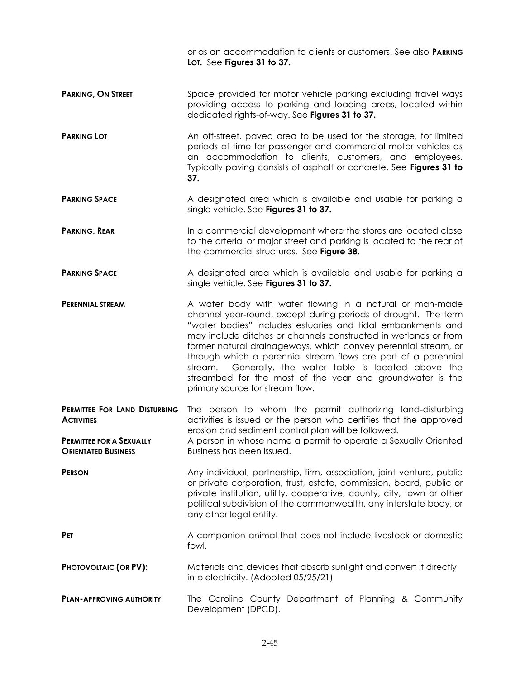|                                                               | or as an accommodation to clients or customers. See also <b>PARKING</b><br>LOT. See Figures 31 to 37.                                                                                                                                                                                                                                                                                                                                                                                                                                                          |
|---------------------------------------------------------------|----------------------------------------------------------------------------------------------------------------------------------------------------------------------------------------------------------------------------------------------------------------------------------------------------------------------------------------------------------------------------------------------------------------------------------------------------------------------------------------------------------------------------------------------------------------|
| <b>PARKING, ON STREET</b>                                     | Space provided for motor vehicle parking excluding travel ways<br>providing access to parking and loading areas, located within<br>dedicated rights-of-way. See Figures 31 to 37.                                                                                                                                                                                                                                                                                                                                                                              |
| <b>PARKING LOT</b>                                            | An off-street, paved area to be used for the storage, for limited<br>periods of time for passenger and commercial motor vehicles as<br>an accommodation to clients, customers, and employees.<br>Typically paving consists of asphalt or concrete. See Figures 31 to<br>37.                                                                                                                                                                                                                                                                                    |
| <b>PARKING SPACE</b>                                          | A designated area which is available and usable for parking a<br>single vehicle. See Figures 31 to 37.                                                                                                                                                                                                                                                                                                                                                                                                                                                         |
| <b>PARKING, REAR</b>                                          | In a commercial development where the stores are located close<br>to the arterial or major street and parking is located to the rear of<br>the commercial structures. See Figure 38.                                                                                                                                                                                                                                                                                                                                                                           |
| <b>PARKING SPACE</b>                                          | A designated area which is available and usable for parking a<br>single vehicle. See Figures 31 to 37.                                                                                                                                                                                                                                                                                                                                                                                                                                                         |
| PERENNIAL STREAM                                              | A water body with water flowing in a natural or man-made<br>channel year-round, except during periods of drought. The term<br>"water bodies" includes estuaries and tidal embankments and<br>may include ditches or channels constructed in wetlands or from<br>former natural drainageways, which convey perennial stream, or<br>through which a perennial stream flows are part of a perennial<br>Generally, the water table is located above the<br>stream.<br>streambed for the most of the year and groundwater is the<br>primary source for stream flow. |
| PERMITTEE FOR LAND DISTURBING<br><b>ACTIVITIES</b>            | The person to whom the permit authorizing land-disturbing<br>activities is issued or the person who certifies that the approved<br>erosion and sediment control plan will be followed.<br>A person in whose name a permit to operate a Sexually Oriented<br>Business has been issued.                                                                                                                                                                                                                                                                          |
| <b>PERMITTEE FOR A SEXUALLY</b><br><b>ORIENTATED BUSINESS</b> |                                                                                                                                                                                                                                                                                                                                                                                                                                                                                                                                                                |
| <b>PERSON</b>                                                 | Any individual, partnership, firm, association, joint venture, public<br>or private corporation, trust, estate, commission, board, public or<br>private institution, utility, cooperative, county, city, town or other<br>political subdivision of the commonwealth, any interstate body, or<br>any other legal entity.                                                                                                                                                                                                                                        |
| <b>PET</b>                                                    | A companion animal that does not include livestock or domestic<br>fowl.                                                                                                                                                                                                                                                                                                                                                                                                                                                                                        |
| PHOTOVOLTAIC (OR PV):                                         | Materials and devices that absorb sunlight and convert it directly<br>into electricity. (Adopted 05/25/21)                                                                                                                                                                                                                                                                                                                                                                                                                                                     |
| <b>PLAN-APPROVING AUTHORITY</b>                               | The Caroline County Department of Planning & Community<br>Development (DPCD).                                                                                                                                                                                                                                                                                                                                                                                                                                                                                  |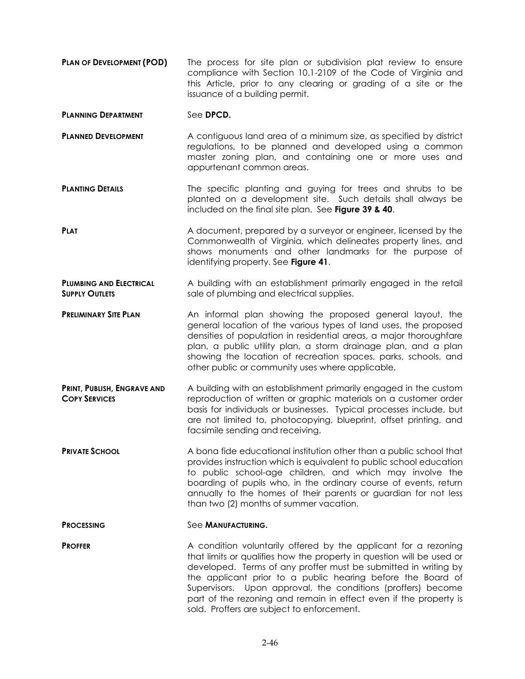**PLAN OF DEVELOPMENT (POD) The process for site plan or subdivision plat review to ensure** compliance with Section 10.1-2109 of the Code of Virginia and this Article, prior to any clearing or grading of a site or the issuance of a building permit.

## **PLANNING DEPARTMENT** See DPCD.

- **PLANNED DEVELOPMENT** A contiguous land area of a minimum size, as specified by district regulations, to be planned and developed using a common master zoning plan, and containing one or more uses and appurtenant common areas.
- **PLANTING DETAILS** The specific planting and guying for trees and shrubs to be planted on a development site. Such details shall always be included on the final site plan. See **Figure 39 & 40**.
- **PLAT PLAT** A document, prepared by a surveyor or engineer, licensed by the Commonwealth of Virginia, which delineates property lines, and shows monuments and other landmarks for the purpose of identifying property. See **Figure 41**.
- **PLUMBING AND ELECTRICAL SUPPLY OUTLETS** A building with an establishment primarily engaged in the retail sale of plumbing and electrical supplies.
- **PRELIMINARY SITE PLAN** An informal plan showing the proposed general layout, the general location of the various types of land uses, the proposed densities of population in residential areas, a major thoroughfare plan, a public utility plan, a storm drainage plan, and a plan showing the location of recreation spaces, parks, schools, and other public or community uses where applicable.
- **PRINT, PUBLISH, ENGRAVE AND COPY SERVICES** A building with an establishment primarily engaged in the custom reproduction of written or graphic materials on a customer order basis for individuals or businesses. Typical processes include, but are not limited to, photocopying, blueprint, offset printing, and facsimile sending and receiving.
- **PRIVATE SCHOOL** A bona fide educational institution other than a public school that provides instruction which is equivalent to public school education to public school-age children, and which may involve the boarding of pupils who, in the ordinary course of events, return annually to the homes of their parents or guardian for not less than two (2) months of summer vacation.

### **PROCESSING** See **MANUFACTURING**.

**PROFFER** A condition voluntarily offered by the applicant for a rezoning that limits or qualifies how the property in question will be used or developed. Terms of any proffer must be submitted in writing by the applicant prior to a public hearing before the Board of Supervisors. Upon approval, the conditions (proffers) become part of the rezoning and remain in effect even if the property is sold. Proffers are subject to enforcement.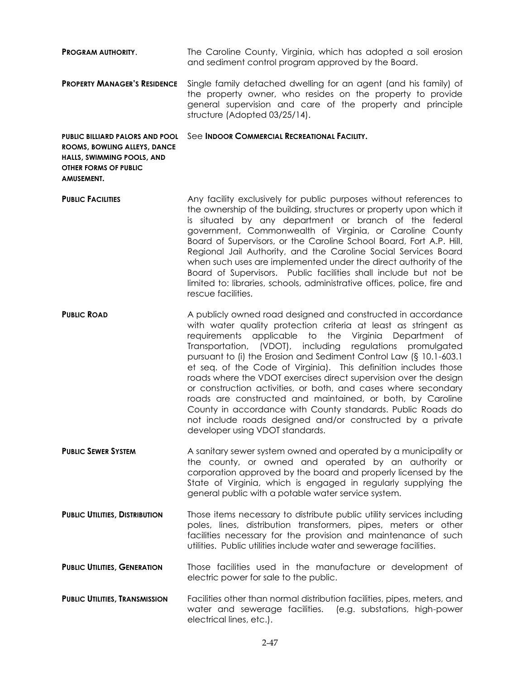| <b>PROGRAM AUTHORITY.</b>                                                                                                                   | The Caroline County, Virginia, which has adopted a soil erosion<br>and sediment control program approved by the Board.                                                                                                                                                                                                                                                                                                                                                                                                                                                                                                                                                                                                                                                       |
|---------------------------------------------------------------------------------------------------------------------------------------------|------------------------------------------------------------------------------------------------------------------------------------------------------------------------------------------------------------------------------------------------------------------------------------------------------------------------------------------------------------------------------------------------------------------------------------------------------------------------------------------------------------------------------------------------------------------------------------------------------------------------------------------------------------------------------------------------------------------------------------------------------------------------------|
| <b>PROPERTY MANAGER'S RESIDENCE</b>                                                                                                         | Single family detached dwelling for an agent (and his family) of<br>the property owner, who resides on the property to provide<br>general supervision and care of the property and principle<br>structure (Adopted 03/25/14).                                                                                                                                                                                                                                                                                                                                                                                                                                                                                                                                                |
| <b>PUBLIC BILLIARD PALORS AND POOL</b><br>ROOMS, BOWLING ALLEYS, DANCE<br>HALLS, SWIMMING POOLS, AND<br>OTHER FORMS OF PUBLIC<br>AMUSEMENT. | See INDOOR COMMERCIAL RECREATIONAL FACILITY.                                                                                                                                                                                                                                                                                                                                                                                                                                                                                                                                                                                                                                                                                                                                 |
| <b>PUBLIC FACILITIES</b>                                                                                                                    | Any facility exclusively for public purposes without references to<br>the ownership of the building, structures or property upon which it<br>is situated by any department or branch of the federal<br>government, Commonwealth of Virginia, or Caroline County<br>Board of Supervisors, or the Caroline School Board, Fort A.P. Hill,<br>Regional Jail Authority, and the Caroline Social Services Board<br>when such uses are implemented under the direct authority of the<br>Board of Supervisors. Public facilities shall include but not be<br>limited to: libraries, schools, administrative offices, police, fire and<br>rescue facilities.                                                                                                                          |
| <b>PUBLIC ROAD</b>                                                                                                                          | A publicly owned road designed and constructed in accordance<br>with water quality protection criteria at least as stringent as<br>requirements applicable to the Virginia Department<br>of .<br>Transportation, (VDOT), including<br>regulations promulgated<br>pursuant to (i) the Erosion and Sediment Control Law (§ 10.1-603.1<br>et seq. of the Code of Virginia). This definition includes those<br>roads where the VDOT exercises direct supervision over the design<br>or construction activities, or both, and cases where secondary<br>roads are constructed and maintained, or both, by Caroline<br>County in accordance with County standards. Public Roads do<br>not include roads designed and/or constructed by a private<br>developer using VDOT standards. |
| <b>PUBLIC SEWER SYSTEM</b>                                                                                                                  | A sanitary sewer system owned and operated by a municipality or<br>the county, or owned and operated by an authority or<br>corporation approved by the board and properly licensed by the<br>State of Virginia, which is engaged in regularly supplying the<br>general public with a potable water service system.                                                                                                                                                                                                                                                                                                                                                                                                                                                           |
| <b>PUBLIC UTILITIES, DISTRIBUTION</b>                                                                                                       | Those items necessary to distribute public utility services including<br>poles, lines, distribution transformers, pipes, meters or other<br>facilities necessary for the provision and maintenance of such<br>utilities. Public utilities include water and sewerage facilities.                                                                                                                                                                                                                                                                                                                                                                                                                                                                                             |
| <b>PUBLIC UTILITIES, GENERATION</b>                                                                                                         | Those facilities used in the manufacture or development of<br>electric power for sale to the public.                                                                                                                                                                                                                                                                                                                                                                                                                                                                                                                                                                                                                                                                         |
| <b>PUBLIC UTILITIES, TRANSMISSION</b>                                                                                                       | Facilities other than normal distribution facilities, pipes, meters, and<br>water and sewerage facilities. (e.g. substations, high-power<br>electrical lines, etc.).                                                                                                                                                                                                                                                                                                                                                                                                                                                                                                                                                                                                         |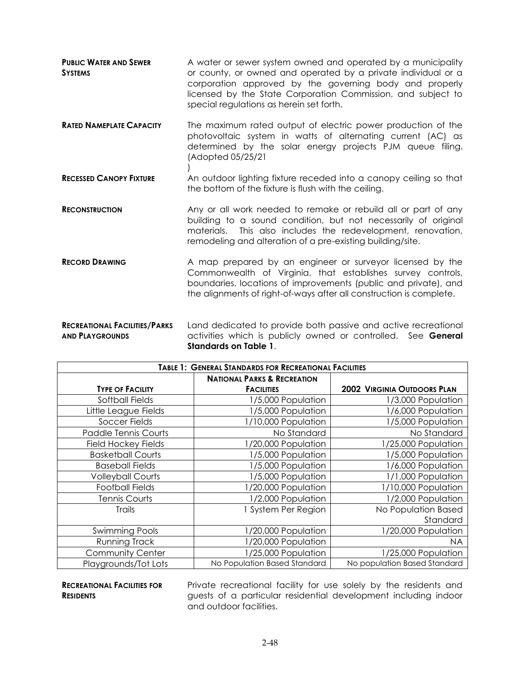- **PUBLIC WATER AND SEWER SYSTEMS** A water or sewer system owned and operated by a municipality or county, or owned and operated by a private individual or a corporation approved by the governing body and properly licensed by the State Corporation Commission, and subject to special regulations as herein set forth.
- **RATED NAMEPLATE CAPACITY** The maximum rated output of electric power production of the photovoltaic system in watts of alternating current (AC) as determined by the solar energy projects PJM queue filing. (Adopted 05/25/21 )
- **RECESSED CANOPY FIXTURE** An outdoor lighting fixture receded into a canopy ceiling so that the bottom of the fixture is flush with the ceiling.
- **RECONSTRUCTION** Any or all work needed to remake or rebuild all or part of any building to a sound condition, but not necessarily of original materials. This also includes the redevelopment, renovation, remodeling and alteration of a pre-existing building/site.
- **RECORD DRAWING** A map prepared by an engineer or surveyor licensed by the Commonwealth of Virginia, that establishes survey controls, boundaries, locations of improvements (public and private), and the alignments of right-of-ways after all construction is complete.
- **RECREATIONAL FACILITIES/PARKS AND PLAYGROUNDS** Land dedicated to provide both passive and active recreational activities which is publicly owned or controlled. See **General Standards on Table 1**.

| <b>TABLE 1: GENERAL STANDARDS FOR RECREATIONAL FACILITIES</b> |                                        |                                    |
|---------------------------------------------------------------|----------------------------------------|------------------------------------|
|                                                               | <b>NATIONAL PARKS &amp; RECREATION</b> |                                    |
| <b>TYPE OF FACILITY</b>                                       | <b>FACILITIES</b>                      | <b>2002 VIRGINIA OUTDOORS PLAN</b> |
| Softball Fields                                               | 1/5,000 Population                     | 1/3,000 Population                 |
| Little League Fields                                          | 1/5,000 Population                     | 1/6,000 Population                 |
| Soccer Fields                                                 | 1/10,000 Population                    | 1/5,000 Population                 |
| <b>Paddle Tennis Courts</b>                                   | No Standard                            | No Standard                        |
| <b>Field Hockey Fields</b>                                    | 1/20,000 Population                    | 1/25,000 Population                |
| <b>Basketball Courts</b>                                      | 1/5,000 Population                     | 1/5,000 Population                 |
| <b>Baseball Fields</b>                                        | 1/5,000 Population                     | 1/6,000 Population                 |
| <b>Volleyball Courts</b>                                      | 1/5,000 Population                     | 1/1,000 Population                 |
| <b>Football Fields</b>                                        | 1/20,000 Population                    | 1/10,000 Population                |
| <b>Tennis Courts</b>                                          | 1/2,000 Population                     | 1/2,000 Population                 |
| <b>Trails</b>                                                 | 1 System Per Region                    | No Population Based                |
|                                                               |                                        | Standard                           |
| Swimming Pools                                                | 1/20,000 Population                    | 1/20,000 Population                |
| Running Track                                                 | 1/20,000 Population                    | <b>NA</b>                          |
| <b>Community Center</b>                                       | 1/25,000 Population                    | 1/25,000 Population                |
| Playgrounds/Tot Lots                                          | No Population Based Standard           | No population Based Standard       |

## **RECREATIONAL FACILITIES FOR RESIDENTS**

Private recreational facility for use solely by the residents and guests of a particular residential development including indoor and outdoor facilities.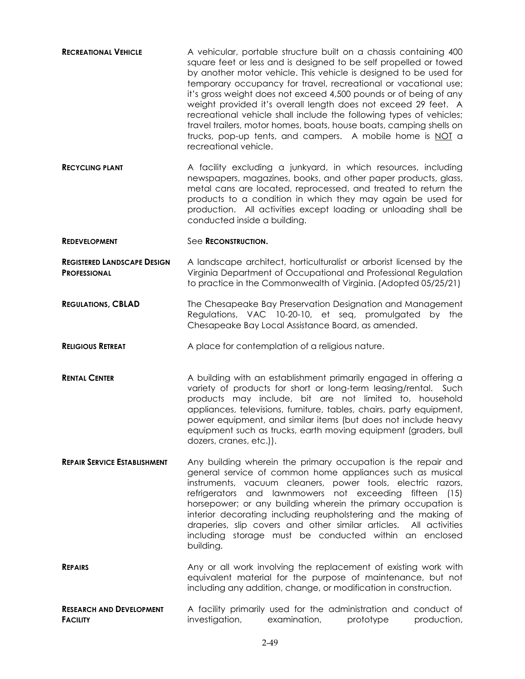| <b>RECREATIONAL VEHICLE</b>                               | A vehicular, portable structure built on a chassis containing 400<br>square feet or less and is designed to be self propelled or towed<br>by another motor vehicle. This vehicle is designed to be used for<br>temporary occupancy for travel, recreational or vacational use;<br>it's gross weight does not exceed 4,500 pounds or of being of any<br>weight provided it's overall length does not exceed 29 feet. A<br>recreational vehicle shall include the following types of vehicles;<br>travel trailers, motor homes, boats, house boats, camping shells on<br>trucks, pop-up tents, and campers. A mobile home is NOT a<br>recreational vehicle. |
|-----------------------------------------------------------|-----------------------------------------------------------------------------------------------------------------------------------------------------------------------------------------------------------------------------------------------------------------------------------------------------------------------------------------------------------------------------------------------------------------------------------------------------------------------------------------------------------------------------------------------------------------------------------------------------------------------------------------------------------|
| <b>RECYCLING PLANT</b>                                    | A facility excluding a junkyard, in which resources, including<br>newspapers, magazines, books, and other paper products, glass,<br>metal cans are located, reprocessed, and treated to return the<br>products to a condition in which they may again be used for<br>production. All activities except loading or unloading shall be<br>conducted inside a building.                                                                                                                                                                                                                                                                                      |
| <b>REDEVELOPMENT</b>                                      | See RECONSTRUCTION.                                                                                                                                                                                                                                                                                                                                                                                                                                                                                                                                                                                                                                       |
| <b>REGISTERED LANDSCAPE DESIGN</b><br><b>PROFESSIONAL</b> | A landscape architect, horticulturalist or arborist licensed by the<br>Virginia Department of Occupational and Professional Regulation<br>to practice in the Commonwealth of Virginia. (Adopted 05/25/21)                                                                                                                                                                                                                                                                                                                                                                                                                                                 |
| <b>REGULATIONS, CBLAD</b>                                 | The Chesapeake Bay Preservation Designation and Management<br>Regulations, VAC 10-20-10, et seq, promulgated by the<br>Chesapeake Bay Local Assistance Board, as amended.                                                                                                                                                                                                                                                                                                                                                                                                                                                                                 |
| <b>RELIGIOUS RETREAT</b>                                  | A place for contemplation of a religious nature.                                                                                                                                                                                                                                                                                                                                                                                                                                                                                                                                                                                                          |
| <b>RENTAL CENTER</b>                                      | A building with an establishment primarily engaged in offering a<br>variety of products for short or long-term leasing/rental. Such<br>products may include, bit are not limited to, household<br>appliances, televisions, furniture, tables, chairs, party equipment,<br>power equipment, and similar items (but does not include heavy<br>equipment such as trucks, earth moving equipment (graders, bull<br>dozers, cranes, etc.)).                                                                                                                                                                                                                    |
| <b>REPAIR SERVICE ESTABLISHMENT</b>                       | Any building wherein the primary occupation is the repair and<br>general service of common home appliances such as musical<br>instruments, vacuum cleaners, power tools, electric razors,<br>refrigerators and lawnmowers not exceeding fifteen (15)<br>horsepower; or any building wherein the primary occupation is<br>interior decorating including reupholstering and the making of<br>draperies, slip covers and other similar articles. All activities<br>including storage must be conducted within an enclosed<br>building.                                                                                                                       |
| <b>REPAIRS</b>                                            | Any or all work involving the replacement of existing work with<br>equivalent material for the purpose of maintenance, but not<br>including any addition, change, or modification in construction.                                                                                                                                                                                                                                                                                                                                                                                                                                                        |
| <b>RESEARCH AND DEVELOPMENT</b><br><b>FACILITY</b>        | A facility primarily used for the administration and conduct of<br>investigation,<br>examination,<br>prototype<br>production,                                                                                                                                                                                                                                                                                                                                                                                                                                                                                                                             |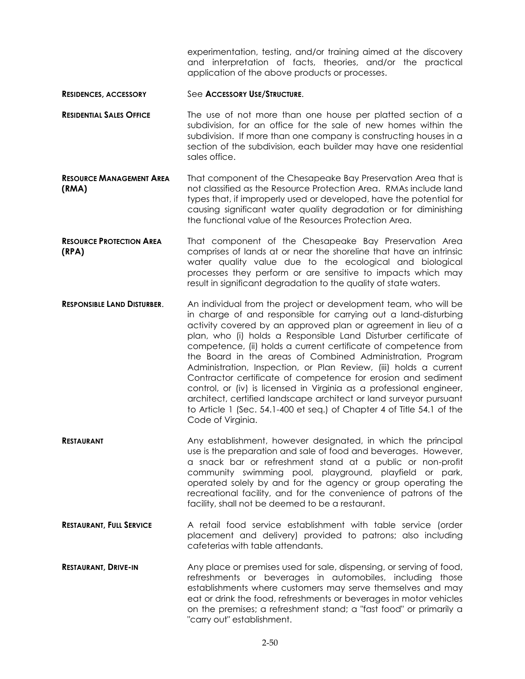experimentation, testing, and/or training aimed at the discovery and interpretation of facts, theories, and/or the practical application of the above products or processes.

- **RESIDENCES, ACCESSORY** See **ACCESSORY USE/STRUCTURE**.
- **RESIDENTIAL SALES OFFICE** The use of not more than one house per platted section of a subdivision, for an office for the sale of new homes within the subdivision. If more than one company is constructing houses in a section of the subdivision, each builder may have one residential sales office.
- **RESOURCE MANAGEMENT AREA (RMA)** That component of the Chesapeake Bay Preservation Area that is not classified as the Resource Protection Area. RMAs include land types that, if improperly used or developed, have the potential for causing significant water quality degradation or for diminishing the functional value of the Resources Protection Area.
- **RESOURCE PROTECTION AREA (RPA)** That component of the Chesapeake Bay Preservation Area comprises of lands at or near the shoreline that have an intrinsic water quality value due to the ecological and biological processes they perform or are sensitive to impacts which may result in significant degradation to the quality of state waters.
- **RESPONSIBLE LAND DISTURBER**. An individual from the project or development team, who will be in charge of and responsible for carrying out a land-disturbing activity covered by an approved plan or agreement in lieu of a plan, who (i) holds a Responsible Land Disturber certificate of competence, (ii) holds a current certificate of competence from the Board in the areas of Combined Administration, Program Administration, Inspection, or Plan Review, (iii) holds a current Contractor certificate of competence for erosion and sediment control, or (iv) is licensed in Virginia as a professional engineer, architect, certified landscape architect or land surveyor pursuant to Article 1 (Sec. 54.1-400 et seq.) of Chapter 4 of Title 54.1 of the Code of Virginia.
- **RESTAURANT** Any establishment, however designated, in which the principal use is the preparation and sale of food and beverages. However, a snack bar or refreshment stand at a public or non-profit community swimming pool, playground, playfield or park, operated solely by and for the agency or group operating the recreational facility, and for the convenience of patrons of the facility, shall not be deemed to be a restaurant.
- **RESTAURANT. FULL SERVICE** A retail food service establishment with table service (order placement and delivery) provided to patrons; also including cafeterias with table attendants.
- **RESTAURANT, DRIVE-IN** Any place or premises used for sale, dispensing, or serving of food, refreshments or beverages in automobiles, including those establishments where customers may serve themselves and may eat or drink the food, refreshments or beverages in motor vehicles on the premises; a refreshment stand; a "fast food" or primarily a "carry out" establishment.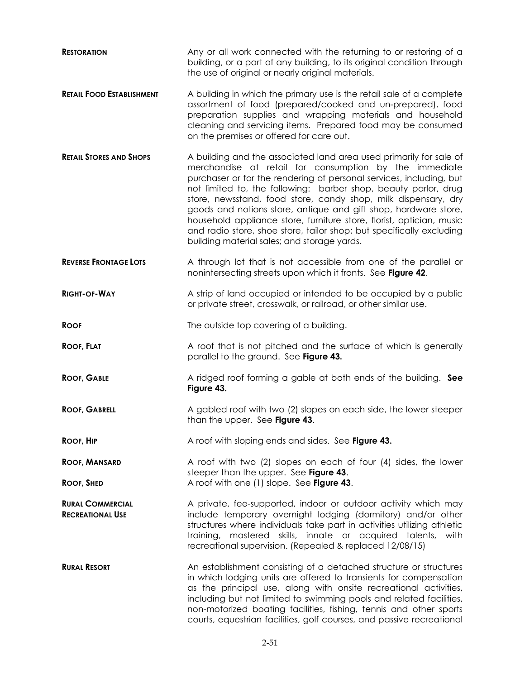- **RESTORATION** Any or all work connected with the returning to or restoring of a building, or a part of any building, to its original condition through the use of original or nearly original materials.
- **RETAIL FOOD ESTABLISHMENT** A building in which the primary use is the retail sale of a complete assortment of food (prepared/cooked and un-prepared). food preparation supplies and wrapping materials and household cleaning and servicing items. Prepared food may be consumed on the premises or offered for care out.
- **RETAIL STORES AND SHOPS** A building and the associated land area used primarily for sale of merchandise at retail for consumption by the immediate purchaser or for the rendering of personal services, including, but not limited to, the following: barber shop, beauty parlor, drug store, newsstand, food store, candy shop, milk dispensary, dry goods and notions store, antique and gift shop, hardware store, household appliance store, furniture store, florist, optician, music and radio store, shoe store, tailor shop; but specifically excluding building material sales; and storage yards.
- **REVERSE FRONTAGE LOTS** A through lot that is not accessible from one of the parallel or nonintersecting streets upon which it fronts. See **Figure 42**.
- **RIGHT-OF-WAY** A strip of land occupied or intended to be occupied by a public or private street, crosswalk, or railroad, or other similar use.
- **ROOF** The outside top covering of a building.
- **Roof, FLAT** A roof that is not pitched and the surface of which is generally parallel to the ground. See **Figure 43.**
- **ROOF, GABLE** A ridged roof forming a gable at both ends of the building. **See Figure 43.**
- **ROOF, GABRELL** A gabled roof with two (2) slopes on each side, the lower steeper than the upper. See **Figure 43**.
- **Roof, HIP** A roof with sloping ends and sides. See Figure 43.
- **ROOF, MANSARD** A roof with two (2) slopes on each of four (4) sides, the lower steeper than the upper. See **Figure 43**. **ROOF, SHED** A roof with one (1) slope. See **Figure 43**.
- **RURAL COMMERCIAL RECREATIONAL USE** A private, fee-supported, indoor or outdoor activity which may include temporary overnight lodging (dormitory) and/or other structures where individuals take part in activities utilizing athletic training, mastered skills, innate or acquired talents, with recreational supervision. (Repealed & replaced 12/08/15)
- **RURAL RESORT An establishment consisting of a detached structure or structures** in which lodging units are offered to transients for compensation as the principal use, along with onsite recreational activities, including but not limited to swimming pools and related facilities, non-motorized boating facilities, fishing, tennis and other sports courts, equestrian facilities, golf courses, and passive recreational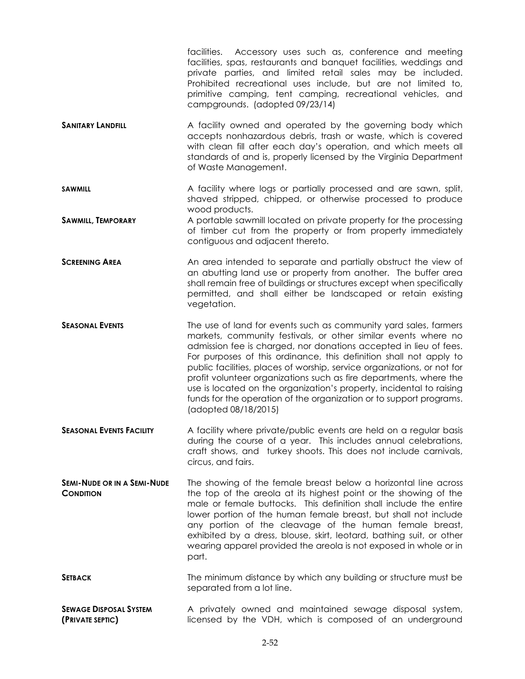|                                                        | facilities. Accessory uses such as, conference and meeting<br>facilities, spas, restaurants and banquet facilities, weddings and<br>private parties, and limited retail sales may be included.<br>Prohibited recreational uses include, but are not limited to,<br>primitive camping, tent camping, recreational vehicles, and<br>campgrounds. (adopted 09/23/14)                                                                                                                                                                                                                                     |
|--------------------------------------------------------|-------------------------------------------------------------------------------------------------------------------------------------------------------------------------------------------------------------------------------------------------------------------------------------------------------------------------------------------------------------------------------------------------------------------------------------------------------------------------------------------------------------------------------------------------------------------------------------------------------|
| <b>SANITARY LANDFILL</b>                               | A facility owned and operated by the governing body which<br>accepts nonhazardous debris, trash or waste, which is covered<br>with clean fill after each day's operation, and which meets all<br>standards of and is, properly licensed by the Virginia Department<br>of Waste Management.                                                                                                                                                                                                                                                                                                            |
| <b>SAWMILL</b>                                         | A facility where logs or partially processed and are sawn, split,<br>shaved stripped, chipped, or otherwise processed to produce                                                                                                                                                                                                                                                                                                                                                                                                                                                                      |
| <b>SAWMILL, TEMPORARY</b>                              | wood products.<br>A portable sawmill located on private property for the processing<br>of timber cut from the property or from property immediately<br>contiguous and adjacent thereto.                                                                                                                                                                                                                                                                                                                                                                                                               |
| <b>SCREENING AREA</b>                                  | An area intended to separate and partially obstruct the view of<br>an abutting land use or property from another. The buffer area<br>shall remain free of buildings or structures except when specifically<br>permitted, and shall either be landscaped or retain existing<br>vegetation.                                                                                                                                                                                                                                                                                                             |
| <b>SEASONAL EVENTS</b>                                 | The use of land for events such as community yard sales, farmers<br>markets, community festivals, or other similar events where no<br>admission fee is charged, nor donations accepted in lieu of fees.<br>For purposes of this ordinance, this definition shall not apply to<br>public facilities, places of worship, service organizations, or not for<br>profit volunteer organizations such as fire departments, where the<br>use is located on the organization's property, incidental to raising<br>funds for the operation of the organization or to support programs.<br>(adopted 08/18/2015) |
| <b>SEASONAL EVENTS FACILITY</b>                        | A facility where private/public events are held on a regular basis<br>during the course of a year. This includes annual celebrations,<br>craft shows, and turkey shoots. This does not include carnivals,<br>circus, and fairs.                                                                                                                                                                                                                                                                                                                                                                       |
| <b>SEMI-NUDE OR IN A SEMI-NUDE</b><br><b>CONDITION</b> | The showing of the female breast below a horizontal line across<br>the top of the areola at its highest point or the showing of the<br>male or female buttocks. This definition shall include the entire<br>lower portion of the human female breast, but shall not include<br>any portion of the cleavage of the human female breast,<br>exhibited by a dress, blouse, skirt, leotard, bathing suit, or other<br>wearing apparel provided the areola is not exposed in whole or in<br>part.                                                                                                          |
| <b>SETBACK</b>                                         | The minimum distance by which any building or structure must be<br>separated from a lot line.                                                                                                                                                                                                                                                                                                                                                                                                                                                                                                         |
| <b>SEWAGE DISPOSAL SYSTEM</b><br>(PRIVATE SEPTIC)      | A privately owned and maintained sewage disposal system,<br>licensed by the VDH, which is composed of an underground                                                                                                                                                                                                                                                                                                                                                                                                                                                                                  |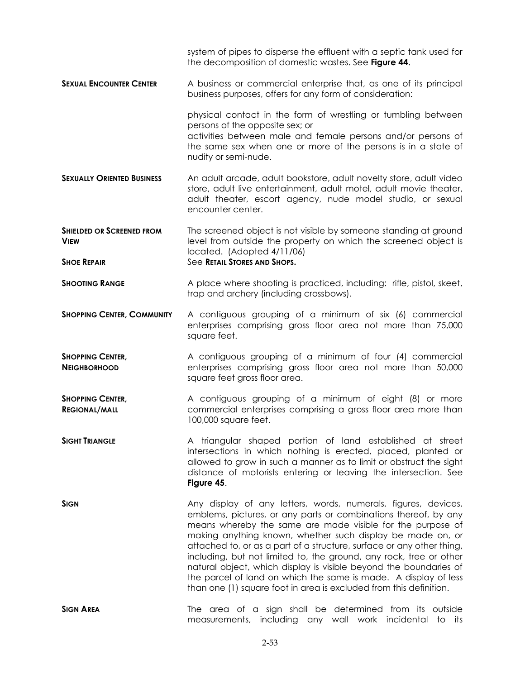|                                                                       | system of pipes to disperse the effluent with a septic tank used for<br>the decomposition of domestic wastes. See Figure 44.                                                                                                                                                                                                                                                                                                                                                                                                                                                                                               |
|-----------------------------------------------------------------------|----------------------------------------------------------------------------------------------------------------------------------------------------------------------------------------------------------------------------------------------------------------------------------------------------------------------------------------------------------------------------------------------------------------------------------------------------------------------------------------------------------------------------------------------------------------------------------------------------------------------------|
| <b>SEXUAL ENCOUNTER CENTER</b>                                        | A business or commercial enterprise that, as one of its principal<br>business purposes, offers for any form of consideration:                                                                                                                                                                                                                                                                                                                                                                                                                                                                                              |
|                                                                       | physical contact in the form of wrestling or tumbling between<br>persons of the opposite sex; or<br>activities between male and female persons and/or persons of<br>the same sex when one or more of the persons is in a state of<br>nudity or semi-nude.                                                                                                                                                                                                                                                                                                                                                                  |
| <b>SEXUALLY ORIENTED BUSINESS</b>                                     | An adult arcade, adult bookstore, adult novelty store, adult video<br>store, adult live entertainment, adult motel, adult movie theater,<br>adult theater, escort agency, nude model studio, or sexual<br>encounter center.                                                                                                                                                                                                                                                                                                                                                                                                |
| <b>SHIELDED OR SCREENED FROM</b><br><b>VIEW</b><br><b>SHOE REPAIR</b> | The screened object is not visible by someone standing at ground<br>level from outside the property on which the screened object is<br>located. (Adopted 4/11/06)<br>See RETAIL STORES AND SHOPS.                                                                                                                                                                                                                                                                                                                                                                                                                          |
| <b>SHOOTING RANGE</b>                                                 | A place where shooting is practiced, including: rifle, pistol, skeet,<br>trap and archery (including crossbows).                                                                                                                                                                                                                                                                                                                                                                                                                                                                                                           |
| <b>SHOPPING CENTER, COMMUNITY</b>                                     | A contiguous grouping of a minimum of six (6) commercial<br>enterprises comprising gross floor area not more than 75,000<br>square feet.                                                                                                                                                                                                                                                                                                                                                                                                                                                                                   |
| <b>SHOPPING CENTER,</b><br><b>NEIGHBORHOOD</b>                        | A contiguous grouping of a minimum of four (4) commercial<br>enterprises comprising gross floor area not more than 50,000<br>square feet gross floor area.                                                                                                                                                                                                                                                                                                                                                                                                                                                                 |
| <b>SHOPPING CENTER,</b><br><b>REGIONAL/MALL</b>                       | A contiguous grouping of a minimum of eight (8) or more<br>commercial enterprises comprising a gross floor area more than<br>100,000 square feet.                                                                                                                                                                                                                                                                                                                                                                                                                                                                          |
| <b>SIGHT TRIANGLE</b>                                                 | A triangular shaped portion of land established at street<br>intersections in which nothing is erected, placed, planted or<br>allowed to grow in such a manner as to limit or obstruct the sight<br>distance of motorists entering or leaving the intersection. See<br>Figure 45.                                                                                                                                                                                                                                                                                                                                          |
| <b>SIGN</b>                                                           | Any display of any letters, words, numerals, figures, devices,<br>emblems, pictures, or any parts or combinations thereof, by any<br>means whereby the same are made visible for the purpose of<br>making anything known, whether such display be made on, or<br>attached to, or as a part of a structure, surface or any other thing,<br>including, but not limited to, the ground, any rock, tree or other<br>natural object, which display is visible beyond the boundaries of<br>the parcel of land on which the same is made. A display of less<br>than one (1) square foot in area is excluded from this definition. |
| <b>SIGN AREA</b>                                                      | The area of a sign shall be determined from its outside<br>measurements, including any wall work incidental to its                                                                                                                                                                                                                                                                                                                                                                                                                                                                                                         |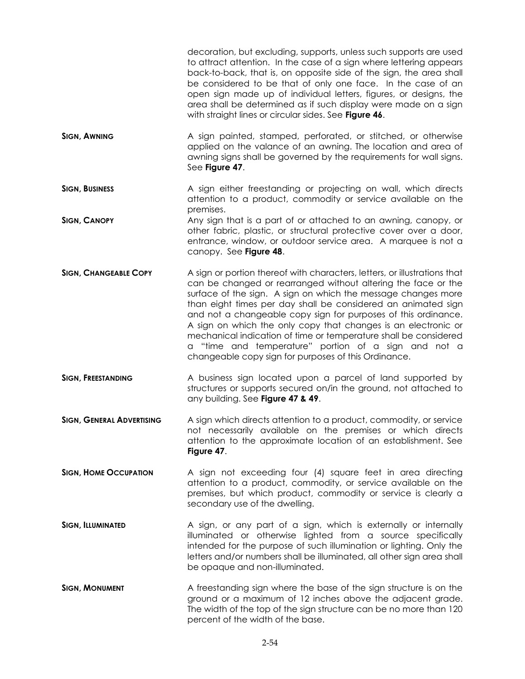|                                  | decoration, but excluding, supports, unless such supports are used<br>to attract attention. In the case of a sign where lettering appears<br>back-to-back, that is, on opposite side of the sign, the area shall<br>be considered to be that of only one face. In the case of an<br>open sign made up of individual letters, figures, or designs, the<br>area shall be determined as if such display were made on a sign<br>with straight lines or circular sides. See Figure 46.                                                                                                                    |
|----------------------------------|------------------------------------------------------------------------------------------------------------------------------------------------------------------------------------------------------------------------------------------------------------------------------------------------------------------------------------------------------------------------------------------------------------------------------------------------------------------------------------------------------------------------------------------------------------------------------------------------------|
| <b>SIGN, AWNING</b>              | A sign painted, stamped, perforated, or stitched, or otherwise<br>applied on the valance of an awning. The location and area of<br>awning signs shall be governed by the requirements for wall signs.<br>See Figure 47.                                                                                                                                                                                                                                                                                                                                                                              |
| <b>SIGN, BUSINESS</b>            | A sign either freestanding or projecting on wall, which directs<br>attention to a product, commodity or service available on the<br>premises.                                                                                                                                                                                                                                                                                                                                                                                                                                                        |
| <b>SIGN, CANOPY</b>              | Any sign that is a part of or attached to an awning, canopy, or<br>other fabric, plastic, or structural protective cover over a door,<br>entrance, window, or outdoor service area. A marquee is not a<br>canopy. See Figure 48.                                                                                                                                                                                                                                                                                                                                                                     |
| <b>SIGN, CHANGEABLE COPY</b>     | A sign or portion thereof with characters, letters, or illustrations that<br>can be changed or rearranged without altering the face or the<br>surface of the sign. A sign on which the message changes more<br>than eight times per day shall be considered an animated sign<br>and not a changeable copy sign for purposes of this ordinance.<br>A sign on which the only copy that changes is an electronic or<br>mechanical indication of time or temperature shall be considered<br>a "time and temperature" portion of a sign and not a<br>changeable copy sign for purposes of this Ordinance. |
| <b>SIGN, FREESTANDING</b>        | A business sign located upon a parcel of land supported by<br>structures or supports secured on/in the ground, not attached to<br>any building. See Figure 47 & 49.                                                                                                                                                                                                                                                                                                                                                                                                                                  |
| <b>SIGN, GENERAL ADVERTISING</b> | A sign which directs attention to a product, commodity, or service<br>not necessarily available on the premises or which directs<br>attention to the approximate location of an establishment. See<br>Figure 47.                                                                                                                                                                                                                                                                                                                                                                                     |
| <b>SIGN, HOME OCCUPATION</b>     | A sign not exceeding four (4) square feet in area directing<br>attention to a product, commodity, or service available on the<br>premises, but which product, commodity or service is clearly a<br>secondary use of the dwelling.                                                                                                                                                                                                                                                                                                                                                                    |
| <b>SIGN, ILLUMINATED</b>         | A sign, or any part of a sign, which is externally or internally<br>illuminated or otherwise lighted from a source specifically<br>intended for the purpose of such illumination or lighting. Only the<br>letters and/or numbers shall be illuminated, all other sign area shall<br>be opaque and non-illuminated.                                                                                                                                                                                                                                                                                   |
| <b>SIGN, MONUMENT</b>            | A freestanding sign where the base of the sign structure is on the<br>ground or a maximum of 12 inches above the adjacent grade.<br>The width of the top of the sign structure can be no more than 120<br>percent of the width of the base.                                                                                                                                                                                                                                                                                                                                                          |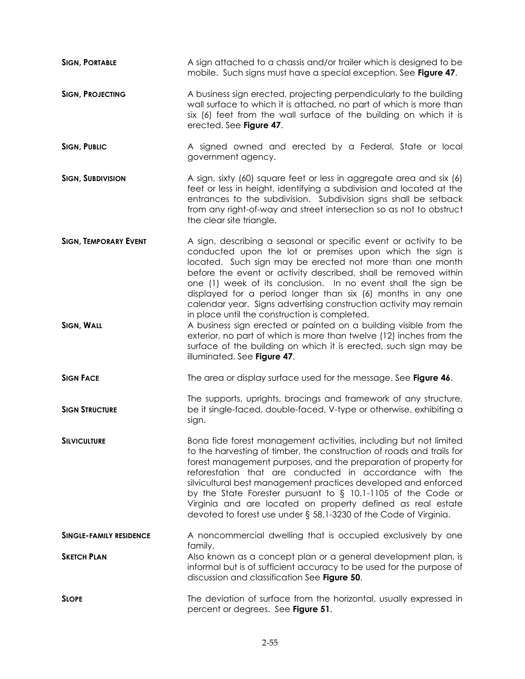| <b>SIGN, PORTABLE</b>                             | A sign attached to a chassis and/or trailer which is designed to be<br>mobile. Such signs must have a special exception. See Figure 47.                                                                                                                                                                                                                                                                                                                                                                                                                                                                                                                                                                                               |
|---------------------------------------------------|---------------------------------------------------------------------------------------------------------------------------------------------------------------------------------------------------------------------------------------------------------------------------------------------------------------------------------------------------------------------------------------------------------------------------------------------------------------------------------------------------------------------------------------------------------------------------------------------------------------------------------------------------------------------------------------------------------------------------------------|
| <b>SIGN, PROJECTING</b>                           | A business sign erected, projecting perpendicularly to the building<br>wall surface to which it is attached, no part of which is more than<br>six (6) feet from the wall surface of the building on which it is<br>erected. See Figure 47.                                                                                                                                                                                                                                                                                                                                                                                                                                                                                            |
| <b>SIGN, PUBLIC</b>                               | A signed owned and erected by a Federal, State or local<br>government agency.                                                                                                                                                                                                                                                                                                                                                                                                                                                                                                                                                                                                                                                         |
| <b>SIGN, SUBDIVISION</b>                          | A sign, sixty (60) square feet or less in aggregate area and six (6)<br>feet or less in height, identifying a subdivision and located at the<br>entrances to the subdivision. Subdivision signs shall be setback<br>from any right-of-way and street intersection so as not to obstruct<br>the clear site triangle.                                                                                                                                                                                                                                                                                                                                                                                                                   |
| <b>SIGN, TEMPORARY EVENT</b><br><b>SIGN, WALL</b> | A sign, describing a seasonal or specific event or activity to be<br>conducted upon the lot or premises upon which the sign is<br>located. Such sign may be erected not more than one month<br>before the event or activity described, shall be removed within<br>one (1) week of its conclusion. In no event shall the sign be<br>displayed for a period longer than six (6) months in any one<br>calendar year. Signs advertising construction activity may remain<br>in place until the construction is completed.<br>A business sign erected or painted on a building visible from the<br>exterior, no part of which is more than twelve (12) inches from the<br>surface of the building on which it is erected, such sign may be |
|                                                   | illuminated. See Figure 47.                                                                                                                                                                                                                                                                                                                                                                                                                                                                                                                                                                                                                                                                                                           |
| <b>SIGN FACE</b>                                  | The area or display surface used for the message. See Figure 46.                                                                                                                                                                                                                                                                                                                                                                                                                                                                                                                                                                                                                                                                      |
| <b>SIGN STRUCTURE</b>                             | The supports, uprights, bracings and framework of any structure,<br>be it single-faced, double-faced, V-type or otherwise, exhibiting a<br>sign.                                                                                                                                                                                                                                                                                                                                                                                                                                                                                                                                                                                      |
| SILVICULTURE                                      | Bona fide forest management activities, including but not limited<br>to the harvesting of timber, the construction of roads and trails for<br>forest management purposes, and the preparation of property for<br>reforestation that are conducted in accordance with the<br>silvicultural best management practices developed and enforced<br>by the State Forester pursuant to $\S$ 10.1-1105 of the Code or<br>Virginia and are located on property defined as real estate<br>devoted to forest use under § 58.1-3230 of the Code of Virginia.                                                                                                                                                                                      |
| <b>SINGLE-FAMILY RESIDENCE</b>                    | A noncommercial dwelling that is occupied exclusively by one                                                                                                                                                                                                                                                                                                                                                                                                                                                                                                                                                                                                                                                                          |
| <b>SKETCH PLAN</b>                                | family.<br>Also known as a concept plan or a general development plan, is<br>informal but is of sufficient accuracy to be used for the purpose of<br>discussion and classification See Figure 50.                                                                                                                                                                                                                                                                                                                                                                                                                                                                                                                                     |
| <b>SLOPE</b>                                      | The deviation of surface from the horizontal, usually expressed in<br>percent or degrees. See Figure 51.                                                                                                                                                                                                                                                                                                                                                                                                                                                                                                                                                                                                                              |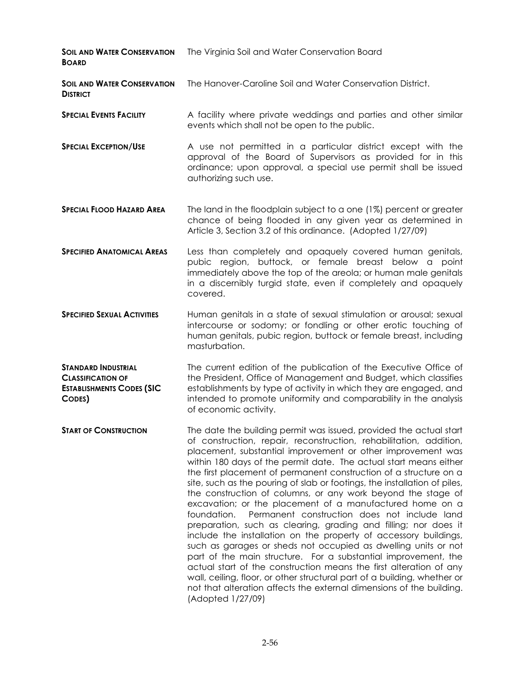| <b><i>SOIL AND WATER CONSERVATION</i></b><br><b>BOARD</b>                                            | The Virginia Soil and Water Conservation Board                                                                                                                                                                                                                                                                                                                                                                                                                                                                                                                                                                                                                                                                                                                                                                                                                                                                                                                                                                                                                                                                                                      |
|------------------------------------------------------------------------------------------------------|-----------------------------------------------------------------------------------------------------------------------------------------------------------------------------------------------------------------------------------------------------------------------------------------------------------------------------------------------------------------------------------------------------------------------------------------------------------------------------------------------------------------------------------------------------------------------------------------------------------------------------------------------------------------------------------------------------------------------------------------------------------------------------------------------------------------------------------------------------------------------------------------------------------------------------------------------------------------------------------------------------------------------------------------------------------------------------------------------------------------------------------------------------|
| <b><i>SOIL AND WATER CONSERVATION</i></b><br><b>DISTRICT</b>                                         | The Hanover-Caroline Soil and Water Conservation District.                                                                                                                                                                                                                                                                                                                                                                                                                                                                                                                                                                                                                                                                                                                                                                                                                                                                                                                                                                                                                                                                                          |
| <b>SPECIAL EVENTS FACILITY</b>                                                                       | A facility where private weddings and parties and other similar<br>events which shall not be open to the public.                                                                                                                                                                                                                                                                                                                                                                                                                                                                                                                                                                                                                                                                                                                                                                                                                                                                                                                                                                                                                                    |
| <b>SPECIAL EXCEPTION/USE</b>                                                                         | A use not permitted in a particular district except with the<br>approval of the Board of Supervisors as provided for in this<br>ordinance; upon approval, a special use permit shall be issued<br>authorizing such use.                                                                                                                                                                                                                                                                                                                                                                                                                                                                                                                                                                                                                                                                                                                                                                                                                                                                                                                             |
| <b>SPECIAL FLOOD HAZARD AREA</b>                                                                     | The land in the floodplain subject to a one (1%) percent or greater<br>chance of being flooded in any given year as determined in<br>Article 3, Section 3.2 of this ordinance. (Adopted 1/27/09)                                                                                                                                                                                                                                                                                                                                                                                                                                                                                                                                                                                                                                                                                                                                                                                                                                                                                                                                                    |
| <b>SPECIFIED ANATOMICAL AREAS</b>                                                                    | Less than completely and opaquely covered human genitals,<br>pubic region, buttock, or female breast below a point<br>immediately above the top of the areola; or human male genitals<br>in a discernibly turgid state, even if completely and opaquely<br>covered.                                                                                                                                                                                                                                                                                                                                                                                                                                                                                                                                                                                                                                                                                                                                                                                                                                                                                 |
| <b>SPECIFIED SEXUAL ACTIVITIES</b>                                                                   | Human genitals in a state of sexual stimulation or arousal; sexual<br>intercourse or sodomy; or fondling or other erotic touching of<br>human genitals, pubic region, buttock or female breast, including<br>masturbation.                                                                                                                                                                                                                                                                                                                                                                                                                                                                                                                                                                                                                                                                                                                                                                                                                                                                                                                          |
| <b>STANDARD INDUSTRIAL</b><br><b>CLASSIFICATION OF</b><br><b>ESTABLISHMENTS CODES (SIC</b><br>CODES) | The current edition of the publication of the Executive Office of<br>the President, Office of Management and Budget, which classifies<br>establishments by type of activity in which they are engaged, and<br>intended to promote uniformity and comparability in the analysis<br>of economic activity.                                                                                                                                                                                                                                                                                                                                                                                                                                                                                                                                                                                                                                                                                                                                                                                                                                             |
| <b>START OF CONSTRUCTION</b>                                                                         | The date the building permit was issued, provided the actual start<br>of construction, repair, reconstruction, rehabilitation, addition,<br>placement, substantial improvement or other improvement was<br>within 180 days of the permit date. The actual start means either<br>the first placement of permanent construction of a structure on a<br>site, such as the pouring of slab or footings, the installation of piles,<br>the construction of columns, or any work beyond the stage of<br>excavation; or the placement of a manufactured home on a<br>foundation.<br>Permanent construction does not include land<br>preparation, such as clearing, grading and filling; nor does it<br>include the installation on the property of accessory buildings,<br>such as garages or sheds not occupied as dwelling units or not<br>part of the main structure. For a substantial improvement, the<br>actual start of the construction means the first alteration of any<br>wall, ceiling, floor, or other structural part of a building, whether or<br>not that alteration affects the external dimensions of the building.<br>(Adopted 1/27/09) |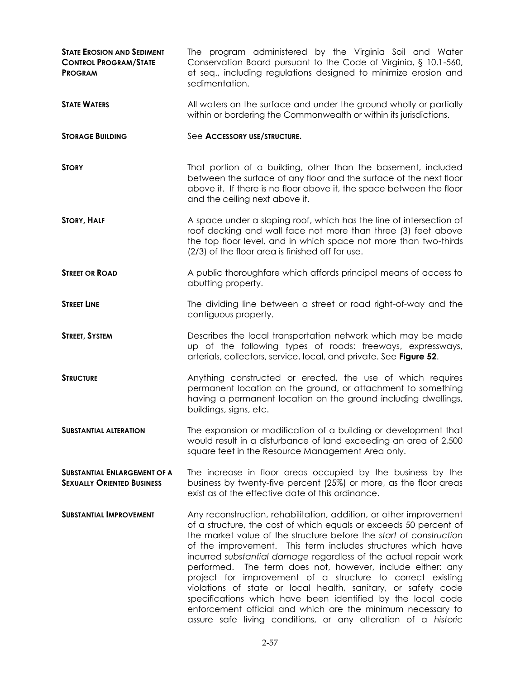| <b>STATE EROSION AND SEDIMENT</b><br><b>CONTROL PROGRAM/STATE</b><br><b>PROGRAM</b> | The program administered by the Virginia Soil and Water<br>Conservation Board pursuant to the Code of Virginia, § 10.1-560,<br>et seq., including regulations designed to minimize erosion and<br>sedimentation.                                                                                                                                                                                                                                                                                                                                                                                                                                                                                                                               |
|-------------------------------------------------------------------------------------|------------------------------------------------------------------------------------------------------------------------------------------------------------------------------------------------------------------------------------------------------------------------------------------------------------------------------------------------------------------------------------------------------------------------------------------------------------------------------------------------------------------------------------------------------------------------------------------------------------------------------------------------------------------------------------------------------------------------------------------------|
| <b>STATE WATERS</b>                                                                 | All waters on the surface and under the ground wholly or partially<br>within or bordering the Commonwealth or within its jurisdictions.                                                                                                                                                                                                                                                                                                                                                                                                                                                                                                                                                                                                        |
| <b>STORAGE BUILDING</b>                                                             | See Accessory USE/STRUCTURE.                                                                                                                                                                                                                                                                                                                                                                                                                                                                                                                                                                                                                                                                                                                   |
| <b>STORY</b>                                                                        | That portion of a building, other than the basement, included<br>between the surface of any floor and the surface of the next floor<br>above it. If there is no floor above it, the space between the floor<br>and the ceiling next above it.                                                                                                                                                                                                                                                                                                                                                                                                                                                                                                  |
| <b>STORY, HALF</b>                                                                  | A space under a sloping roof, which has the line of intersection of<br>roof decking and wall face not more than three (3) feet above<br>the top floor level, and in which space not more than two-thirds<br>(2/3) of the floor area is finished off for use.                                                                                                                                                                                                                                                                                                                                                                                                                                                                                   |
| <b>STREET OR ROAD</b>                                                               | A public thoroughfare which affords principal means of access to<br>abutting property.                                                                                                                                                                                                                                                                                                                                                                                                                                                                                                                                                                                                                                                         |
| <b>STREET LINE</b>                                                                  | The dividing line between a street or road right-of-way and the<br>contiguous property.                                                                                                                                                                                                                                                                                                                                                                                                                                                                                                                                                                                                                                                        |
| <b>STREET, SYSTEM</b>                                                               | Describes the local transportation network which may be made<br>up of the following types of roads: freeways, expressways,<br>arterials, collectors, service, local, and private. See Figure 52.                                                                                                                                                                                                                                                                                                                                                                                                                                                                                                                                               |
| <b>STRUCTURE</b>                                                                    | Anything constructed or erected, the use of which requires<br>permanent location on the ground, or attachment to something<br>having a permanent location on the ground including dwellings,<br>buildings, signs, etc.                                                                                                                                                                                                                                                                                                                                                                                                                                                                                                                         |
| <b>SUBSTANTIAL ALTERATION</b>                                                       | The expansion or modification of a building or development that<br>would result in a disturbance of land exceeding an area of 2,500<br>square feet in the Resource Management Area only.                                                                                                                                                                                                                                                                                                                                                                                                                                                                                                                                                       |
| <b>SUBSTANTIAL ENLARGEMENT OF A</b><br><b>SEXUALLY ORIENTED BUSINESS</b>            | The increase in floor areas occupied by the business by the<br>business by twenty-five percent (25%) or more, as the floor areas<br>exist as of the effective date of this ordinance.                                                                                                                                                                                                                                                                                                                                                                                                                                                                                                                                                          |
| <b>SUBSTANTIAL IMPROVEMENT</b>                                                      | Any reconstruction, rehabilitation, addition, or other improvement<br>of a structure, the cost of which equals or exceeds 50 percent of<br>the market value of the structure before the start of construction<br>of the improvement. This term includes structures which have<br>incurred substantial damage regardless of the actual repair work<br>performed. The term does not, however, include either: any<br>project for improvement of a structure to correct existing<br>violations of state or local health, sanitary, or safety code<br>specifications which have been identified by the local code<br>enforcement official and which are the minimum necessary to<br>assure safe living conditions, or any alteration of a historic |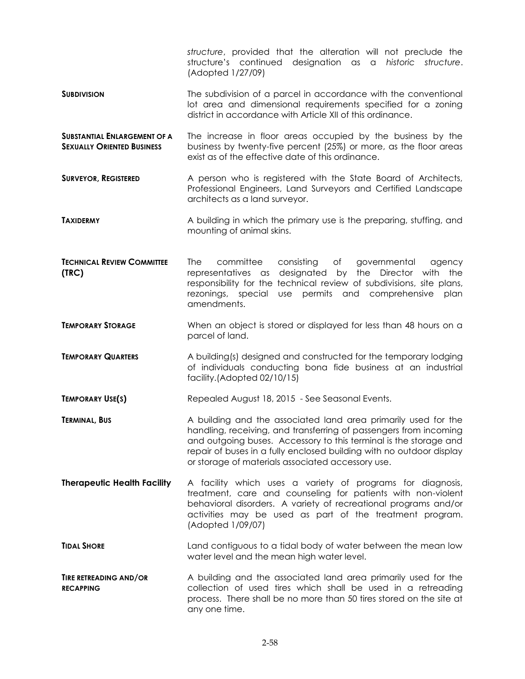*structure*, provided that the alteration will not preclude the structure's continued designation as a *historic structure*. (Adopted 1/27/09)

- **SUBDIVISION** The subdivision of a parcel in accordance with the conventional lot area and dimensional requirements specified for a zoning district in accordance with Article XII of this ordinance.
- **SUBSTANTIAL ENLARGEMENT OF A SEXUALLY ORIENTED BUSINESS** The increase in floor areas occupied by the business by the business by twenty-five percent (25%) or more, as the floor areas exist as of the effective date of this ordinance.
- **SURVEYOR, REGISTERED** A person who is registered with the State Board of Architects, Professional Engineers, Land Surveyors and Certified Landscape architects as a land surveyor.
- **TAXIDERMY** A building in which the primary use is the preparing, stuffing, and mounting of animal skins.
- **TECHNICAL REVIEW COMMITTEE (TRC)** The committee consisting of governmental agency representatives as designated by the Director with the responsibility for the technical review of subdivisions, site plans, rezonings, special use permits and comprehensive plan amendments.
- **TEMPORARY STORAGE** When an object is stored or displayed for less than 48 hours on a parcel of land.
- **TEMPORARY QUARTERS** A building(s) designed and constructed for the temporary lodging of individuals conducting bona fide business at an industrial facility.(Adopted 02/10/15)
- **TEMPORARY USE(S)** Repealed August 18, 2015 See Seasonal Events.
- **TERMINAL, BUS** A building and the associated land area primarily used for the handling, receiving, and transferring of passengers from incoming and outgoing buses. Accessory to this terminal is the storage and repair of buses in a fully enclosed building with no outdoor display or storage of materials associated accessory use.
- **Therapeutic Health Facility** A facility which uses a variety of programs for diagnosis, treatment, care and counseling for patients with non-violent behavioral disorders. A variety of recreational programs and/or activities may be used as part of the treatment program. (Adopted 1/09/07)
- **TIDAL SHORE Land contiguous to a tidal body of water between the mean low** water level and the mean high water level.
- **TIRE RETREADING AND/OR RECAPPING**  A building and the associated land area primarily used for the collection of used tires which shall be used in a retreading process. There shall be no more than 50 tires stored on the site at any one time.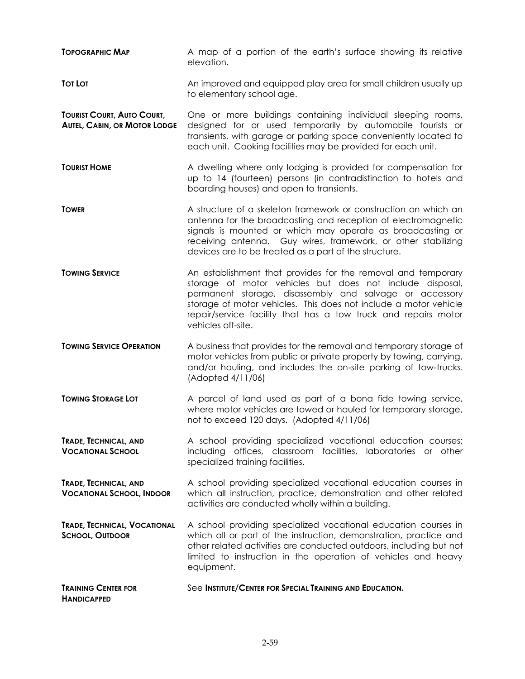**TOPOGRAPHIC MAP** A map of a portion of the earth's surface showing its relative elevation. **Tot Lot Lot Lot C C C An** improved and equipped play area for small children usually up to elementary school age. **TOURIST COURT, AUTO COURT, AUTEL, CABIN, OR MOTOR LODGE** One or more buildings containing individual sleeping rooms, designed for or used temporarily by automobile tourists or transients, with garage or parking space conveniently located to each unit. Cooking facilities may be provided for each unit. **TOURIST HOME** A dwelling where only lodging is provided for compensation for up to 14 (fourteen) persons (in contradistinction to hotels and boarding houses) and open to transients. **TOWER EXECUTE: TOWER** A structure of a skeleton framework or construction on which an antenna for the broadcasting and reception of electromagnetic signals is mounted or which may operate as broadcasting or receiving antenna. Guy wires, framework, or other stabilizing devices are to be treated as a part of the structure. **TOWING SERVICE** An establishment that provides for the removal and temporary storage of motor vehicles but does not include disposal, permanent storage, disassembly and salvage or accessory storage of motor vehicles. This does not include a motor vehicle repair/service facility that has a tow truck and repairs motor vehicles off-site. **TOWING SERVICE OPERATION** A business that provides for the removal and temporary storage of motor vehicles from public or private property by towing, carrying, and/or hauling, and includes the on-site parking of tow-trucks. (Adopted 4/11/06) **TOWING STORAGE LOT** A parcel of land used as part of a bona fide towing service, where motor vehicles are towed or hauled for temporary storage, not to exceed 120 days. (Adopted 4/11/06) **TRADE, TECHNICAL, AND VOCATIONAL SCHOOL** A school providing specialized vocational education courses; including offices, classroom facilities, laboratories or other specialized training facilities. **TRADE, TECHNICAL, AND VOCATIONAL SCHOOL, INDOOR** A school providing specialized vocational education courses in which all instruction, practice, demonstration and other related activities are conducted wholly within a building. **TRADE, TECHNICAL, VOCATIONAL SCHOOL, OUTDOOR** A school providing specialized vocational education courses in which all or part of the instruction, demonstration, practice and other related activities are conducted outdoors, including but not limited to instruction in the operation of vehicles and heavy equipment. **TRAINING CENTER FOR HANDICAPPED** See **INSTITUTE/CENTER FOR SPECIAL TRAINING AND EDUCATION.**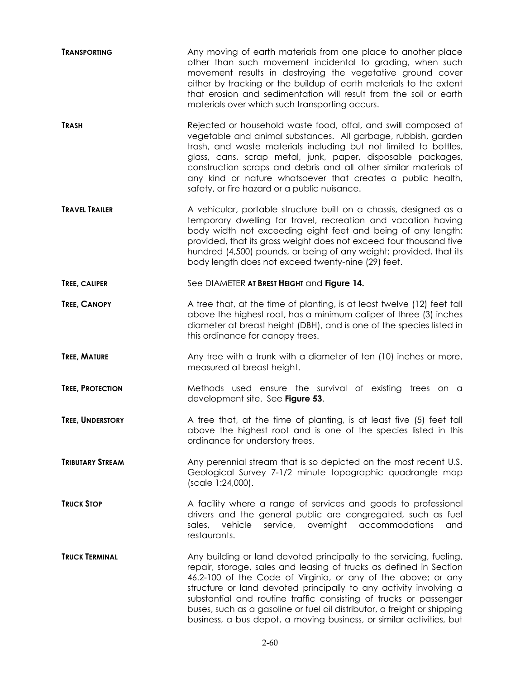| <b>TRANSPORTING</b>     | Any moving of earth materials from one place to another place<br>other than such movement incidental to grading, when such<br>movement results in destroying the vegetative ground cover<br>either by tracking or the buildup of earth materials to the extent<br>that erosion and sedimentation will result from the soil or earth<br>materials over which such transporting occurs.                                                                                                                    |
|-------------------------|----------------------------------------------------------------------------------------------------------------------------------------------------------------------------------------------------------------------------------------------------------------------------------------------------------------------------------------------------------------------------------------------------------------------------------------------------------------------------------------------------------|
| <b>TRASH</b>            | Rejected or household waste food, offal, and swill composed of<br>vegetable and animal substances. All garbage, rubbish, garden<br>trash, and waste materials including but not limited to bottles,<br>glass, cans, scrap metal, junk, paper, disposable packages,<br>construction scraps and debris and all other similar materials of<br>any kind or nature whatsoever that creates a public health,<br>safety, or fire hazard or a public nuisance.                                                   |
| <b>TRAVEL TRAILER</b>   | A vehicular, portable structure built on a chassis, designed as a<br>temporary dwelling for travel, recreation and vacation having<br>body width not exceeding eight feet and being of any length;<br>provided, that its gross weight does not exceed four thousand five<br>hundred (4,500) pounds, or being of any weight; provided, that its<br>body length does not exceed twenty-nine (29) feet.                                                                                                     |
| TREE, CALIPER           | See DIAMETER AT BREST HEIGHT and Figure 14.                                                                                                                                                                                                                                                                                                                                                                                                                                                              |
| <b>TREE, CANOPY</b>     | A tree that, at the time of planting, is at least twelve (12) feet tall<br>above the highest root, has a minimum caliper of three (3) inches<br>diameter at breast height (DBH), and is one of the species listed in<br>this ordinance for canopy trees.                                                                                                                                                                                                                                                 |
| TREE, MATURE            | Any tree with a trunk with a diameter of ten (10) inches or more,<br>measured at breast height.                                                                                                                                                                                                                                                                                                                                                                                                          |
| <b>TREE, PROTECTION</b> | Methods used ensure the survival of existing trees on a<br>development site. See Figure 53.                                                                                                                                                                                                                                                                                                                                                                                                              |
| <b>TREE, UNDERSTORY</b> | A tree that, at the time of planting, is at least five (5) feet tall<br>above the highest root and is one of the species listed in this<br>ordinance for understory trees.                                                                                                                                                                                                                                                                                                                               |
| <b>TRIBUTARY STREAM</b> | Any perennial stream that is so depicted on the most recent U.S.<br>Geological Survey 7-1/2 minute topographic quadrangle map<br>(scale 1:24,000).                                                                                                                                                                                                                                                                                                                                                       |
| <b>TRUCK STOP</b>       | A facility where a range of services and goods to professional<br>drivers and the general public are congregated, such as fuel<br>vehicle<br>sales,<br>service, overnight accommodations<br>and<br>restaurants.                                                                                                                                                                                                                                                                                          |
| <b>TRUCK TERMINAL</b>   | Any building or land devoted principally to the servicing, fueling,<br>repair, storage, sales and leasing of trucks as defined in Section<br>46.2-100 of the Code of Virginia, or any of the above; or any<br>structure or land devoted principally to any activity involving a<br>substantial and routine traffic consisting of trucks or passenger<br>buses, such as a gasoline or fuel oil distributor, a freight or shipping<br>business, a bus depot, a moving business, or similar activities, but |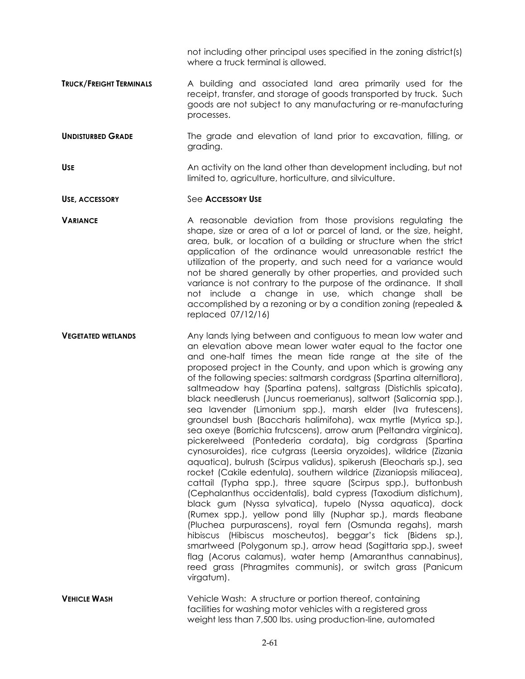not including other principal uses specified in the zoning district(s) where a truck terminal is allowed.

**TRUCK/FREIGHT TERMINALS** A building and associated land area primarily used for the receipt, transfer, and storage of goods transported by truck. Such goods are not subject to any manufacturing or re-manufacturing processes.

**UNDISTURBED GRADE** The grade and elevation of land prior to excavation, filling, or grading.

USE **UPPERSIZE An activity on the land other than development including, but not** limited to, agriculture, horticulture, and silviculture.

**USE, ACCESSORY** See **ACCESSORY USE**

**VARIANCE** A reasonable deviation from those provisions regulating the shape, size or area of a lot or parcel of land, or the size, height, area, bulk, or location of a building or structure when the strict application of the ordinance would unreasonable restrict the utilization of the property, and such need for a variance would not be shared generally by other properties, and provided such variance is not contrary to the purpose of the ordinance. It shall not include a change in use, which change shall be accomplished by a rezoning or by a condition zoning (repealed & replaced 07/12/16)

**VEGETATED WETLANDS** Any lands lying between and contiguous to mean low water and an elevation above mean lower water equal to the factor one and one-half times the mean tide range at the site of the proposed project in the County, and upon which is growing any of the following species: saltmarsh cordgrass (Spartina alterniflora), saltmeadow hay (Spartina patens), saltgrass (Distichlis spicata), black needlerush (Juncus roemerianus), saltwort (Salicornia spp.), sea lavender (Limonium spp.), marsh elder (Iva frutescens), groundsel bush (Baccharis halimifoha), wax myrtle (Myrica sp.), sea oxeye (Borrichia frutcscens), arrow arum (Peltandra virginica), pickerelweed (Pontederia cordata), big cordgrass (Spartina cynosuroides), rice cutgrass (Leersia oryzoides), wildrice (Zizania aquatica), bulrush (Scirpus validus), spikerush (Eleocharis sp.), sea rocket (Cakile edentula), southern wildrice (Zizaniopsis miliacea), cattail (Typha spp.), three square (Scirpus spp.), buttonbush (Cephalanthus occidentalis), bald cypress (Taxodium distichum), black gum (Nyssa sylvatica), tupelo (Nyssa aquatica), dock (Rumex spp.), yellow pond lilly (Nuphar sp.), mards fleabane (Pluchea purpurascens), royal fern (Osmunda regahs), marsh hibiscus (Hibiscus moscheutos), beggar's tick (Bidens sp.), smartweed (Polygonum sp.), arrow head (Sagittaria spp.), sweet flag (Acorus calamus), water hemp (Amaranthus cannabinus), reed grass (Phragmites communis), or switch grass (Panicum virgatum).

**VEHICLE WASH** Vehicle Wash: A structure or portion thereof, containing facilities for washing motor vehicles with a registered gross weight less than 7,500 lbs. using production-line, automated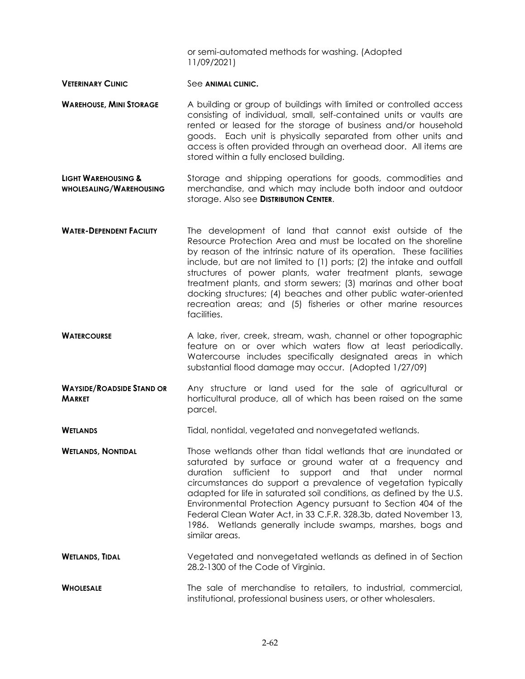or semi-automated methods for washing. (Adopted 11/09/2021)

- **VETERINARY CLINIC** See ANIMAL CLINIC.
- **WAREHOUSE, MINI STORAGE** A building or group of buildings with limited or controlled access consisting of individual, small, self-contained units or vaults are rented or leased for the storage of business and/or household goods. Each unit is physically separated from other units and access is often provided through an overhead door. All items are stored within a fully enclosed building.
- **LIGHT WAREHOUSING & WHOLESALING/WAREHOUSING** Storage and shipping operations for goods, commodities and merchandise, and which may include both indoor and outdoor storage. Also see **DISTRIBUTION CENTER**.
- **WATER-DEPENDENT FACILITY** The development of land that cannot exist outside of the Resource Protection Area and must be located on the shoreline by reason of the intrinsic nature of its operation. These facilities include, but are not limited to (1) ports; (2) the intake and outfall structures of power plants, water treatment plants, sewage treatment plants, and storm sewers; (3) marinas and other boat docking structures; (4) beaches and other public water-oriented recreation areas; and (5) fisheries or other marine resources facilities.
- **WATERCOURSE** A lake, river, creek, stream, wash, channel or other topographic feature on or over which waters flow at least periodically. Watercourse includes specifically designated areas in which substantial flood damage may occur. (Adopted 1/27/09)
- **WAYSIDE/ROADSIDE STAND OR MARKET** Any structure or land used for the sale of agricultural or horticultural produce, all of which has been raised on the same parcel.

**WETLANDS** Tidal, nontidal, vegetated and nonvegetated wetlands.

- **WETLANDS, NONTIDAL** Those wetlands other than tidal wetlands that are inundated or saturated by surface or ground water at a frequency and duration sufficient to support and that under normal circumstances do support a prevalence of vegetation typically adapted for life in saturated soil conditions, as defined by the U.S. Environmental Protection Agency pursuant to Section 404 of the Federal Clean Water Act, in 33 C.F.R. 328.3b, dated November 13, 1986. Wetlands generally include swamps, marshes, bogs and similar areas.
- **WETLANDS, TIDAL Vegetated and nonvegetated wetlands as defined in of Section** 28.2-1300 of the Code of Virginia.

**WHOLESALE** The sale of merchandise to retailers, to industrial, commercial, institutional, professional business users, or other wholesalers.